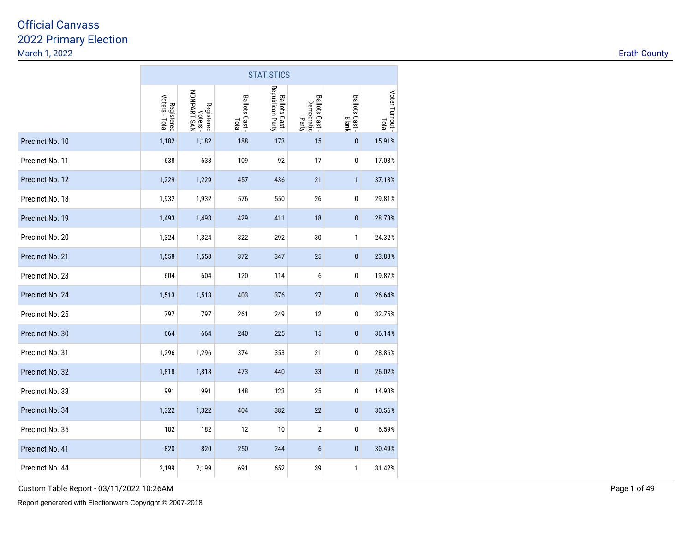|                 |                              |                                       |                        | <b>STATISTICS</b>                  |                                       |                        |                          |
|-----------------|------------------------------|---------------------------------------|------------------------|------------------------------------|---------------------------------------|------------------------|--------------------------|
|                 | Voters - Total<br>Registered | NONPARTISAN<br>Registered<br>Voters - | Ballots Cast-<br>Total | Republican Party<br>Ballots Cast - | Ballots Cast -<br>Democratic<br>Party | Ballots Cast-<br>Blank | Voter Turnout -<br>Total |
| Precinct No. 10 | 1,182                        | 1,182                                 | 188                    | 173                                | 15                                    | $\pmb{0}$              | 15.91%                   |
| Precinct No. 11 | 638                          | 638                                   | 109                    | 92                                 | 17                                    | $\pmb{0}$              | 17.08%                   |
| Precinct No. 12 | 1,229                        | 1,229                                 | 457                    | 436                                | 21                                    | $\mathbf{1}$           | 37.18%                   |
| Precinct No. 18 | 1,932                        | 1,932                                 | 576                    | 550                                | 26                                    | $\pmb{0}$              | 29.81%                   |
| Precinct No. 19 | 1,493                        | 1,493                                 | 429                    | 411                                | 18                                    | $\pmb{0}$              | 28.73%                   |
| Precinct No. 20 | 1,324                        | 1,324                                 | 322                    | 292                                | 30                                    | 1                      | 24.32%                   |
| Precinct No. 21 | 1,558                        | 1,558                                 | 372                    | 347                                | 25                                    | $\bf{0}$               | 23.88%                   |
| Precinct No. 23 | 604                          | 604                                   | 120                    | 114                                | 6                                     | $\pmb{0}$              | 19.87%                   |
| Precinct No. 24 | 1,513                        | 1,513                                 | 403                    | 376                                | 27                                    | $\pmb{0}$              | 26.64%                   |
| Precinct No. 25 | 797                          | 797                                   | 261                    | 249                                | 12                                    | 0                      | 32.75%                   |
| Precinct No. 30 | 664                          | 664                                   | 240                    | 225                                | 15                                    | $\bf{0}$               | 36.14%                   |
| Precinct No. 31 | 1,296                        | 1,296                                 | 374                    | 353                                | 21                                    | 0                      | 28.86%                   |
| Precinct No. 32 | 1,818                        | 1,818                                 | 473                    | 440                                | 33                                    | $\mathbf{0}$           | 26.02%                   |
| Precinct No. 33 | 991                          | 991                                   | 148                    | 123                                | 25                                    | 0                      | 14.93%                   |
| Precinct No. 34 | 1,322                        | 1,322                                 | 404                    | 382                                | 22                                    | $\pmb{0}$              | 30.56%                   |
| Precinct No. 35 | 182                          | 182                                   | 12                     | 10                                 | $\overline{2}$                        | 0                      | 6.59%                    |
| Precinct No. 41 | 820                          | 820                                   | 250                    | 244                                | 6                                     | $\pmb{0}$              | 30.49%                   |
| Precinct No. 44 | 2,199                        | 2,199                                 | 691                    | 652                                | 39                                    | 1                      | 31.42%                   |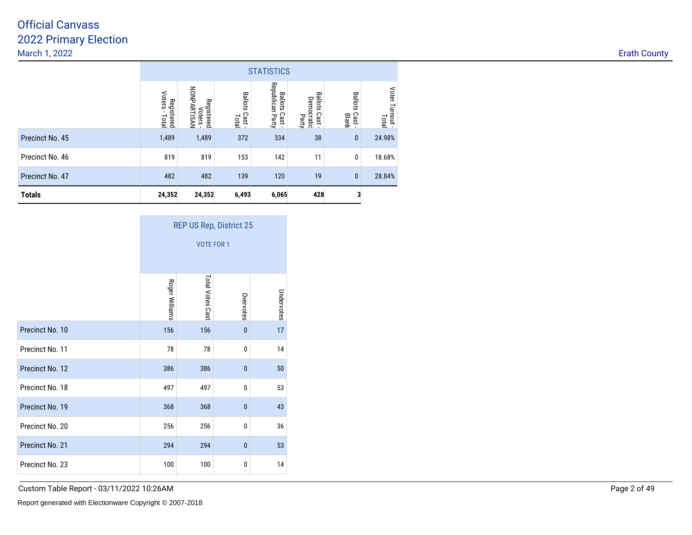|                 | <b>STATISTICS</b>                    |                                       |                                        |                                             |                                               |                                   |                          |  |  |  |  |
|-----------------|--------------------------------------|---------------------------------------|----------------------------------------|---------------------------------------------|-----------------------------------------------|-----------------------------------|--------------------------|--|--|--|--|
|                 | Voters<br>Registered<br><b>Total</b> | NONPARTISAN<br>Registered<br>Voters - | <b>Ballots</b><br>Cast<br><b>Total</b> | Republican Party<br><b>Ballots</b><br>Cast- | <b>Ballots</b><br>Democratic<br>Cast<br>Party | <b>Ballots</b><br>Cast -<br>Blank | Voter Turnout -<br>Total |  |  |  |  |
| Precinct No. 45 | 1,489                                | 1,489                                 | 372                                    | 334                                         | 38                                            | $\mathbf{0}$                      | 24.98%                   |  |  |  |  |
| Precinct No. 46 | 819                                  | 819                                   | 153                                    | 142                                         | 11                                            | 0                                 | 18.68%                   |  |  |  |  |
| Precinct No. 47 | 482                                  | 482                                   | 139                                    | 120                                         | 19                                            | $\mathbf{0}$                      | 28.84%                   |  |  |  |  |
| <b>Totals</b>   | 24,352                               | 24,352                                | 6,493                                  | 6,065                                       | 428                                           |                                   |                          |  |  |  |  |

|                 | <b>REP US Rep, District 25</b> |                  |              |            |  |  |  |  |  |  |  |
|-----------------|--------------------------------|------------------|--------------|------------|--|--|--|--|--|--|--|
|                 | <b>VOTE FOR 1</b>              |                  |              |            |  |  |  |  |  |  |  |
|                 | Roger Williams                 | Total Votes Cast | Overvotes    | Undervotes |  |  |  |  |  |  |  |
| Precinct No. 10 | 156                            | 156              | $\mathbf{0}$ | 17         |  |  |  |  |  |  |  |
| Precinct No. 11 | 78                             | 78               | $\mathbf{0}$ | 14         |  |  |  |  |  |  |  |
| Precinct No. 12 | 386                            | 386              | $\mathbf{0}$ | 50         |  |  |  |  |  |  |  |
| Precinct No. 18 | 497                            | 497              | $\mathbf{0}$ | 53         |  |  |  |  |  |  |  |
| Precinct No. 19 | 368                            | 368              | $\mathbf{0}$ | 43         |  |  |  |  |  |  |  |
| Precinct No. 20 | 256                            | 256              | $\mathbf{0}$ | 36         |  |  |  |  |  |  |  |
| Precinct No. 21 | 294                            | 294              | $\mathbf{0}$ | 53         |  |  |  |  |  |  |  |
| Precinct No. 23 | 100                            | 100              | 0            | 14         |  |  |  |  |  |  |  |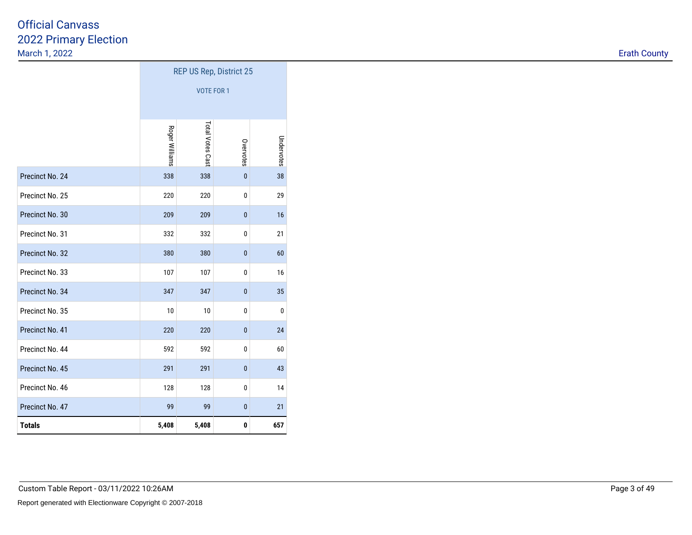|                 | <b>REP US Rep, District 25</b> |                   |              |            |  |  |  |  |  |  |
|-----------------|--------------------------------|-------------------|--------------|------------|--|--|--|--|--|--|
|                 |                                | <b>VOTE FOR 1</b> |              |            |  |  |  |  |  |  |
|                 | Roger Williams                 | Total Votes Cast  | Overvotes    | Undervotes |  |  |  |  |  |  |
| Precinct No. 24 | 338                            | 338               | $\pmb{0}$    | 38         |  |  |  |  |  |  |
| Precinct No. 25 | 220                            | 220               | 0            | 29         |  |  |  |  |  |  |
| Precinct No. 30 | 209                            | 209               | $\pmb{0}$    | 16         |  |  |  |  |  |  |
| Precinct No. 31 | 332                            | 332               | 0            | 21         |  |  |  |  |  |  |
| Precinct No. 32 | 380                            | 380               | $\mathbf{0}$ | 60         |  |  |  |  |  |  |
| Precinct No. 33 | 107                            | 107               | 0            | 16         |  |  |  |  |  |  |
| Precinct No. 34 | 347                            | 347               | $\mathbf{0}$ | 35         |  |  |  |  |  |  |
| Precinct No. 35 | 10                             | 10                | 0            | 0          |  |  |  |  |  |  |
| Precinct No. 41 | 220                            | 220               | $\pmb{0}$    | 24         |  |  |  |  |  |  |
| Precinct No. 44 | 592                            | 592               | 0            | 60         |  |  |  |  |  |  |
| Precinct No. 45 | 291                            | 291               | $\pmb{0}$    | 43         |  |  |  |  |  |  |
| Precinct No. 46 | 128                            | 128               | 0            | 14         |  |  |  |  |  |  |
| Precinct No. 47 | 99                             | 99                | $\pmb{0}$    | 21         |  |  |  |  |  |  |
| <b>Totals</b>   | 5,408                          | 5,408             | 0            | 657        |  |  |  |  |  |  |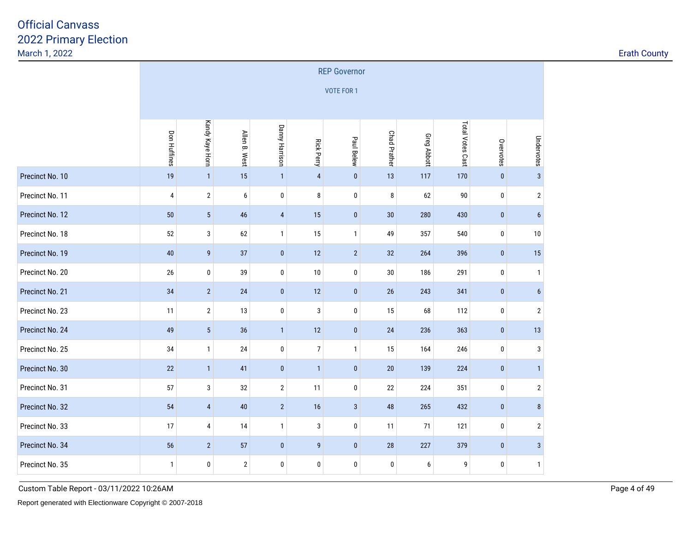|                 | <b>REP Governor</b> |                 |                  |                |                         |                   |                     |                    |                  |             |                  |  |  |
|-----------------|---------------------|-----------------|------------------|----------------|-------------------------|-------------------|---------------------|--------------------|------------------|-------------|------------------|--|--|
|                 |                     |                 |                  |                |                         | <b>VOTE FOR 1</b> |                     |                    |                  |             |                  |  |  |
|                 |                     |                 |                  |                |                         |                   |                     |                    |                  |             |                  |  |  |
|                 | <b>Don Huffines</b> | Kandy Kaye Horn | Allen B. West    | Danny Harrison | <b>Rick Perry</b>       | Paul Belew        | <b>Chad Prather</b> | <b>Greg Abbott</b> | Total Votes Cast | Overvotes   | Undervotes       |  |  |
| Precinct No. 10 | 19                  | $\mathbf{1}$    | 15               | $\mathbf{1}$   | $\overline{\mathbf{4}}$ | $\bf{0}$          | 13                  | 117                | 170              | $\pmb{0}$   | $\sqrt{3}$       |  |  |
| Precinct No. 11 | 4                   | $\mathbf{2}$    | $\boldsymbol{6}$ | $\pmb{0}$      | 8                       | $\pmb{0}$         | 8                   | 62                 | $90\,$           | 0           | $\sqrt{2}$       |  |  |
| Precinct No. 12 | 50                  | $\sqrt{5}$      | 46               | $\overline{4}$ | 15                      | $\bf{0}$          | 30                  | 280                | 430              | $\pmb{0}$   | 6                |  |  |
| Precinct No. 18 | 52                  | 3               | 62               | $\mathbf{1}$   | 15                      | $\mathbf{1}$      | 49                  | 357                | 540              | $\mathbf 0$ | 10               |  |  |
| Precinct No. 19 | 40                  | 9               | 37               | $\bf{0}$       | 12                      | $\overline{2}$    | 32                  | 264                | 396              | $\bf{0}$    | 15               |  |  |
| Precinct No. 20 | 26                  | 0               | 39               | $\bf{0}$       | 10                      | $\pmb{0}$         | 30                  | 186                | 291              | 0           | $\overline{1}$   |  |  |
| Precinct No. 21 | 34                  | $\overline{2}$  | 24               | $\pmb{0}$      | 12                      | $\pmb{0}$         | 26                  | 243                | 341              | $\pmb{0}$   | $\boldsymbol{6}$ |  |  |
| Precinct No. 23 | 11                  | $\mathbf{2}$    | 13               | $\bf{0}$       | 3                       | 0                 | 15                  | 68                 | 112              | 0           | $\overline{2}$   |  |  |
| Precinct No. 24 | 49                  | 5               | 36               | $\mathbf{1}$   | $12\,$                  | $\pmb{0}$         | 24                  | 236                | 363              | $\pmb{0}$   | $13$             |  |  |
| Precinct No. 25 | 34                  | $\mathbf{1}$    | 24               | $\bf{0}$       | $\overline{7}$          | $\mathbf{1}$      | 15                  | 164                | 246              | 0           | 3                |  |  |
| Precinct No. 30 | 22                  | $\mathbf{1}$    | 41               | $\pmb{0}$      | $\mathbf{1}$            | $\pmb{0}$         | 20                  | 139                | 224              | $\pmb{0}$   | $\overline{1}$   |  |  |
| Precinct No. 31 | 57                  | 3               | 32               | $\overline{2}$ | 11                      | 0                 | 22                  | 224                | 351              | 0           | $\sqrt{2}$       |  |  |
| Precinct No. 32 | 54                  | $\overline{4}$  | 40               | $\sqrt{2}$     | $16$                    | $\sqrt{3}$        | 48                  | 265                | 432              | $\pmb{0}$   | $\bf 8$          |  |  |
| Precinct No. 33 | 17                  | $\overline{4}$  | 14               | $\mathbf{1}$   | 3                       | 0                 | 11                  | 71                 | 121              | 0           | $\overline{2}$   |  |  |
| Precinct No. 34 | 56                  | $\overline{2}$  | 57               | $\pmb{0}$      | 9                       | $\pmb{0}$         | 28                  | 227                | 379              | $\pmb{0}$   | $\sqrt{3}$       |  |  |
| Precinct No. 35 | $\mathbf{1}$        | 0               | $\overline{2}$   | $\bf{0}$       | 0                       | 0                 | 0                   | 6                  | 9                | 0           | $\mathbf{1}$     |  |  |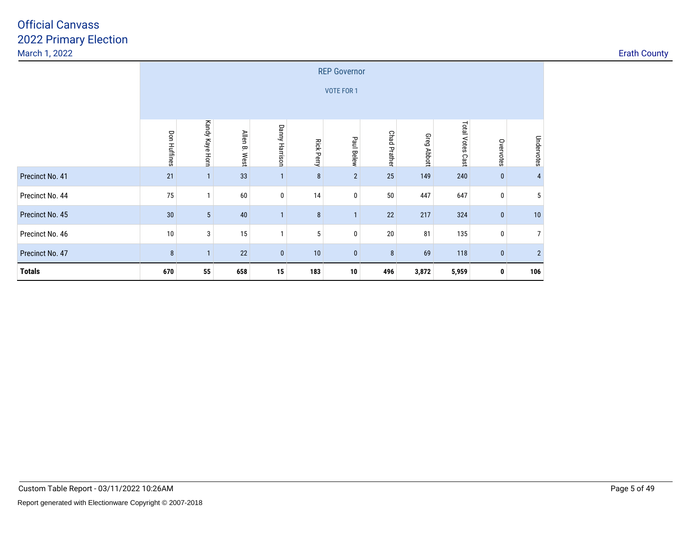|                 | <b>REP Governor</b>                                                                                   |                 |                  |                |                   |                   |                     |             |                     |              |                |  |  |
|-----------------|-------------------------------------------------------------------------------------------------------|-----------------|------------------|----------------|-------------------|-------------------|---------------------|-------------|---------------------|--------------|----------------|--|--|
|                 |                                                                                                       |                 |                  |                |                   | <b>VOTE FOR 1</b> |                     |             |                     |              |                |  |  |
|                 |                                                                                                       |                 |                  |                |                   |                   |                     |             |                     |              |                |  |  |
|                 | <b>Don Huffines</b>                                                                                   | Kandy Kaye Horn | Allen B.<br>West | Danny Harrison | <b>Rick Perry</b> | Paul Belew        | <b>Chad Prather</b> | Greg Abbott | Total Votes<br>Cast | Overvotes    | Undervotes     |  |  |
| Precinct No. 41 | 21                                                                                                    | $\mathbf{1}$    | 33               | $\mathbf{1}$   | 8                 | $\overline{2}$    | 25                  | 149         | 240                 | $\mathbf{0}$ | 4              |  |  |
| Precinct No. 44 | 75                                                                                                    |                 | 60               | 0              | 14                | 0                 | 50                  | 447         | 647                 | 0            | 5              |  |  |
| Precinct No. 45 | 30                                                                                                    | $5\phantom{.0}$ | 40               | $\mathbf{1}$   | 8                 | $\mathbf{1}$      | 22                  | 217         | 324                 | $\bf{0}$     | 10             |  |  |
| Precinct No. 46 | $10\,$                                                                                                | $\mathbf{3}$    | 15               | -1             | 5                 | 0                 | $20\,$              | 81          | 135                 | 0            | 7 <sup>1</sup> |  |  |
| Precinct No. 47 | $\overline{2}$<br>8<br>22<br>$\bf{0}$<br>10<br>$\bf{0}$<br>8<br>69<br>118<br>$\bf{0}$<br>$\mathbf{1}$ |                 |                  |                |                   |                   |                     |             |                     |              |                |  |  |
| <b>Totals</b>   | 670                                                                                                   | 55              | 658              | 15             | 183               | 10                | 496                 | 3,872       | 5,959               | 0            | 106            |  |  |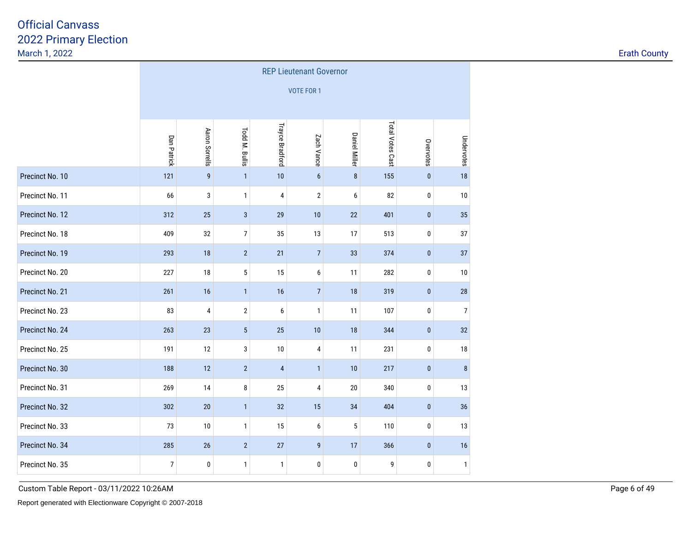|                 | <b>REP Lieutenant Governor</b> |                  |                 |                        |                   |                      |                  |           |                |  |  |  |
|-----------------|--------------------------------|------------------|-----------------|------------------------|-------------------|----------------------|------------------|-----------|----------------|--|--|--|
|                 |                                |                  |                 |                        | <b>VOTE FOR 1</b> |                      |                  |           |                |  |  |  |
|                 |                                |                  |                 |                        |                   |                      |                  |           |                |  |  |  |
|                 | Dan Patrick                    | Aaron Sorrells   | Todd M. Bullis  | <b>Trayce Bradford</b> | Zach Vance        | <b>Daniel Miller</b> | Total Votes Cast | Overvotes | Undervotes     |  |  |  |
| Precinct No. 10 | 121                            | $\boldsymbol{9}$ | $\mathbf{1}$    | 10                     | 6                 | $\bf 8$              | 155              | $\pmb{0}$ | 18             |  |  |  |
| Precinct No. 11 | 66                             | 3                | 1               | 4                      | $\overline{2}$    | 6                    | 82               | 0         | 10             |  |  |  |
| Precinct No. 12 | 312                            | 25               | $\mathbf{3}$    | 29                     | 10                | 22                   | 401              | $\pmb{0}$ | 35             |  |  |  |
| Precinct No. 18 | 409                            | 32               | $\overline{7}$  | 35                     | 13                | 17                   | 513              | 0         | 37             |  |  |  |
| Precinct No. 19 | 293                            | 18               | $\overline{2}$  | 21                     | $\overline{7}$    | 33                   | 374              | $\pmb{0}$ | 37             |  |  |  |
| Precinct No. 20 | 227                            | $18\,$           | $\sqrt{5}$      | 15                     | 6                 | 11                   | 282              | $\pmb{0}$ | 10             |  |  |  |
| Precinct No. 21 | 261                            | 16               | $\mathbf{1}$    | 16                     | $7\overline{ }$   | 18                   | 319              | $\bf{0}$  | 28             |  |  |  |
| Precinct No. 23 | 83                             | $\overline{4}$   | $\overline{2}$  | 6                      | $\mathbf{1}$      | 11                   | 107              | 0         | $\overline{7}$ |  |  |  |
| Precinct No. 24 | 263                            | 23               | $5\phantom{.0}$ | 25                     | $10$              | 18                   | 344              | $\pmb{0}$ | 32             |  |  |  |
| Precinct No. 25 | 191                            | 12               | 3               | 10                     | 4                 | 11                   | 231              | 0         | 18             |  |  |  |
| Precinct No. 30 | 188                            | 12               | $\overline{2}$  | $\overline{4}$         | $\mathbf{1}$      | 10                   | 217              | $\pmb{0}$ | $\bf 8$        |  |  |  |
| Precinct No. 31 | 269                            | 14               | 8               | 25                     | 4                 | 20                   | 340              | 0         | 13             |  |  |  |
| Precinct No. 32 | 302                            | 20               | $\mathbf{1}$    | 32                     | 15                | 34                   | 404              | $\pmb{0}$ | 36             |  |  |  |
| Precinct No. 33 | 73                             | $10$             | $\mathbf{1}$    | 15                     | 6                 | 5                    | 110              | 0         | 13             |  |  |  |
| Precinct No. 34 | 285                            | 26               | $\overline{2}$  | 27                     | 9                 | 17                   | 366              | $\pmb{0}$ | 16             |  |  |  |
| Precinct No. 35 | $\overline{7}$                 | 0                | $\mathbf{1}$    | $\mathbf{1}$           | 0                 | 0                    | 9                | 0         | $\mathbf{1}$   |  |  |  |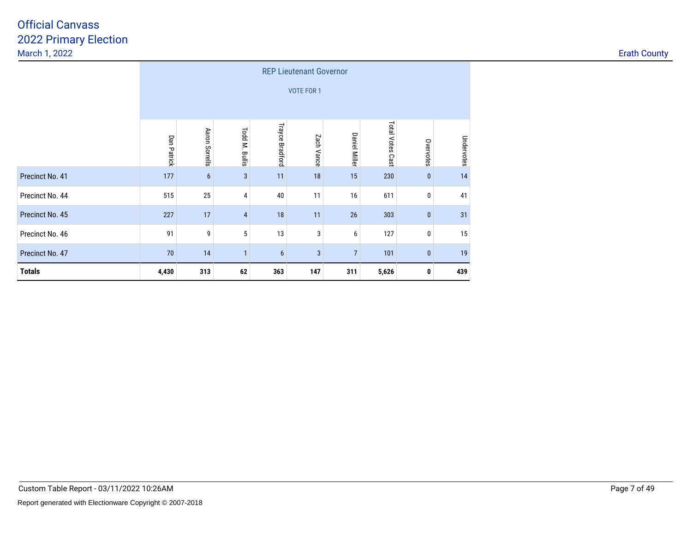|                 | <b>REP Lieutenant Governor</b> |                                                                                                                                                |    |     |     |     |       |           |     |  |  |  |  |
|-----------------|--------------------------------|------------------------------------------------------------------------------------------------------------------------------------------------|----|-----|-----|-----|-------|-----------|-----|--|--|--|--|
|                 |                                | <b>VOTE FOR 1</b>                                                                                                                              |    |     |     |     |       |           |     |  |  |  |  |
|                 | Dan Patrick                    | Total Votes<br>Trayce Bradford<br>Aaron Sorrells<br>Todd M.<br><b>Daniel Miller</b><br>Zach Vance<br>Undervotes<br>Overvotes<br>Bullis<br>Cast |    |     |     |     |       |           |     |  |  |  |  |
| Precinct No. 41 | 177                            | $6\phantom{1}$                                                                                                                                 | 3  | 11  | 18  | 15  | 230   | $\pmb{0}$ | 14  |  |  |  |  |
| Precinct No. 44 | 515                            | 25                                                                                                                                             | 4  | 40  | 11  | 16  | 611   | 0         | 41  |  |  |  |  |
| Precinct No. 45 | 227                            | 17                                                                                                                                             | 4  | 18  | 11  | 26  | 303   | $\pmb{0}$ | 31  |  |  |  |  |
| Precinct No. 46 | 91                             | 9                                                                                                                                              | 5  | 13  | 3   | 6   | 127   | 0         | 15  |  |  |  |  |
| Precinct No. 47 | 70                             | 14<br>19<br>3<br>$\overline{7}$<br>101<br>$\pmb{0}$<br>$6\phantom{1}$<br>$\mathbf{1}$                                                          |    |     |     |     |       |           |     |  |  |  |  |
| <b>Totals</b>   | 4,430                          | 313                                                                                                                                            | 62 | 363 | 147 | 311 | 5,626 | 0         | 439 |  |  |  |  |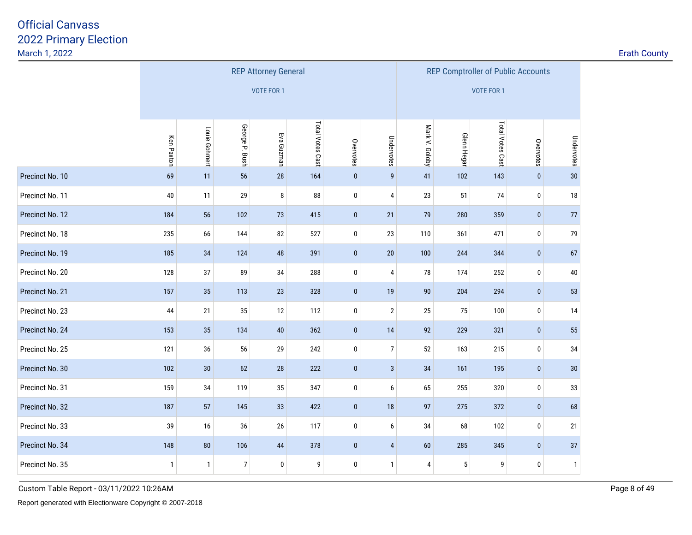| <b>Erath County</b> |  |  |
|---------------------|--|--|
|                     |  |  |

|                 |              |               |                | <b>REP Attorney General</b> |                  |           | <b>REP Comptroller of Public Accounts</b> |                   |                    |                  |             |              |  |
|-----------------|--------------|---------------|----------------|-----------------------------|------------------|-----------|-------------------------------------------|-------------------|--------------------|------------------|-------------|--------------|--|
|                 |              |               |                | <b>VOTE FOR 1</b>           |                  |           |                                           | <b>VOTE FOR 1</b> |                    |                  |             |              |  |
|                 |              |               |                |                             |                  |           |                                           |                   |                    |                  |             |              |  |
|                 | Ken Paxton   | Louie Gohmert | George P. Bush | Eva Guzman                  | Total Votes Cast | Overvotes | Undervotes                                | Mark V. Goloby    | <b>Glenn Hegar</b> | Total Votes Cast | Overvotes   | Undervotes   |  |
| Precinct No. 10 | 69           | 11            | 56             | 28                          | 164              | $\pmb{0}$ | $\overline{9}$                            | 41                | 102                | 143              | $\pmb{0}$   | 30           |  |
| Precinct No. 11 | 40           | 11            | 29             | 8                           | 88               | $\pmb{0}$ | $\overline{4}$                            | 23                | 51                 | 74               | $\mathbf 0$ | $18$         |  |
| Precinct No. 12 | 184          | 56            | 102            | 73                          | 415              | $\pmb{0}$ | 21                                        | 79                | 280                | 359              | $\mathbf 0$ | $77\,$       |  |
| Precinct No. 18 | 235          | 66            | 144            | 82                          | 527              | $\pmb{0}$ | 23                                        | 110               | 361                | 471              | 0           | 79           |  |
| Precinct No. 19 | 185          | 34            | 124            | 48                          | 391              | $\pmb{0}$ | 20                                        | 100               | 244                | 344              | $\pmb{0}$   | 67           |  |
| Precinct No. 20 | 128          | 37            | 89             | 34                          | 288              | $\pmb{0}$ | $\overline{4}$                            | 78                | 174                | 252              | 0           | $40\,$       |  |
| Precinct No. 21 | 157          | 35            | 113            | 23                          | 328              | $\pmb{0}$ | 19                                        | 90                | 204                | 294              | $\pmb{0}$   | 53           |  |
| Precinct No. 23 | 44           | 21            | 35             | 12                          | 112              | $\pmb{0}$ | $\sqrt{2}$                                | 25                | 75                 | 100              | 0           | 14           |  |
| Precinct No. 24 | 153          | $35\,$        | 134            | 40                          | 362              | $\pmb{0}$ | 14                                        | 92                | 229                | 321              | $\mathbf 0$ | 55           |  |
| Precinct No. 25 | 121          | 36            | 56             | 29                          | 242              | $\pmb{0}$ | $\overline{7}$                            | 52                | 163                | 215              | 0           | 34           |  |
| Precinct No. 30 | 102          | $30\,$        | 62             | 28                          | 222              | $\pmb{0}$ | $\mathbf{3}$                              | 34                | 161                | 195              | $\mathbf 0$ | 30           |  |
| Precinct No. 31 | 159          | 34            | 119            | 35                          | 347              | $\pmb{0}$ | 6                                         | 65                | 255                | 320              | 0           | 33           |  |
| Precinct No. 32 | 187          | 57            | 145            | 33                          | 422              | $\pmb{0}$ | 18                                        | 97                | 275                | 372              | $\pmb{0}$   | 68           |  |
| Precinct No. 33 | 39           | 16            | 36             | 26                          | 117              | $\pmb{0}$ | 6                                         | 34                | 68                 | 102              | 0           | 21           |  |
| Precinct No. 34 | 148          | ${\bf 80}$    | 106            | 44                          | 378              | $\pmb{0}$ | $\overline{4}$                            | 60                | 285                | 345              | $\mathbf 0$ | 37           |  |
| Precinct No. 35 | $\mathbf{1}$ | $\mathbf{1}$  | $\overline{7}$ | 0                           | 9                | $\pmb{0}$ | $\overline{1}$                            | 4                 | 5                  | 9                | 0           | $\mathbf{1}$ |  |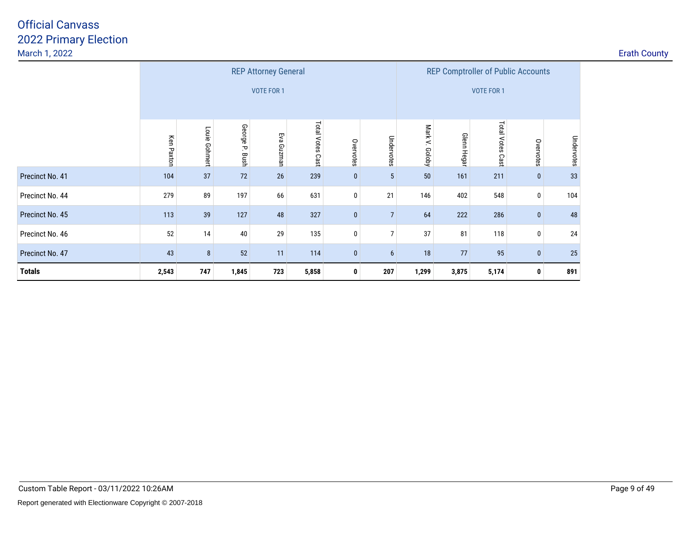|                 |            |                   |                | <b>REP Attorney General</b> |                  |             | <b>REP Comptroller of Public Accounts</b> |                   |                   |                  |              |            |  |  |
|-----------------|------------|-------------------|----------------|-----------------------------|------------------|-------------|-------------------------------------------|-------------------|-------------------|------------------|--------------|------------|--|--|
|                 |            | <b>VOTE FOR 1</b> |                |                             |                  |             |                                           |                   | <b>VOTE FOR 1</b> |                  |              |            |  |  |
|                 | Ken Paxton | Louie<br>Gohmert  | George P. Bush | Еvа<br>Guznan               | Total Votes Cast | Overvotes   | Undervotes                                | Mark V.<br>Coloby | Glenn Hegar       | Total Votes Cast | Overvotes    | Undervotes |  |  |
| Precinct No. 41 | 104        | 37                | $72\,$         | 26                          | 239              | $\bf{0}$    | $5\phantom{.0}$                           | 50                | 161               | 211              | $\mathbf{0}$ | 33         |  |  |
| Precinct No. 44 | 279        | 89                | 197            | 66                          | 631              | 0           | 21                                        | 146               | 402               | 548              | 0            | 104        |  |  |
| Precinct No. 45 | 113        | 39                | 127            | 48                          | 327              | $\bf{0}$    | $\overline{7}$                            | 64                | 222               | 286              | $\mathbf{0}$ | 48         |  |  |
| Precinct No. 46 | 52         | 14                | 40             | 29                          | 135              | $\mathbf 0$ | 7                                         | 37                | 81                | 118              | $\mathbf 0$  | 24         |  |  |
| Precinct No. 47 | 43         | $\bf 8$           | 52             | 11                          | 114              | $\bf{0}$    | 6                                         | 18                | 77                | 95               | $\bf{0}$     | 25         |  |  |
| <b>Totals</b>   | 2,543      | 747               | 1,845          | 723                         | 5,858            | 0           | 207                                       | 1,299             | 3,875             | 5,174            | 0            | 891        |  |  |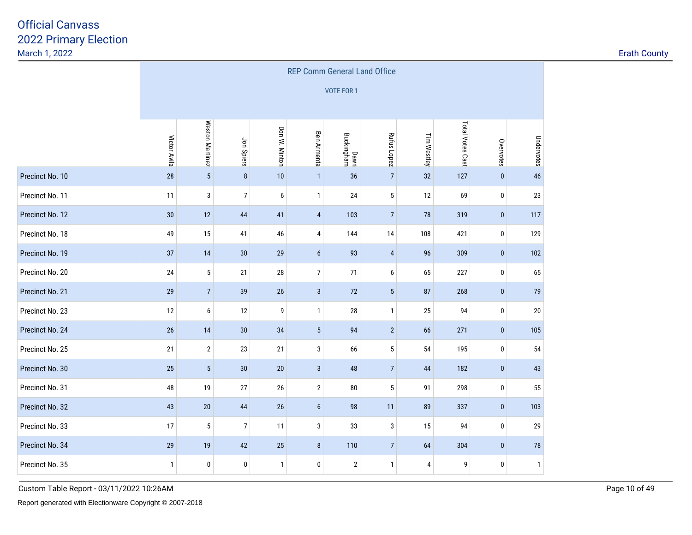|                 | <b>REP Comm General Land Office</b> |                 |                |               |                          |                    |                 |             |                  |              |              |  |
|-----------------|-------------------------------------|-----------------|----------------|---------------|--------------------------|--------------------|-----------------|-------------|------------------|--------------|--------------|--|
|                 |                                     |                 |                |               |                          | <b>VOTE FOR 1</b>  |                 |             |                  |              |              |  |
|                 |                                     |                 |                |               |                          |                    |                 |             |                  |              |              |  |
|                 | Victor Avila                        | Weston Martinez | Jon Spiers     | Don W. Minton | <b>Ben Armenta</b>       | Dawn<br>Buckingham | Rufus Lopez     | Tim Westley | Total Votes Cast | Overvotes    | Undervotes   |  |
| Precinct No. 10 | 28                                  | $\overline{5}$  | $\bf 8$        | $10$          | $\mathbf{1}$             | 36                 | $7\overline{ }$ | 32          | 127              | $\mathbf{0}$ | 46           |  |
| Precinct No. 11 | 11                                  | 3               | $\overline{7}$ | 6             | $\mathbf{1}$             | 24                 | $5\phantom{.0}$ | 12          | 69               | $\bf{0}$     | 23           |  |
| Precinct No. 12 | 30                                  | 12              | 44             | 41            | $\overline{4}$           | 103                | $\overline{7}$  | 78          | 319              | $\mathbf{0}$ | 117          |  |
| Precinct No. 18 | 49                                  | 15              | 41             | 46            | 4                        | 144                | 14              | 108         | 421              | $\bf{0}$     | 129          |  |
| Precinct No. 19 | 37                                  | 14              | $30\,$         | 29            | $\boldsymbol{6}$         | 93                 | $\overline{4}$  | 96          | 309              | $\mathbf{0}$ | 102          |  |
| Precinct No. 20 | $24\,$                              | 5               | 21             | $28\,$        | $\overline{\mathcal{I}}$ | 71                 | 6               | 65          | 227              | $\pmb{0}$    | 65           |  |
| Precinct No. 21 | 29                                  | 7 <sup>1</sup>  | 39             | 26            | $\mathbf{3}$             | 72                 | 5 <sup>5</sup>  | 87          | 268              | $\mathbf{0}$ | 79           |  |
| Precinct No. 23 | 12                                  | 6               | 12             | 9             | $\mathbf{1}$             | 28                 | $\mathbf{1}$    | 25          | 94               | 0            | $20\,$       |  |
| Precinct No. 24 | $26\,$                              | 14              | $30\,$         | 34            | $\sqrt{5}$               | 94                 | $\overline{2}$  | 66          | 271              | $\pmb{0}$    | 105          |  |
| Precinct No. 25 | 21                                  | $\mathbf{2}$    | 23             | 21            | 3                        | 66                 | $\sqrt{5}$      | 54          | 195              | 0            | 54           |  |
| Precinct No. 30 | 25                                  | $5\phantom{.0}$ | 30             | 20            | $\mathbf{3}$             | 48                 | $7\overline{ }$ | 44          | 182              | $\mathbf{0}$ | 43           |  |
| Precinct No. 31 | 48                                  | 19              | 27             | 26            | $\overline{2}$           | 80                 | 5               | 91          | 298              | 0            | 55           |  |
| Precinct No. 32 | 43                                  | $20\,$          | 44             | $26\,$        | $\boldsymbol{6}$         | 98                 | 11              | 89          | 337              | $\pmb{0}$    | 103          |  |
| Precinct No. 33 | 17                                  | $\sqrt{5}$      | $\overline{7}$ | 11            | 3                        | 33                 | 3               | 15          | 94               | $\pmb{0}$    | 29           |  |
| Precinct No. 34 | 29                                  | 19              | 42             | 25            | 8                        | 110                | $\overline{7}$  | 64          | 304              | $\mathbf{0}$ | 78           |  |
| Precinct No. 35 | $\mathbf{1}$                        | 0               | $\mathbf 0$    | $\mathbf{1}$  | 0                        | $\overline{2}$     | $\mathbf{1}$    | 4           | 9                | $\bf{0}$     | $\mathbf{1}$ |  |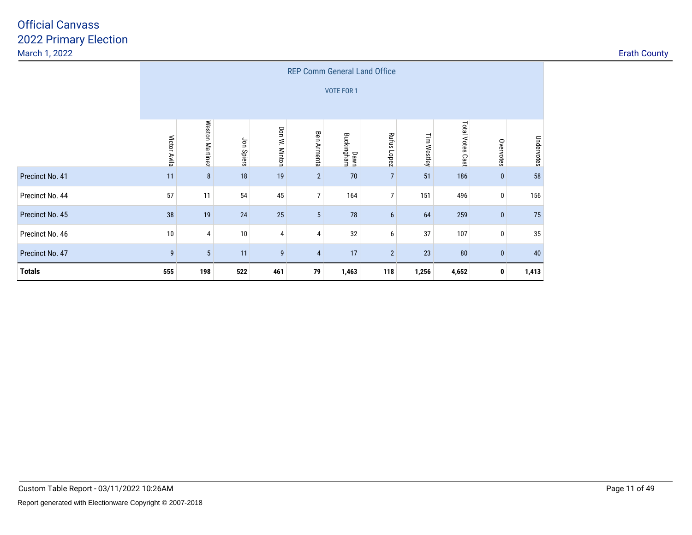|                 |                  |                 |            |               | <b>REP Comm General Land Office</b> |                    |                 |             |                  |              |            |
|-----------------|------------------|-----------------|------------|---------------|-------------------------------------|--------------------|-----------------|-------------|------------------|--------------|------------|
|                 |                  |                 |            |               |                                     | <b>VOTE FOR 1</b>  |                 |             |                  |              |            |
|                 | Victor Avila     | Weston Martinez | Jon Spiers | Don W. Minton | <b>Ben Armenta</b>                  | Dawn<br>Buckingham | Rufus Lopez     | Tim Westley | Total Votes Cast | Overvotes    | Undervotes |
| Precinct No. 41 | 11               | 8               | 18         | 19            | $\overline{2}$                      | 70                 | $\overline{7}$  | 51          | 186              | $\mathbf{0}$ | 58         |
| Precinct No. 44 | 57               | 11              | 54         | 45            | 7 <sup>1</sup>                      | 164                | $\overline{7}$  | 151         | 496              | 0            | 156        |
| Precinct No. 45 | 38               | 19              | 24         | 25            | $5\phantom{.0}$                     | 78                 | $6\phantom{.}6$ | 64          | 259              | $\mathbf{0}$ | 75         |
| Precinct No. 46 | 10               | 4               | 10         | 4             | $\overline{4}$                      | 32                 | 6               | 37          | 107              | 0            | 35         |
| Precinct No. 47 | $\boldsymbol{9}$ | $5\phantom{.0}$ | 11         | 9             | $\overline{4}$                      | 17                 | $\overline{2}$  | 23          | ${\bf 80}$       | $\mathbf{0}$ | 40         |
| <b>Totals</b>   | 555              | 198             | 522        | 461           | 79                                  | 1,463              | 118             | 1,256       | 4,652            | 0            | 1,413      |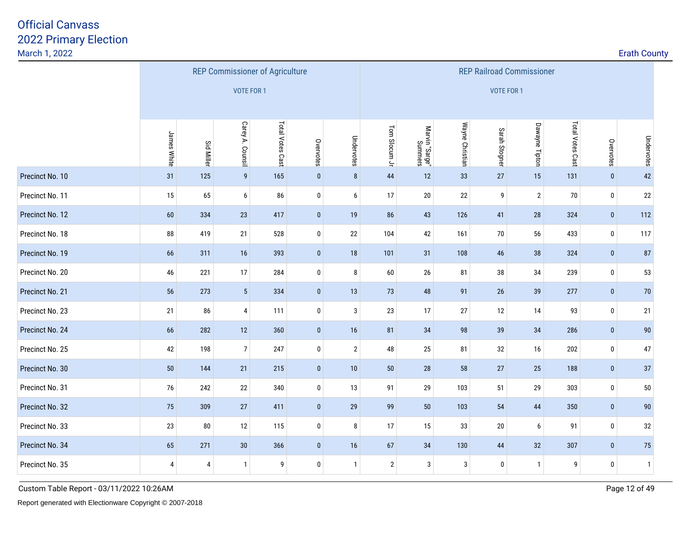|                 |                |                   |                  | <b>REP Commissioner of Agriculture</b> |              |                |                |                           |                 | <b>REP Railroad Commissioner</b> |                |                  |              |                |
|-----------------|----------------|-------------------|------------------|----------------------------------------|--------------|----------------|----------------|---------------------------|-----------------|----------------------------------|----------------|------------------|--------------|----------------|
|                 |                |                   | VOTE FOR 1       |                                        |              |                |                |                           |                 | VOTE FOR 1                       |                |                  |              |                |
|                 | James White    | <b>Sid Miller</b> | Carey A. Counsil | Total Votes Cast                       | Overvotes    | Undervotes     | Tom Slocum Jr  | Marvin "Sarge"<br>Summers | Wayne Christian | Sarah Stogner                    | Dawayne Tipton | Total Votes Cast | Overvotes    | Undervotes     |
| Precinct No. 10 | 31             | 125               | $\overline{9}$   | 165                                    | $\pmb{0}$    | $\bf 8$        | 44             | 12                        | 33              | $27\,$                           | 15             | 131              | $\mathbf{0}$ | 42             |
| Precinct No. 11 | 15             | 65                | 6                | 86                                     | 0            | 6              | 17             | $20\,$                    | $22\,$          | 9                                | $\mathbf{2}$   | 70               | $\mathbf 0$  | 22             |
| Precinct No. 12 | 60             | 334               | 23               | 417                                    | $\mathbf{0}$ | 19             | 86             | 43                        | 126             | 41                               | 28             | 324              | $\mathbf{0}$ | 112            |
| Precinct No. 18 | 88             | 419               | 21               | 528                                    | 0            | 22             | 104            | 42                        | 161             | 70                               | 56             | 433              | 0            | 117            |
| Precinct No. 19 | 66             | 311               | 16               | 393                                    | $\mathbf{0}$ | 18             | 101            | 31                        | 108             | 46                               | 38             | 324              | $\mathbf{0}$ | 87             |
| Precinct No. 20 | 46             | 221               | 17               | 284                                    | 0            | $\bf 8$        | $60\,$         | 26                        | 81              | $38\,$                           | 34             | 239              | $\mathbf 0$  | 53             |
| Precinct No. 21 | 56             | 273               | $\sqrt{5}$       | 334                                    | $\mathbf{0}$ | 13             | 73             | 48                        | 91              | $26\,$                           | 39             | 277              | $\mathbf{0}$ | 70             |
| Precinct No. 23 | 21             | 86                | 4                | 111                                    | 0            | $\mathbf{3}$   | 23             | 17                        | $27\,$          | 12                               | 14             | 93               | $\mathbf 0$  | 21             |
| Precinct No. 24 | 66             | 282               | $12$             | 360                                    | $\bf{0}$     | 16             | 81             | 34                        | 98              | 39                               | 34             | 286              | $\pmb{0}$    | 90             |
| Precinct No. 25 | 42             | 198               | $7\overline{ }$  | 247                                    | $\pmb{0}$    | $\overline{2}$ | 48             | $25\,$                    | 81              | $32\,$                           | 16             | 202              | $\pmb{0}$    | 47             |
| Precinct No. 30 | 50             | 144               | 21               | 215                                    | $\pmb{0}$    | 10             | $50\,$         | 28                        | 58              | $27\,$                           | 25             | 188              | $\pmb{0}$    | 37             |
| Precinct No. 31 | 76             | 242               | $22\,$           | 340                                    | 0            | 13             | 91             | 29                        | 103             | $51\,$                           | 29             | 303              | $\mathbf 0$  | $50\,$         |
| Precinct No. 32 | 75             | 309               | 27               | 411                                    | $\mathbf{0}$ | 29             | 99             | 50                        | 103             | 54                               | 44             | 350              | $\pmb{0}$    | 90             |
| Precinct No. 33 | 23             | 80                | 12               | 115                                    | 0            | 8              | 17             | 15                        | 33              | 20                               | 6              | 91               | $\pmb{0}$    | $32\,$         |
| Precinct No. 34 | 65             | 271               | $30\,$           | 366                                    | $\mathbf{0}$ | 16             | 67             | 34                        | 130             | 44                               | 32             | 307              | $\pmb{0}$    | 75             |
| Precinct No. 35 | $\overline{4}$ | $\overline{4}$    | $\mathbf{1}$     | 9                                      | 0            | $\mathbf{1}$   | $\overline{2}$ | 3                         | 3               | $\pmb{0}$                        | -1             | 9                | $\pmb{0}$    | $\overline{1}$ |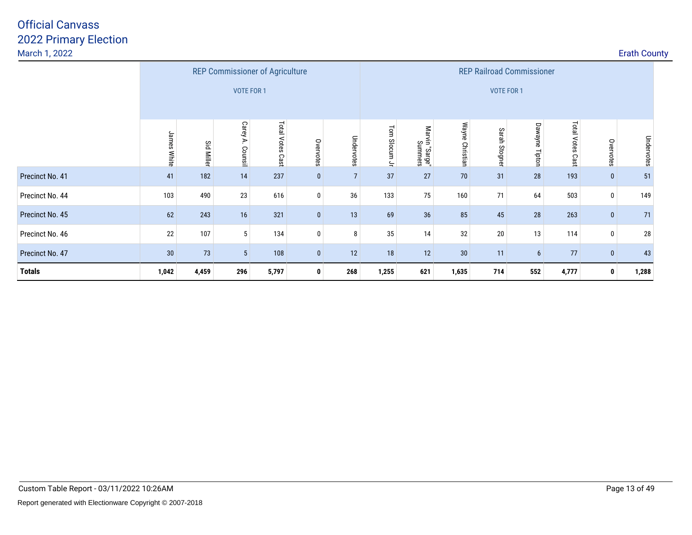|                 |             |                   |                   | <b>REP Commissioner of Agriculture</b> |              |                |               |                                 |                 | <b>REP Railroad Commissioner</b> |                   |                            |              |            |
|-----------------|-------------|-------------------|-------------------|----------------------------------------|--------------|----------------|---------------|---------------------------------|-----------------|----------------------------------|-------------------|----------------------------|--------------|------------|
|                 |             |                   | <b>VOTE FOR 1</b> |                                        |              |                |               |                                 |                 | VOTE FOR 1                       |                   |                            |              |            |
|                 | James White | <b>Sid Miller</b> | Carey A. Counsil  | <b>Total Votes</b><br>Cast             | Overvotes    | Undervotes     | Tom Slocum Jr | Marvin<br>in "Sarge"<br>Summers | Wayne Christian | Sarah Stogner                    | Dawayne<br>Tipton | <b>Total Votes</b><br>Cast | Overvotes    | Undervotes |
| Precinct No. 41 | 41          | 182               | 14                | 237                                    | $\mathbf{0}$ | $\overline{7}$ | 37            | 27                              | 70              | 31                               | 28                | 193                        | $\mathbf{0}$ | 51         |
| Precinct No. 44 | 103         | 490               | 23                | 616                                    | $\mathbf 0$  | 36             | 133           | 75                              | 160             | 71                               | 64                | 503                        | $\mathbf 0$  | 149        |
| Precinct No. 45 | 62          | 243               | 16                | 321                                    | $\mathbf{0}$ | 13             | 69            | 36                              | 85              | 45                               | 28                | 263                        | $\mathbf{0}$ | 71         |
| Precinct No. 46 | 22          | 107               | $5\,$             | 134                                    | $\mathbf 0$  | 8              | 35            | 14                              | 32              | 20                               | 13                | 114                        | $\mathbf 0$  | 28         |
| Precinct No. 47 | 30          | 73                | $5\phantom{.0}$   | 108                                    | $\mathbf{0}$ | 12             | 18            | 12                              | 30              | 11                               | 6                 | 77                         | $\mathbf{0}$ | 43         |
| <b>Totals</b>   | 1,042       | 4,459             | 296               | 5,797                                  | $\bf{0}$     | 268            | 1,255         | 621                             | 1,635           | 714                              | 552               | 4,777                      | $\mathbf{0}$ | 1,288      |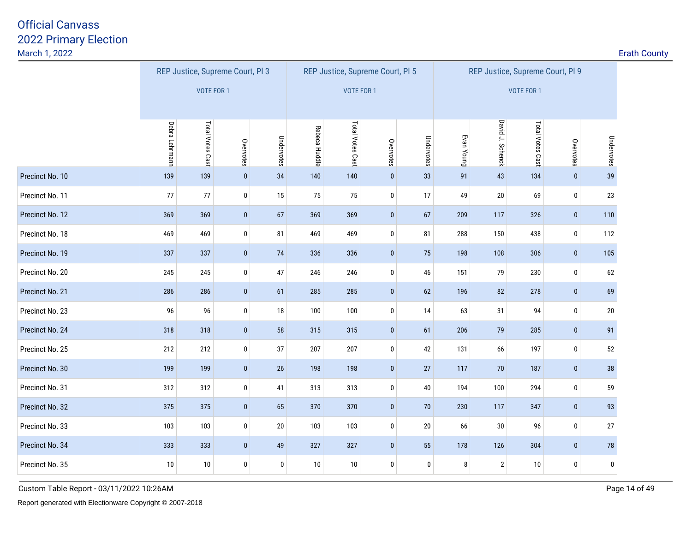|                 |                | REP Justice, Supreme Court, Pl 3 |           |            |               | REP Justice, Supreme Court, PI 5 |             |                  |            | REP Justice, Supreme Court, Pl 9 |                  |             |            |
|-----------------|----------------|----------------------------------|-----------|------------|---------------|----------------------------------|-------------|------------------|------------|----------------------------------|------------------|-------------|------------|
|                 |                | <b>VOTE FOR 1</b>                |           |            |               | <b>VOTE FOR 1</b>                |             |                  |            |                                  | VOTE FOR 1       |             |            |
|                 |                |                                  |           |            |               |                                  |             |                  |            |                                  |                  |             |            |
|                 | Debra Lehrmann | Total Votes Cast                 | Overvotes | Undervotes | Rebeca Huddle | Total Votes Cast                 | Overvotes   | Undervotes       | Evan Young | David J. Schenck                 | Total Votes Cast | Overvotes   | Undervotes |
| Precinct No. 10 | 139            | 139                              | $\pmb{0}$ | 34         | 140           | 140                              | $\pmb{0}$   | 33               | 91         | 43                               | 134              | $\pmb{0}$   | 39         |
| Precinct No. 11 | 77             | $77\,$                           | $\pmb{0}$ | 15         | 75            | 75                               | $\pmb{0}$   | 17               | 49         | $20\,$                           | 69               | $\bf{0}$    | 23         |
| Precinct No. 12 | 369            | 369                              | $\pmb{0}$ | 67         | 369           | 369                              | $\pmb{0}$   | 67               | 209        | 117                              | 326              | $\pmb{0}$   | 110        |
| Precinct No. 18 | 469            | 469                              | $\pmb{0}$ | 81         | 469           | 469                              | $\pmb{0}$   | 81               | 288        | 150                              | 438              | $\bf{0}$    | 112        |
| Precinct No. 19 | 337            | 337                              | $\pmb{0}$ | 74         | 336           | 336                              | $\pmb{0}$   | 75               | 198        | 108                              | 306              | $\pmb{0}$   | 105        |
| Precinct No. 20 | 245            | 245                              | 0         | 47         | 246           | 246                              | $\pmb{0}$   | 46               | 151        | 79                               | 230              | 0           | 62         |
| Precinct No. 21 | 286            | 286                              | $\pmb{0}$ | 61         | 285           | 285                              | $\pmb{0}$   | 62               | 196        | 82                               | 278              | $\bf{0}$    | 69         |
| Precinct No. 23 | 96             | 96                               | $\pmb{0}$ | 18         | 100           | 100                              | $\pmb{0}$   | 14               | 63         | 31                               | 94               | $\bf{0}$    | 20         |
| Precinct No. 24 | 318            | 318                              | $\pmb{0}$ | 58         | 315           | 315                              | $\pmb{0}$   | 61               | 206        | 79                               | 285              | $\mathbf 0$ | 91         |
| Precinct No. 25 | 212            | 212                              | $\pmb{0}$ | 37         | 207           | 207                              | 0           | 42               | 131        | 66                               | 197              | $\bf{0}$    | 52         |
| Precinct No. 30 | 199            | 199                              | $\pmb{0}$ | 26         | 198           | 198                              | $\pmb{0}$   | 27               | 117        | 70                               | 187              | $\pmb{0}$   | 38         |
| Precinct No. 31 | 312            | 312                              | 0         | 41         | 313           | 313                              | 0           | $40\,$           | 194        | 100                              | 294              | $\mathbf 0$ | 59         |
| Precinct No. 32 | 375            | 375                              | $\pmb{0}$ | 65         | 370           | 370                              | $\mathbf 0$ | 70               | 230        | 117                              | 347              | $\mathbf 0$ | 93         |
| Precinct No. 33 | 103            | 103                              | $\pmb{0}$ | $20\,$     | 103           | 103                              | $\bf{0}$    | 20               | 66         | 30                               | 96               | $\bf{0}$    | 27         |
| Precinct No. 34 | 333            | 333                              | $\pmb{0}$ | 49         | 327           | 327                              | $\pmb{0}$   | 55               | 178        | 126                              | 304              | $\bf{0}$    | 78         |
| Precinct No. 35 | 10             | 10                               | 0         | 0          | 10            | 10                               | 0           | $\boldsymbol{0}$ | 8          | $\overline{2}$                   | 10               | $\pmb{0}$   | 0          |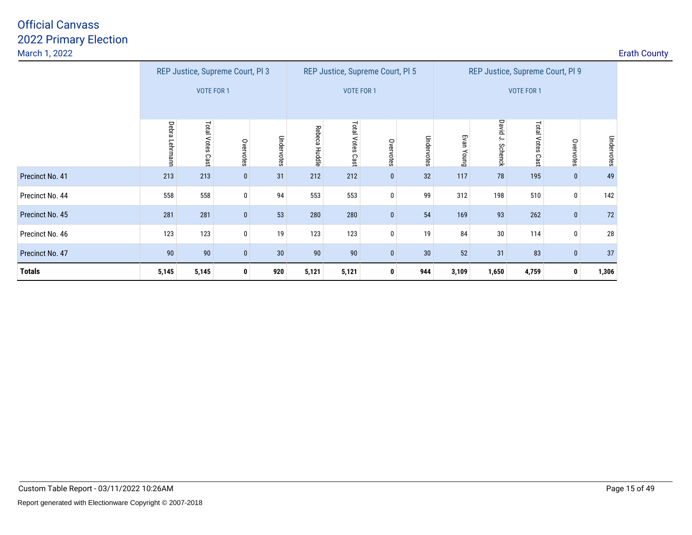|                 |                |                            | REP Justice, Supreme Court, PI 3 |            |               |                            | REP Justice, Supreme Court, PI 5 |            |            |                  |                     | REP Justice, Supreme Court, PI 9 |            |
|-----------------|----------------|----------------------------|----------------------------------|------------|---------------|----------------------------|----------------------------------|------------|------------|------------------|---------------------|----------------------------------|------------|
|                 |                | <b>VOTE FOR 1</b>          |                                  |            |               | <b>VOTE FOR 1</b>          |                                  |            |            |                  | <b>VOTE FOR 1</b>   |                                  |            |
|                 | Debra Lehrmann | <b>Total Votes</b><br>Cast | Overvotes                        | Undervotes | Rebeca Huddle | <b>Total Votes</b><br>Cast | Overvotes                        | Undervotes | Evan Young | David J. Schenck | Total Votes<br>Cast | Overvotes                        | Undervotes |
| Precinct No. 41 | 213            | 213                        | $\bf{0}$                         | 31         | 212           | 212                        | $\mathbf 0$                      | 32         | 117        | 78               | 195                 | $\pmb{0}$                        | 49         |
| Precinct No. 44 | 558            | 558                        | $\mathbf{0}$                     | 94         | 553           | 553                        | 0                                | 99         | 312        | 198              | 510                 | $\mathbf 0$                      | 142        |
| Precinct No. 45 | 281            | 281                        | $\bf{0}$                         | 53         | 280           | 280                        | $\mathbf 0$                      | 54         | 169        | 93               | 262                 | $\mathbf{0}$                     | 72         |
| Precinct No. 46 | 123            | 123                        | 0                                | 19         | 123           | 123                        | 0                                | 19         | 84         | 30               | 114                 | 0                                | $28\,$     |
| Precinct No. 47 | 90             | 90                         | $\mathbf{0}$                     | 30         | 90            | 90                         | $\bf{0}$                         | 30         | 52         | 31               | 83                  | $\mathbf{0}$                     | 37         |
| <b>Totals</b>   | 5,145          | 5,145                      | $\mathbf{0}$                     | 920        | 5,121         | 5,121                      | $\mathbf 0$                      | 944        | 3,109      | 1,650            | 4,759               | 0                                | 1,306      |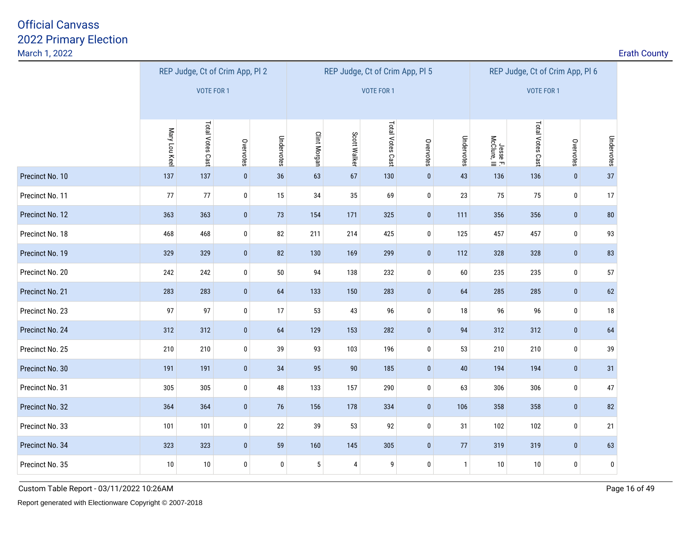| March 1, 2022   |               |                                 |              |            |                     |              |                                 |              |              |                          |                  |                                 |            | <b>Erath County</b> |
|-----------------|---------------|---------------------------------|--------------|------------|---------------------|--------------|---------------------------------|--------------|--------------|--------------------------|------------------|---------------------------------|------------|---------------------|
|                 |               | REP Judge, Ct of Crim App, Pl 2 |              |            |                     |              | REP Judge, Ct of Crim App, Pl 5 |              |              |                          |                  | REP Judge, Ct of Crim App, Pl 6 |            |                     |
|                 |               | VOTE FOR 1                      |              |            |                     |              | <b>VOTE FOR 1</b>               |              |              |                          | VOTE FOR 1       |                                 |            |                     |
|                 |               |                                 |              |            |                     |              |                                 |              |              |                          |                  |                                 |            |                     |
|                 | Mary Lou Keel | Total Votes Cast                | Overvotes    | Undervotes | <b>Clint Morgan</b> | Scott Walker | Total Votes Cast                | Overvotes    | Undervotes   | Jesse F.<br>McClure, III | Total Votes Cast | Overvotes                       | Undervotes |                     |
| Precinct No. 10 | 137           | 137                             | $\pmb{0}$    | 36         | 63                  | 67           | 130                             | $\pmb{0}$    | 43           | 136                      | 136              | $\pmb{0}$                       | 37         |                     |
| Precinct No. 11 | 77            | 77                              | $\bf{0}$     | 15         | 34                  | 35           | 69                              | $\mathbf 0$  | 23           | 75                       | 75               | $\bf{0}$                        | 17         |                     |
| Precinct No. 12 | 363           | 363                             | $\bf{0}$     | 73         | 154                 | 171          | 325                             | $\pmb{0}$    | 111          | 356                      | 356              | $\pmb{0}$                       | ${\bf 80}$ |                     |
| Precinct No. 18 | 468           | 468                             | $\mathbf 0$  | 82         | 211                 | 214          | 425                             | $\mathbf 0$  | 125          | 457                      | 457              | $\bm{0}$                        | 93         |                     |
| Precinct No. 19 | 329           | 329                             | $\pmb{0}$    | 82         | 130                 | 169          | 299                             | $\bf{0}$     | 112          | 328                      | 328              | $\pmb{0}$                       | 83         |                     |
| Precinct No. 20 | 242           | 242                             | 0            | 50         | 94                  | 138          | 232                             | 0            | 60           | 235                      | 235              | $\bm{0}$                        | 57         |                     |
| Precinct No. 21 | 283           | 283                             | $\bf{0}$     | $64\,$     | 133                 | 150          | 283                             | $\pmb{0}$    | 64           | 285                      | 285              | $\pmb{0}$                       | 62         |                     |
| Precinct No. 23 | 97            | 97                              | $\mathbf 0$  | 17         | 53                  | 43           | 96                              | $\mathbf 0$  | 18           | 96                       | 96               | $\bf{0}$                        | 18         |                     |
| Precinct No. 24 | 312           | 312                             | $\pmb{0}$    | $64\,$     | 129                 | 153          | 282                             | $\pmb{0}$    | 94           | 312                      | 312              | $\pmb{0}$                       | 64         |                     |
| Precinct No. 25 | 210           | 210                             | $\pmb{0}$    | 39         | 93                  | 103          | 196                             | $\pmb{0}$    | 53           | 210                      | 210              | $\pmb{0}$                       | 39         |                     |
| Precinct No. 30 | 191           | 191                             | $\mathbf{0}$ | 34         | 95                  | 90           | 185                             | $\mathbf{0}$ | 40           | 194                      | 194              | $\pmb{0}$                       | 31         |                     |
| Precinct No. 31 | 305           | 305                             | $\pmb{0}$    | 48         | 133                 | 157          | 290                             | $\mathbf 0$  | 63           | 306                      | 306              | $\pmb{0}$                       | 47         |                     |
| Precinct No. 32 | 364           | 364                             | $\pmb{0}$    | 76         | 156                 | 178          | 334                             | $\mathbf{0}$ | 106          | 358                      | 358              | $\bf{0}$                        | 82         |                     |
| Precinct No. 33 | 101           | 101                             | $\pmb{0}$    | 22         | 39                  | 53           | 92                              | $\bf{0}$     | 31           | 102                      | 102              | $\bf{0}$                        | 21         |                     |
| Precinct No. 34 | 323           | 323                             | $\pmb{0}$    | 59         | 160                 | 145          | 305                             | $\mathbf{0}$ | 77           | 319                      | 319              | $\bf{0}$                        | 63         |                     |
| Precinct No. 35 | $10\,$        | $10\,$                          | $\pmb{0}$    | $\bf{0}$   | $\sqrt{5}$          | 4            | 9                               | $\pmb{0}$    | $\mathbf{1}$ | $10\,$                   | $10\,$           | $\bm{0}$                        | $\pmb{0}$  |                     |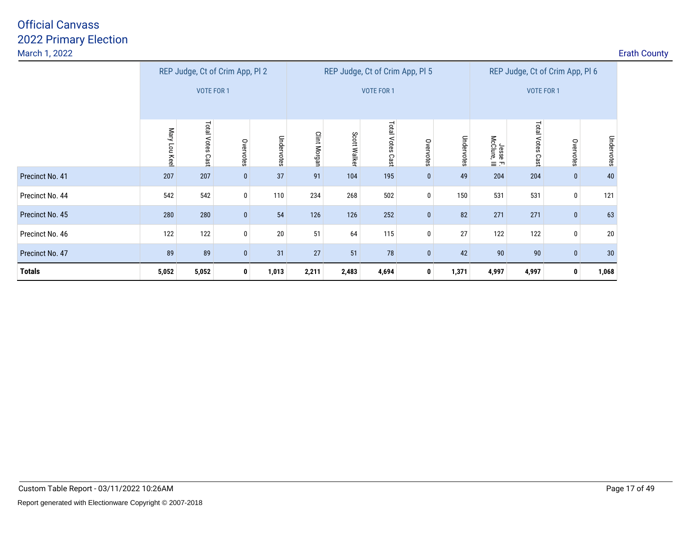| March 1, 2022   |              |                                 |              |            |              |                 |                                 |           |            |                          |                   |                                 | <b>Erath County</b> |
|-----------------|--------------|---------------------------------|--------------|------------|--------------|-----------------|---------------------------------|-----------|------------|--------------------------|-------------------|---------------------------------|---------------------|
|                 |              | REP Judge, Ct of Crim App, Pl 2 |              |            |              |                 | REP Judge, Ct of Crim App, PI 5 |           |            |                          |                   | REP Judge, Ct of Crim App, Pl 6 |                     |
|                 |              | <b>VOTE FOR 1</b>               |              |            |              |                 | <b>VOTE FOR 1</b>               |           |            |                          | <b>VOTE FOR 1</b> |                                 |                     |
|                 | Mary Lou Kee | <b>Total Votes</b><br>Cast      | Overvotes    | Undervotes | Clint Morgan | Scott<br>Walker | Total Votes<br>Cast             | Overvotes | Undervotes | Jesse F.<br>McClure, III | Total Votes Cast  | Overvotes                       | Undervotes          |
| Precinct No. 41 | 207          | 207                             | $\mathbf{0}$ | 37         | 91           | 104             | 195                             | $\bf{0}$  | 49         | 204                      | 204               | $\bf{0}$                        | 40                  |
| Precinct No. 44 | 542          | 542                             | 0            | 110        | 234          | 268             | 502                             | 0         | 150        | 531                      | 531               | $\bf{0}$                        | 121                 |
| Precinct No. 45 | 280          | 280                             | $\bf{0}$     | $54\,$     | 126          | 126             | 252                             | $\bf{0}$  | 82         | 271                      | 271               | $\bf{0}$                        | 63                  |
| Precinct No. 46 | 122          | 122                             | $\mathbf 0$  | $20\,$     | 51           | 64              | 115                             | 0         | 27         | 122                      | 122               | $\pmb{0}$                       | 20                  |
| Precinct No. 47 | 89           | 89                              | $\mathbf{0}$ | 31         | 27           | 51              | 78                              | $\bf{0}$  | 42         | 90                       | 90                | $\mathbf{0}$                    | 30 <sub>o</sub>     |
| <b>Totals</b>   | 5,052        | 5,052                           | $\mathbf{0}$ | 1,013      | 2,211        | 2,483           | 4,694                           | 0         | 1,371      | 4,997                    | 4,997             | $\mathbf{0}$                    | 1,068               |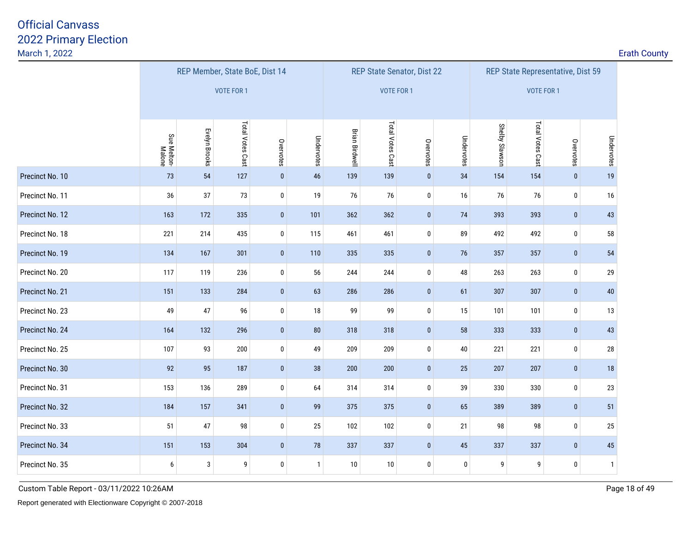<u>2</u> **Example 2 Example 2 Example 2 Example 2 Example 2 Example 2 Example 2 Example 2 Example 2 Example 2** 

|                 |                       |               |                   | REP Member, State BoE, Dist 14 |              |                       | REP State Senator, Dist 22 |              |             |                |                   | REP State Representative, Dist 59 |              |
|-----------------|-----------------------|---------------|-------------------|--------------------------------|--------------|-----------------------|----------------------------|--------------|-------------|----------------|-------------------|-----------------------------------|--------------|
|                 |                       |               | <b>VOTE FOR 1</b> |                                |              |                       | VOTE FOR 1                 |              |             |                | <b>VOTE FOR 1</b> |                                   |              |
|                 | Sue Melton-<br>Malone | Evelyn Brooks | Total Votes Cast  | Overvotes                      | Undervotes   | <b>Brian Birdwell</b> | Total Votes Cast           | Overvotes    | Undervotes  | Shelby Slawson | Total Votes Cast  | Overvotes                         | Undervotes   |
| Precinct No. 10 | 73                    | 54            | 127               | $\pmb{0}$                      | 46           | 139                   | 139                        | $\mathbf{0}$ | 34          | 154            | 154               | $\pmb{0}$                         | 19           |
| Precinct No. 11 | 36                    | 37            | 73                | $\pmb{0}$                      | 19           | 76                    | 76                         | 0            | 16          | 76             | 76                | 0                                 | 16           |
| Precinct No. 12 | 163                   | 172           | 335               | $\pmb{0}$                      | 101          | 362                   | 362                        | $\bf{0}$     | $74$        | 393            | 393               | $\mathbf{0}$                      | 43           |
| Precinct No. 18 | 221                   | 214           | 435               | 0                              | 115          | 461                   | 461                        | 0            | 89          | 492            | 492               | 0                                 | 58           |
| Precinct No. 19 | 134                   | 167           | 301               | $\bf{0}$                       | 110          | 335                   | 335                        | $\bf{0}$     | 76          | 357            | 357               | $\bf{0}$                          | 54           |
| Precinct No. 20 | 117                   | 119           | 236               | 0                              | 56           | 244                   | 244                        | 0            | 48          | 263            | 263               | 0                                 | 29           |
| Precinct No. 21 | 151                   | 133           | 284               | $\bf{0}$                       | 63           | 286                   | 286                        | $\bf{0}$     | 61          | 307            | 307               | $\mathbf{0}$                      | 40           |
| Precinct No. 23 | 49                    | 47            | 96                | $\pmb{0}$                      | 18           | 99                    | 99                         | 0            | 15          | 101            | 101               | 0                                 | 13           |
| Precinct No. 24 | 164                   | 132           | 296               | $\pmb{0}$                      | 80           | 318                   | 318                        | $\mathbf{0}$ | 58          | 333            | 333               | $\mathbf{0}$                      | 43           |
| Precinct No. 25 | 107                   | 93            | 200               | $\pmb{0}$                      | 49           | 209                   | 209                        | $\bf{0}$     | 40          | 221            | 221               | $\mathbf 0$                       | 28           |
| Precinct No. 30 | 92                    | 95            | 187               | $\pmb{0}$                      | 38           | 200                   | 200                        | $\mathbf{0}$ | 25          | 207            | 207               | $\mathbf{0}$                      | 18           |
| Precinct No. 31 | 153                   | 136           | 289               | $\pmb{0}$                      | 64           | 314                   | 314                        | $\bf{0}$     | 39          | 330            | 330               | $\mathbf 0$                       | 23           |
| Precinct No. 32 | 184                   | 157           | 341               | $\pmb{0}$                      | 99           | 375                   | 375                        | $\mathbf{0}$ | 65          | 389            | 389               | $\bf{0}$                          | 51           |
| Precinct No. 33 | 51                    | 47            | 98                | $\pmb{0}$                      | 25           | 102                   | 102                        | $\bf{0}$     | 21          | 98             | 98                | $\mathbf 0$                       | 25           |
| Precinct No. 34 | 151                   | 153           | 304               | $\bf{0}$                       | 78           | 337                   | 337                        | $\mathbf{0}$ | 45          | 337            | 337               | $\mathbf{0}$                      | 45           |
| Precinct No. 35 | 6                     | $\sqrt{3}$    | 9                 | $\pmb{0}$                      | $\mathbf{1}$ | 10                    | 10                         | $\bf{0}$     | $\mathbf 0$ | 9              | 9                 | $\mathbf 0$                       | $\mathbf{1}$ |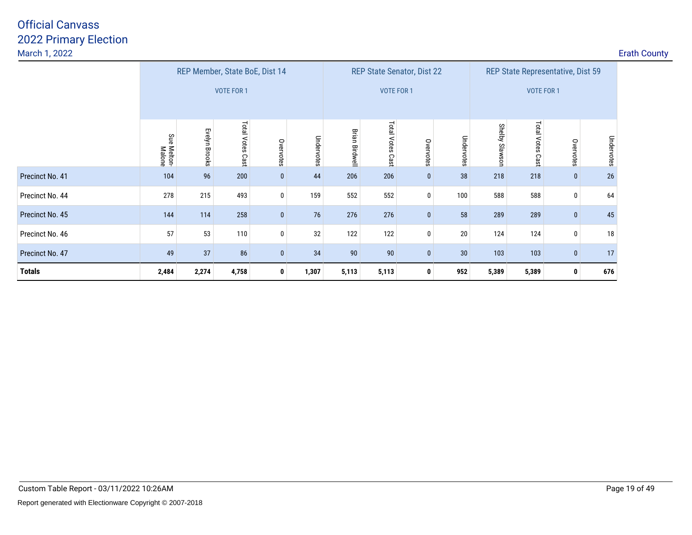|                 |                       |               | REP Member, State BoE, Dist 14 |              |            |                       | <b>REP State Senator, Dist 22</b> |              |            |                | REP State Representative, Dist 59 |              |            |
|-----------------|-----------------------|---------------|--------------------------------|--------------|------------|-----------------------|-----------------------------------|--------------|------------|----------------|-----------------------------------|--------------|------------|
|                 |                       |               | <b>VOTE FOR 1</b>              |              |            |                       | VOTE FOR 1                        |              |            |                | <b>VOTE FOR 1</b>                 |              |            |
|                 | Sue Melton-<br>Malone | Evelyn Brooks | Total Votes Cast               | Overvotes    | Undervotes | <b>Brian Birdwell</b> | Total Votes Cast                  | Overvotes    | Undervotes | Shelby Slawson | Total Votes Cast                  | Overvotes    | Undervotes |
| Precinct No. 41 | 104                   | 96            | 200                            | $\mathbf{0}$ | 44         | 206                   | 206                               | 0            | 38         | 218            | 218                               | $\bf{0}$     | $26\,$     |
| Precinct No. 44 | 278                   | 215           | 493                            | $\mathbf 0$  | 159        | 552                   | 552                               | 0            | 100        | 588            | 588                               | 0            | 64         |
| Precinct No. 45 | 144                   | 114           | 258                            | $\mathbf{0}$ | 76         | 276                   | 276                               |              | 58         | 289            | 289                               | $\bf{0}$     | 45         |
| Precinct No. 46 | 57                    | 53            | 110                            | 0            | 32         | 122                   | 122                               | 0            | $20\,$     | 124            | 124                               | 0            | 18         |
| Precinct No. 47 | 49                    | 37            | 86                             | $\mathbf{0}$ | 34         | 90                    | 90                                | $\mathbf{0}$ | 30         | 103            | 103                               | $\mathbf{0}$ | 17         |
| <b>Totals</b>   | 2,484                 | 2,274         | 4,758                          | $\mathbf 0$  | 1,307      | 5,113                 | 5,113                             | 0            | 952        | 5,389          | 5,389                             | 0            | 676        |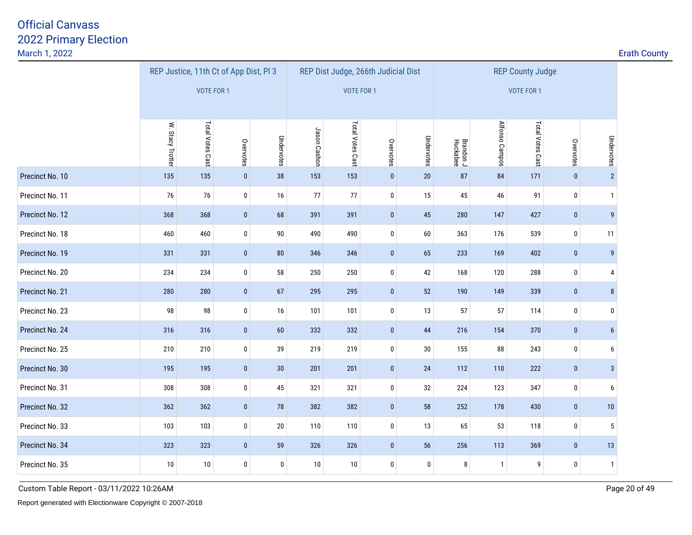| March 1, 2022   |                  |                                        |              |            |              |                  |                                     |            |                       |                |                         |              |                  | <b>Erath County</b> |
|-----------------|------------------|----------------------------------------|--------------|------------|--------------|------------------|-------------------------------------|------------|-----------------------|----------------|-------------------------|--------------|------------------|---------------------|
|                 |                  | REP Justice, 11th Ct of App Dist, Pl 3 |              |            |              |                  | REP Dist Judge, 266th Judicial Dist |            |                       |                | <b>REP County Judge</b> |              |                  |                     |
|                 |                  | <b>VOTE FOR 1</b>                      |              |            |              | VOTE FOR 1       |                                     |            |                       |                | VOTE FOR 1              |              |                  |                     |
|                 |                  |                                        |              |            |              |                  |                                     |            |                       |                |                         |              |                  |                     |
|                 | W. Stacy Trotter | Total Votes Cast                       | Overvotes    | Undervotes | Jason Cashon | Total Votes Cast | Overvotes                           | Undervotes | Brandon J<br>Huckabee | Alfonso Campos | Total Votes Cast        | Overvotes    | Undervotes       |                     |
| Precinct No. 10 | 135              | 135                                    | $\pmb{0}$    | 38         | 153          | 153              | $\mathbf{0}$                        | $20\,$     | 87                    | 84             | 171                     | $\pmb{0}$    | $\overline{2}$   |                     |
| Precinct No. 11 | 76               | 76                                     | $\pmb{0}$    | 16         | 77           | 77               | $\pmb{0}$                           | 15         | 45                    | 46             | 91                      | $\mathbf{0}$ | $\mathbf{1}$     |                     |
| Precinct No. 12 | 368              | 368                                    | $\bf{0}$     | 68         | 391          | 391              | $\mathbf{0}$                        | 45         | 280                   | 147            | 427                     | $\bf{0}$     | 9                |                     |
| Precinct No. 18 | 460              | 460                                    | $\pmb{0}$    | $90\,$     | 490          | 490              | $\mathbf 0$                         | 60         | 363                   | 176            | 539                     | $\pmb{0}$    | 11               |                     |
| Precinct No. 19 | 331              | 331                                    | $\pmb{0}$    | ${\bf 80}$ | 346          | 346              | $\pmb{0}$                           | 65         | 233                   | 169            | 402                     | $\pmb{0}$    | $\boldsymbol{9}$ |                     |
| Precinct No. 20 | 234              | 234                                    | 0            | 58         | 250          | 250              | 0                                   | 42         | 168                   | 120            | 288                     | $\bm{0}$     | 4                |                     |
| Precinct No. 21 | 280              | 280                                    | $\mathbf{0}$ | $67\,$     | 295          | 295              | $\mathbf{0}$                        | 52         | 190                   | 149            | 339                     | $\pmb{0}$    | 8 <sup>°</sup>   |                     |
| Precinct No. 23 | 98               | 98                                     | $\pmb{0}$    | 16         | 101          | 101              | 0                                   | 13         | 57                    | 57             | 114                     | $\pmb{0}$    | $\bf{0}$         |                     |
| Precinct No. 24 | 316              | 316                                    | $\bf{0}$     | 60         | 332          | 332              | $\mathbf 0$                         | 44         | 216                   | 154            | 370                     | $\bf{0}$     | $6\overline{6}$  |                     |
| Precinct No. 25 | 210              | 210                                    | 0            | 39         | 219          | 219              | $\mathbf 0$                         | 30         | 155                   | 88             | 243                     | $\pmb{0}$    | 6                |                     |
| Precinct No. 30 | 195              | 195                                    | $\pmb{0}$    | 30         | 201          | 201              | $\mathbf{0}$                        | 24         | 112                   | 110            | 222                     | $\pmb{0}$    | $\mathbf{3}$     |                     |
| Precinct No. 31 | 308              | 308                                    | $\pmb{0}$    | 45         | 321          | 321              | $\pmb{0}$                           | 32         | 224                   | 123            | 347                     | $\pmb{0}$    | 6                |                     |
| Precinct No. 32 | 362              | 362                                    | $\bf{0}$     | 78         | 382          | 382              | $\mathbf{0}$                        | 58         | 252                   | 178            | 430                     | $\bf{0}$     | 10               |                     |
| Precinct No. 33 | 103              | 103                                    | $\pmb{0}$    | $20\,$     | 110          | 110              | $\pmb{0}$                           | 13         | 65                    | 53             | 118                     | $\pmb{0}$    | $\sqrt{5}$       |                     |
| Precinct No. 34 | 323              | 323                                    | $\pmb{0}$    | 59         | 326          | 326              | $\pmb{0}$                           | 56         | 256                   | 113            | 369                     | $\pmb{0}$    | 13               |                     |
| Precinct No. 35 | 10               | 10                                     | 0            | $\bm{0}$   | 10           | 10               | 0                                   | 0          | 8                     | $\overline{1}$ | 9                       | 0            | $\mathbf{1}$     |                     |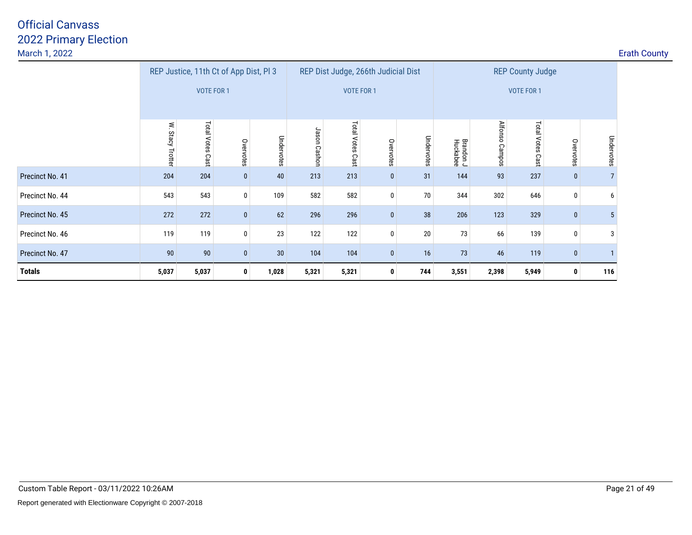| March 1, 2022   |                        |                    |                                        |                 |                 |                     |                                     |            |                       |                   |                         |              |            | <b>Erath County</b> |
|-----------------|------------------------|--------------------|----------------------------------------|-----------------|-----------------|---------------------|-------------------------------------|------------|-----------------------|-------------------|-------------------------|--------------|------------|---------------------|
|                 |                        |                    | REP Justice, 11th Ct of App Dist, Pl 3 |                 |                 |                     | REP Dist Judge, 266th Judicial Dist |            |                       |                   | <b>REP County Judge</b> |              |            |                     |
|                 |                        | VOTE FOR 1         |                                        |                 |                 | VOTE FOR 1          |                                     |            |                       |                   | VOTE FOR 1              |              |            |                     |
|                 | ≶.<br>Stacy<br>Trotter | Total Votes<br>Cas | Overvotes                              | Undervotes      | Jason<br>Cashon | Total Votes<br>Cast | Overvotes                           | Undervotes | Brandon J<br>Huckabee | Alfonso<br>Campos | Total Votes<br>Cast     | Overvotes    | Undervotes |                     |
| Precinct No. 41 | 204                    | 204                | $\bf{0}$                               | 40              | 213             | 213                 | $\mathbf{0}$                        | 31         | 144                   | 93                | 237                     | $\mathbf{0}$ |            |                     |
| Precinct No. 44 | 543                    | 543                | $\mathbf 0$                            | 109             | 582             | 582                 | 0                                   | 70         | 344                   | 302               | 646                     | $\bf{0}$     | 6          |                     |
| Precinct No. 45 | 272                    | 272                | $\bf{0}$                               | 62              | 296             | 296                 | $\mathbf{0}$                        | 38         | 206                   | 123               | 329                     | $\bf{0}$     |            |                     |
| Precinct No. 46 | 119                    | 119                | $\mathbf 0$                            | 23              | 122             | 122                 | 0                                   | 20         | 73                    | 66                | 139                     | 0            | 3          |                     |
| Precinct No. 47 | 90                     | 90                 | $\mathbf{0}$                           | 30 <sup>°</sup> | 104             | 104                 | $\mathbf{0}$                        | 16         | 73                    | 46                | 119                     | $\mathbf{0}$ |            |                     |
| <b>Totals</b>   | 5,037                  | 5,037              | $\mathbf{0}$                           | 1,028           | 5,321           | 5,321               | 0                                   | 744        | 3,551                 | 2,398             | 5,949                   | $\mathbf 0$  | 116        |                     |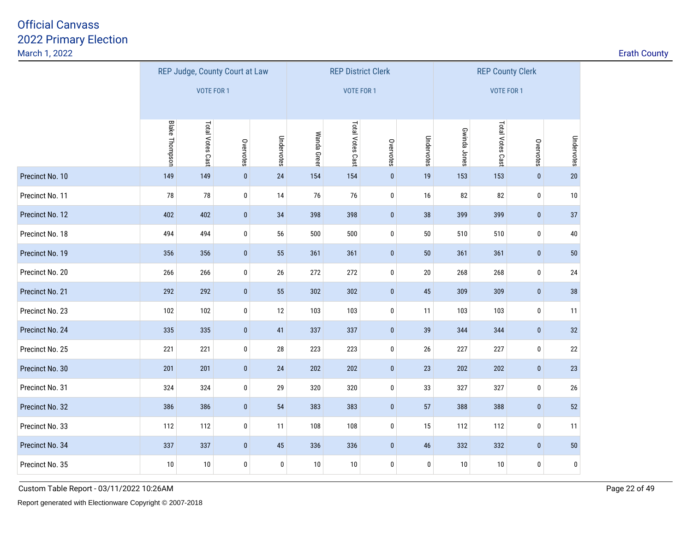<u>2</u> **Example 2 Example 2 Example 2 Example 2 Example 2 Example 2 Example 2 Example 2 Example 2 Example 2** 

|                 |                       | REP Judge, County Court at Law |              |                  |             | <b>REP District Clerk</b> |           |            |              | <b>REP County Clerk</b> |              |            |
|-----------------|-----------------------|--------------------------------|--------------|------------------|-------------|---------------------------|-----------|------------|--------------|-------------------------|--------------|------------|
|                 |                       | <b>VOTE FOR 1</b>              |              |                  |             | <b>VOTE FOR 1</b>         |           |            |              | VOTE FOR 1              |              |            |
|                 |                       |                                |              |                  |             |                           |           |            |              |                         |              |            |
|                 | <b>Blake Thompson</b> | Total Votes Cast               | Overvotes    | Undervotes       | Wanda Greer | Total Votes Cast          | Overvotes | Undervotes | Gwinda Jones | Total Votes Cast        | Overvotes    | Undervotes |
| Precinct No. 10 | 149                   | 149                            | $\pmb{0}$    | 24               | 154         | 154                       | $\pmb{0}$ | 19         | 153          | 153                     | $\mathbf{0}$ | 20         |
| Precinct No. 11 | 78                    | 78                             | 0            | 14               | 76          | 76                        | 0         | 16         | 82           | 82                      | 0            | 10         |
| Precinct No. 12 | 402                   | 402                            | $\mathbf{0}$ | 34               | 398         | 398                       | $\pmb{0}$ | 38         | 399          | 399                     | $\mathbf{0}$ | 37         |
| Precinct No. 18 | 494                   | 494                            | 0            | 56               | 500         | 500                       | 0         | 50         | 510          | 510                     | $\bf{0}$     | 40         |
| Precinct No. 19 | 356                   | 356                            | $\mathbf{0}$ | 55               | 361         | 361                       | $\pmb{0}$ | 50         | 361          | 361                     | $\mathbf{0}$ | 50         |
| Precinct No. 20 | 266                   | 266                            | $\bf{0}$     | 26               | 272         | 272                       | 0         | $20\,$     | 268          | 268                     | 0            | 24         |
| Precinct No. 21 | 292                   | 292                            | $\mathbf{0}$ | 55               | 302         | 302                       | $\pmb{0}$ | 45         | 309          | 309                     | $\mathbf{0}$ | 38         |
| Precinct No. 23 | 102                   | 102                            | 0            | 12               | 103         | 103                       | $\pmb{0}$ | 11         | 103          | 103                     | 0            | 11         |
| Precinct No. 24 | 335                   | 335                            | $\mathbf{0}$ | 41               | 337         | 337                       | $\pmb{0}$ | 39         | 344          | 344                     | $\mathbf{0}$ | 32         |
| Precinct No. 25 | 221                   | 221                            | $\bf{0}$     | $28\,$           | 223         | 223                       | $\pmb{0}$ | 26         | 227          | 227                     | $\bf{0}$     | 22         |
| Precinct No. 30 | 201                   | 201                            | $\pmb{0}$    | $24\,$           | 202         | 202                       | $\pmb{0}$ | 23         | 202          | 202                     | $\pmb{0}$    | 23         |
| Precinct No. 31 | 324                   | 324                            | 0            | 29               | 320         | 320                       | $\pmb{0}$ | 33         | 327          | 327                     | 0            | 26         |
| Precinct No. 32 | 386                   | 386                            | $\pmb{0}$    | 54               | 383         | 383                       | $\pmb{0}$ | 57         | 388          | 388                     | $\pmb{0}$    | 52         |
| Precinct No. 33 | 112                   | 112                            | $\pmb{0}$    | 11               | 108         | 108                       | $\pmb{0}$ | 15         | 112          | 112                     | 0            | 11         |
| Precinct No. 34 | 337                   | 337                            | $\bf{0}$     | $45\,$           | 336         | 336                       | $\bf{0}$  | $46\,$     | 332          | 332                     | $\bf{0}$     | 50         |
| Precinct No. 35 | 10                    | 10                             | 0            | $\boldsymbol{0}$ | 10          | 10                        | 0         | 0          | 10           | 10                      | 0            | 0          |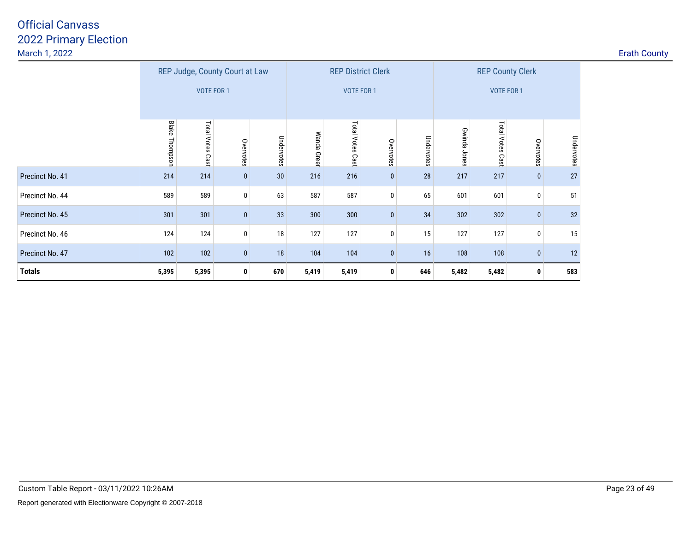|                 |                       | REP Judge, County Court at Law |              |            |             | <b>REP District Clerk</b> |           |            |                 | <b>REP County Clerk</b> |              |            |
|-----------------|-----------------------|--------------------------------|--------------|------------|-------------|---------------------------|-----------|------------|-----------------|-------------------------|--------------|------------|
|                 |                       | <b>VOTE FOR 1</b>              |              |            |             | <b>VOTE FOR 1</b>         |           |            |                 | <b>VOTE FOR 1</b>       |              |            |
|                 | <b>Blake Thompson</b> | Total Votes<br>Cast            | Overvotes    | Undervotes | Wanda Green | Total Votes<br>Cast       | Overvotes | Undervotes | Gwinda<br>Jones | Total Votes Cast        | Overvotes    | Undervotes |
| Precinct No. 41 | 214                   | 214                            | $\bf{0}$     | 30         | 216         | 216                       | $\pmb{0}$ | $28\,$     | 217             | 217                     | $\mathbf 0$  | 27         |
| Precinct No. 44 | 589                   | 589                            | 0            | 63         | 587         | 587                       | 0         | 65         | 601             | 601                     | 0            | 51         |
| Precinct No. 45 | 301                   | 301                            | $\pmb{0}$    | 33         | 300         | 300                       | $\pmb{0}$ | 34         | 302             | 302                     | $\mathbf 0$  | 32         |
| Precinct No. 46 | 124                   | 124                            | 0            | 18         | 127         | 127                       | $\pmb{0}$ | 15         | 127             | 127                     | 0            | 15         |
| Precinct No. 47 | 102                   | 102                            | $\bf{0}$     | 18         | 104         | 104                       | $\pmb{0}$ | 16         | 108             | 108                     | $\mathbf 0$  | 12         |
| <b>Totals</b>   | 5,395                 | 5,395                          | $\mathbf{0}$ | 670        | 5,419       | 5,419                     | 0         | 646        | 5,482           | 5,482                   | $\mathbf{0}$ | 583        |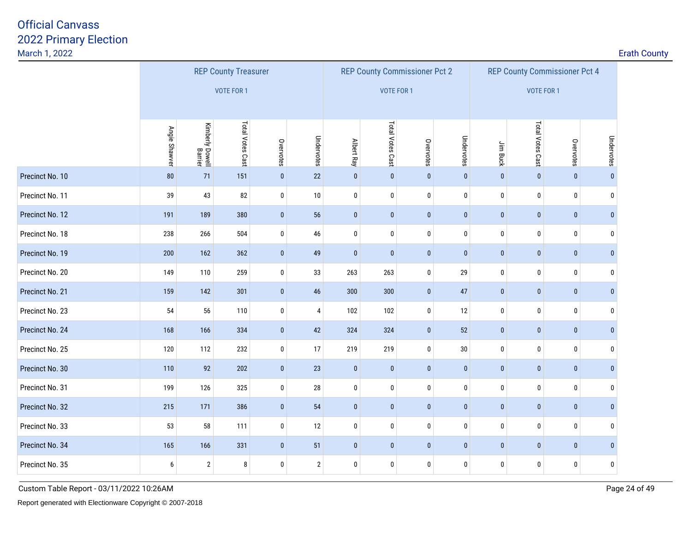| March 1, 2022   |               |                            |                             |             |                |             |                  |                                      |            |              |                  |                                      |              | <b>Erath County</b> |
|-----------------|---------------|----------------------------|-----------------------------|-------------|----------------|-------------|------------------|--------------------------------------|------------|--------------|------------------|--------------------------------------|--------------|---------------------|
|                 |               |                            | <b>REP County Treasurer</b> |             |                |             |                  | <b>REP County Commissioner Pct 2</b> |            |              |                  | <b>REP County Commissioner Pct 4</b> |              |                     |
|                 |               |                            | <b>VOTE FOR 1</b>           |             |                |             |                  | <b>VOTE FOR 1</b>                    |            |              | VOTE FOR 1       |                                      |              |                     |
|                 |               |                            |                             |             |                |             |                  |                                      |            |              |                  |                                      |              |                     |
|                 | Angie Shawver | Kimberly Dowell<br>Barrier | Total Votes Cast            | Overvotes   | Undervotes     | Albert Ray  | Total Votes Cast | Overvotes                            | Undervotes | Jim Buck     | Total Votes Cast | Overvotes                            | Undervotes   |                     |
| Precinct No. 10 | 80            | 71                         | 151                         | $\pmb{0}$   | $22\,$         | $\pmb{0}$   | $\pmb{0}$        | $\pmb{0}$                            | $\pmb{0}$  | $\mathbf{0}$ | $\pmb{0}$        | $\pmb{0}$                            | $\pmb{0}$    |                     |
| Precinct No. 11 | 39            | 43                         | 82                          | $\pmb{0}$   | $10$           | $\pmb{0}$   | $\pmb{0}$        | $\pmb{0}$                            | $\pmb{0}$  | $\pmb{0}$    | $\pmb{0}$        | $\pmb{0}$                            | $\mathbf 0$  |                     |
| Precinct No. 12 | 191           | 189                        | 380                         | $\mathbf 0$ | 56             | $\pmb{0}$   | $\pmb{0}$        | $\bf{0}$                             | $\pmb{0}$  | $\bf{0}$     | $\pmb{0}$        | $\pmb{0}$                            | $\mathbf{0}$ |                     |
| Precinct No. 18 | 238           | 266                        | 504                         | $\pmb{0}$   | 46             | $\mathbf 0$ | $\pmb{0}$        | $\pmb{0}$                            | 0          | 0            | $\bf 0$          | $\pmb{0}$                            | 0            |                     |
| Precinct No. 19 | 200           | 162                        | 362                         | $\pmb{0}$   | 49             | $\pmb{0}$   | $\pmb{0}$        | $\pmb{0}$                            | $\pmb{0}$  | $\pmb{0}$    | $\pmb{0}$        | $\pmb{0}$                            | $\mathbf{0}$ |                     |
| Precinct No. 20 | 149           | 110                        | 259                         | $\bm{0}$    | 33             | 263         | 263              | 0                                    | 29         | 0            | $\pmb{0}$        | 0                                    | $\mathbf 0$  |                     |
| Precinct No. 21 | 159           | 142                        | 301                         | $\pmb{0}$   | 46             | 300         | 300              | $\pmb{0}$                            | 47         | $\mathbf{0}$ | $\pmb{0}$        | $\pmb{0}$                            | $\mathbf{0}$ |                     |
| Precinct No. 23 | 54            | 56                         | 110                         | $\pmb{0}$   | $\overline{4}$ | 102         | 102              | $\pmb{0}$                            | 12         | $\pmb{0}$    | $\pmb{0}$        | $\pmb{0}$                            | $\bf{0}$     |                     |
| Precinct No. 24 | 168           | 166                        | 334                         | $\pmb{0}$   | 42             | 324         | 324              | $\bf{0}$                             | 52         | $\bf{0}$     | $\pmb{0}$        | $\pmb{0}$                            | $\mathbf{0}$ |                     |
| Precinct No. 25 | 120           | 112                        | 232                         | $\pmb{0}$   | 17             | 219         | 219              | $\pmb{0}$                            | $30\,$     | $\bf{0}$     | $\pmb{0}$        | $\pmb{0}$                            | $\bf{0}$     |                     |
| Precinct No. 30 | 110           | 92                         | 202                         | $\mathbf 0$ | 23             | $\pmb{0}$   | $\pmb{0}$        | $\pmb{0}$                            | $\pmb{0}$  | $\pmb{0}$    | $\pmb{0}$        | $\pmb{0}$                            | $\bf{0}$     |                     |
| Precinct No. 31 | 199           | 126                        | 325                         | $\pmb{0}$   | 28             | $\mathbf 0$ | $\pmb{0}$        | $\pmb{0}$                            | $\pmb{0}$  | $\pmb{0}$    | $\pmb{0}$        | $\pmb{0}$                            | $\mathbf 0$  |                     |
| Precinct No. 32 | 215           | 171                        | 386                         | $\mathbf 0$ | 54             | $\pmb{0}$   | $\pmb{0}$        | $\bf{0}$                             | $\pmb{0}$  | $\bf{0}$     | $\pmb{0}$        | $\pmb{0}$                            | $\mathbf{0}$ |                     |
| Precinct No. 33 | 53            | 58                         | 111                         | $\pmb{0}$   | 12             | $\pmb{0}$   | $\pmb{0}$        | $\bf{0}$                             | 0          | 0            | $\bf{0}$         | $\pmb{0}$                            | $\pmb{0}$    |                     |
| Precinct No. 34 | 165           | 166                        | 331                         | $\pmb{0}$   | 51             | $\pmb{0}$   | $\pmb{0}$        | $\pmb{0}$                            | $\pmb{0}$  | $\pmb{0}$    | $\pmb{0}$        | $\pmb{0}$                            | $\pmb{0}$    |                     |
| Precinct No. 35 | 6             | $\overline{2}$             | 8                           | $\mathbf 0$ | $\overline{2}$ | 0           | 0                | 0                                    | 0          | 0            | 0                | 0                                    | 0            |                     |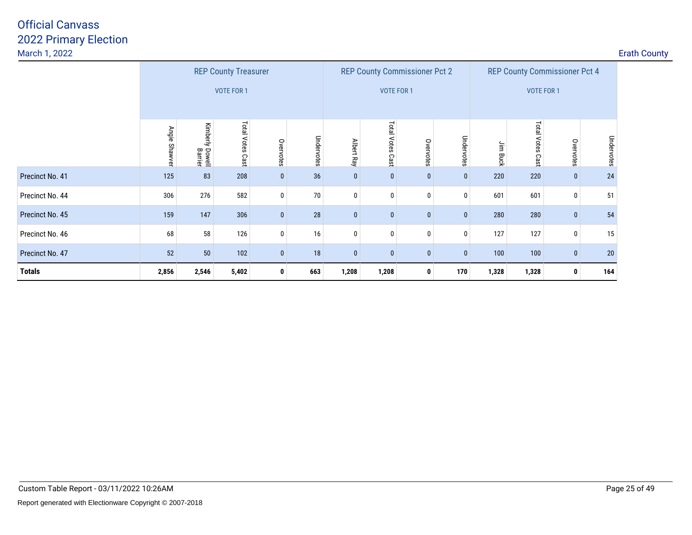| March 1, 2022   |               |                               |                     |              |            |              |                        |                                      |              |            |                    |                                      |            | <b>Erath County</b> |
|-----------------|---------------|-------------------------------|---------------------|--------------|------------|--------------|------------------------|--------------------------------------|--------------|------------|--------------------|--------------------------------------|------------|---------------------|
|                 |               | <b>REP County Treasurer</b>   |                     |              |            |              |                        | <b>REP County Commissioner Pct 2</b> |              |            |                    | <b>REP County Commissioner Pct 4</b> |            |                     |
|                 |               |                               | <b>VOTE FOR 1</b>   |              |            |              |                        | <b>VOTE FOR 1</b>                    |              |            | <b>VOTE FOR 1</b>  |                                      |            |                     |
|                 | Angie Shawver | Kimberly<br>Dowell<br>Barrier | Total Votes<br>Cast | Overvotes    | Undervotes | Albert Ray   | Total<br>Votes<br>Cast | Overvotes                            | Undervotes   | ήĒ<br>Buck | Total Votes<br>Cas | Overvotes                            | Undervotes |                     |
| Precinct No. 41 | 125           | 83                            | 208                 | $\bf{0}$     | 36         | $\mathbf{0}$ | $\mathbf{0}$           | $\mathbf{0}$                         | $\mathbf{0}$ | 220        | 220                | $\bf{0}$                             | 24         |                     |
| Precinct No. 44 | 306           | 276                           | 582                 | 0            | $70\,$     | 0            | 0                      |                                      | 0            | 601        | 601                | $\mathbf 0$                          | 51         |                     |
| Precinct No. 45 | 159           | 147                           | 306                 | $\bf{0}$     | 28         | $\mathbf{0}$ | $\mathbf{0}$           | $\mathbf{0}$                         | $\mathbf{0}$ | 280        | 280                | $\boldsymbol{0}$                     | 54         |                     |
| Precinct No. 46 | 68            | 58                            | 126                 | 0            | 16         | 0            | 0                      |                                      | $\mathbf 0$  | 127        | 127                | 0                                    | 15         |                     |
| Precinct No. 47 | 52            | 50                            | 102                 | $\mathbf{0}$ | 18         | $\mathbf{0}$ | $\mathbf{0}$           | $\mathbf{0}$                         | $\mathbf{0}$ | 100        | 100                | $\bf{0}$                             | 20         |                     |
| <b>Totals</b>   | 2,856         | 2,546                         | 5,402               | $\mathbf{0}$ | 663        | 1,208        | 1,208                  | $\mathbf 0$                          | 170          | 1,328      | 1,328              | 0                                    | 164        |                     |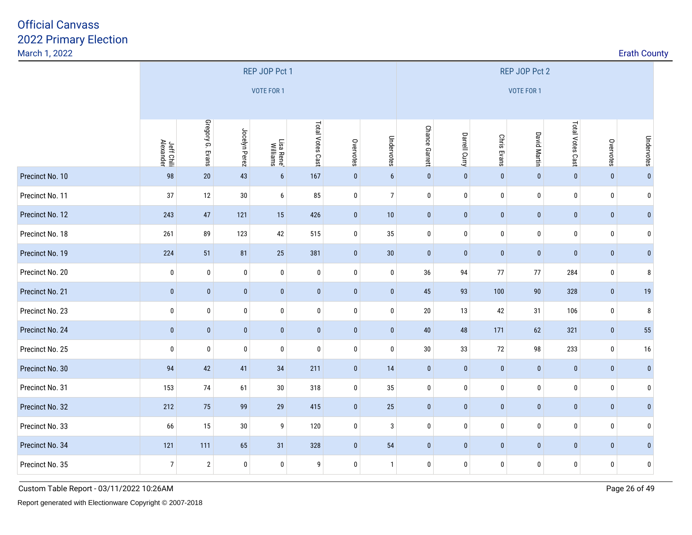| March 1, 2022   |                         |                  |               |                        |                  |              |                |                |               |                    |                     |                  |              |              | <b>Erath County</b><br>Undervotes<br>$\mathbf{0}$<br>$\mathbf{0}$ |  |  |  |  |  |
|-----------------|-------------------------|------------------|---------------|------------------------|------------------|--------------|----------------|----------------|---------------|--------------------|---------------------|------------------|--------------|--------------|-------------------------------------------------------------------|--|--|--|--|--|
|                 |                         | REP JOP Pct 1    |               |                        |                  |              |                |                |               |                    | REP JOP Pct 2       |                  |              |              |                                                                   |  |  |  |  |  |
|                 |                         |                  |               | <b>VOTE FOR 1</b>      |                  |              |                |                |               |                    | VOTE FOR 1          |                  |              |              |                                                                   |  |  |  |  |  |
|                 |                         |                  |               |                        |                  |              |                |                |               |                    |                     |                  |              |              |                                                                   |  |  |  |  |  |
|                 | Jeff Chili<br>Alexander | Gregory G. Evans | Jocelyn Perez | Lisa Rene'<br>Williams | Total Votes Cast | Overvotes    | Undervotes     | Chance Garrett | Darrell Curry | <b>Chris Evans</b> | <b>David Martin</b> | Total Votes Cast | Overvotes    |              |                                                                   |  |  |  |  |  |
| Precinct No. 10 | 98                      | 20               | 43            | $\boldsymbol{6}$       | 167              | $\mathbf{0}$ | 6              | $\mathbf 0$    | $\pmb{0}$     | $\mathbf{0}$       | $\pmb{0}$           | $\mathbf{0}$     | $\mathbf{0}$ |              |                                                                   |  |  |  |  |  |
| Precinct No. 11 | 37                      | 12               | $30\,$        | $\boldsymbol{6}$       | 85               | $\pmb{0}$    | 7 <sup>1</sup> | $\pmb{0}$      | $\pmb{0}$     | $\pmb{0}$          | $\pmb{0}$           | $\pmb{0}$        | $\pmb{0}$    |              |                                                                   |  |  |  |  |  |
| Precinct No. 12 | 243                     | 47               | 121           | 15                     | 426              | $\mathbf{0}$ | 10             | $\mathbf{0}$   | $\mathbf 0$   | $\pmb{0}$          | $\pmb{0}$           | $\pmb{0}$        | $\bf{0}$     | $\mathbf{0}$ |                                                                   |  |  |  |  |  |
| Precinct No. 18 | 261                     | 89               | 123           | 42                     | 515              | $\bf{0}$     | 35             | $\pmb{0}$      | $\pmb{0}$     | 0                  | $\pmb{0}$           | $\pmb{0}$        | $\pmb{0}$    | $\mathbf{0}$ |                                                                   |  |  |  |  |  |
| Precinct No. 19 | 224                     | 51               | 81            | 25                     | 381              | $\mathbf{0}$ | 30             | $\mathbf 0$    | $\mathbf 0$   | $\mathbf{0}$       | $\mathbf{0}$        | $\pmb{0}$        | $\bf{0}$     | $\pmb{0}$    |                                                                   |  |  |  |  |  |
| Precinct No. 20 | 0                       | 0                | $\pmb{0}$     | $\bm{0}$               | $\pmb{0}$        | 0            | $\pmb{0}$      | 36             | 94            | $77$               | $77 \,$             | 284              | $\bm{0}$     | 8            |                                                                   |  |  |  |  |  |
| Precinct No. 21 | $\mathbf{0}$            | $\pmb{0}$        | $\bf{0}$      | $\bf{0}$               | $\pmb{0}$        | $\mathbf{0}$ | $\pmb{0}$      | 45             | 93            | 100                | $90\,$              | 328              | $\bf{0}$     | 19           |                                                                   |  |  |  |  |  |
| Precinct No. 23 | 0                       | $\bf{0}$         | $\pmb{0}$     | $\pmb{0}$              | $\pmb{0}$        | $\mathbf 0$  | $\pmb{0}$      | 20             | 13            | 42                 | 31                  | 106              | $\pmb{0}$    | 8            |                                                                   |  |  |  |  |  |
| Precinct No. 24 | $\pmb{0}$               | $\pmb{0}$        | $\bf{0}$      | $\pmb{0}$              | $\pmb{0}$        | $\mathbf{0}$ | $\mathbf 0$    | $40\,$         | 48            | 171                | 62                  | 321              | $\pmb{0}$    | 55           |                                                                   |  |  |  |  |  |
| Precinct No. 25 | $\mathbf 0$             | $\bf{0}$         | $\bm{0}$      | $\bf{0}$               | $\mathbf 0$      | $\mathbf 0$  | $\bf{0}$       | 30             | 33            | 72                 | 98                  | 233              | $\bf{0}$     | 16           |                                                                   |  |  |  |  |  |
| Precinct No. 30 | 94                      | 42               | 41            | 34                     | 211              | $\pmb{0}$    | 14             | $\mathbf 0$    | $\pmb{0}$     | $\mathbf{0}$       | $\pmb{0}$           | $\pmb{0}$        | $\pmb{0}$    | $\mathbf{0}$ |                                                                   |  |  |  |  |  |
| Precinct No. 31 | 153                     | 74               | 61            | $30\,$                 | 318              | $\mathbf 0$  | 35             | 0              | $\pmb{0}$     | 0                  | $\bf 0$             | $\pmb{0}$        | $\mathbf 0$  | $\mathbf{0}$ |                                                                   |  |  |  |  |  |
| Precinct No. 32 | 212                     | 75               | 99            | 29                     | 415              | $\pmb{0}$    | 25             | $\pmb{0}$      | $\pmb{0}$     | $\pmb{0}$          | $\pmb{0}$           | $\pmb{0}$        | $\pmb{0}$    | $\bf{0}$     |                                                                   |  |  |  |  |  |
| Precinct No. 33 | 66                      | 15               | $30\,$        | 9                      | 120              | 0            | 3              | 0              | 0             | 0                  | $\pmb{0}$           | $\pmb{0}$        | $\bf{0}$     | $\mathbf{0}$ |                                                                   |  |  |  |  |  |
| Precinct No. 34 | 121                     | 111              | 65            | 31                     | 328              | $\mathbf{0}$ | 54             | $\mathbf 0$    | $\pmb{0}$     | $\pmb{0}$          | $\mathbf 0$         | $\pmb{0}$        | $\pmb{0}$    | $\mathbf{0}$ |                                                                   |  |  |  |  |  |
| Precinct No. 35 | $\overline{7}$          | $\overline{2}$   | $\pmb{0}$     | $\pmb{0}$              | 9                | $\pmb{0}$    | $\mathbf{1}$   | $\bf{0}$       | 0             | $\pmb{0}$          | $\pmb{0}$           | $\pmb{0}$        | $\pmb{0}$    | 0            |                                                                   |  |  |  |  |  |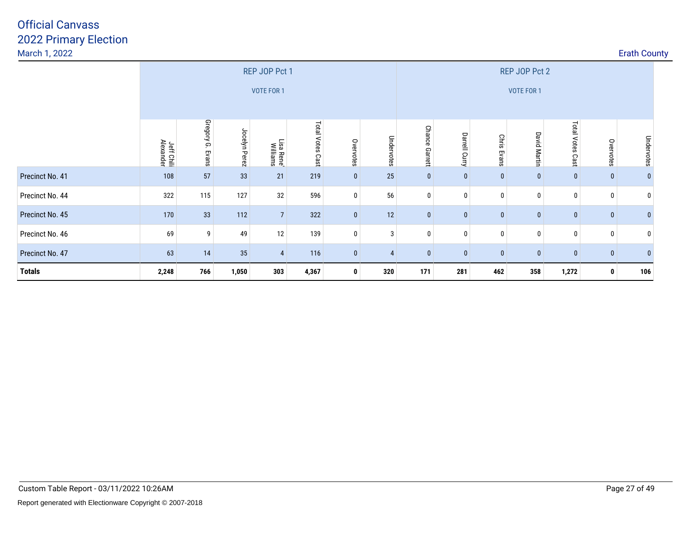| March 1, 2022   |                         |                     |               |                        |                  |              |                |                          |               |                       |                     |                  |              | <b>Erath County</b> |  |
|-----------------|-------------------------|---------------------|---------------|------------------------|------------------|--------------|----------------|--------------------------|---------------|-----------------------|---------------------|------------------|--------------|---------------------|--|
|                 |                         |                     |               | REP JOP Pct 1          |                  |              |                |                          |               |                       | REP JOP Pct 2       |                  |              |                     |  |
|                 |                         | VOTE FOR 1          |               |                        |                  |              |                | VOTE FOR 1               |               |                       |                     |                  |              |                     |  |
|                 | Jeff Chili<br>Alexander | Gregory G.<br>Evans | Jocelyn Perez | _isa Rene'<br>Williams | Total Votes Cast | Overvotes    | Undervotes     | <b>Chance</b><br>Garrett | Darrell Curry | <b>Chris</b><br>Evans | <b>David Martin</b> | Total Votes Cast | Overvotes    | Undervotes          |  |
| Precinct No. 41 | 108                     | 57                  | 33            | 21                     | 219              | $\mathbf{0}$ | 25             | $\mathbf{0}$             | $\mathbf 0$   | $\mathbf{0}$          | 0                   | $\mathbf{0}$     | $\bf{0}$     |                     |  |
| Precinct No. 44 | 322                     | 115                 | 127           | 32                     | 596              | $\mathbf 0$  | 56             | 0                        | 0             |                       | 0                   | $\bf{0}$         | 0            |                     |  |
| Precinct No. 45 | 170                     | 33                  | 112           | $\overline{7}$         | 322              | $\mathbf{0}$ | 12             | $\mathbf{0}$             | $\bf{0}$      | $\mathbf{0}$          | $\pmb{0}$           | $\bf{0}$         | $\bf{0}$     |                     |  |
| Precinct No. 46 | 69                      | 9 <sup>1</sup>      | 49            | 12                     | 139              | $\mathbf{0}$ | 3              | 0                        | 0             | 0                     | 0 <sup>1</sup>      | 0                | $\mathbf 0$  |                     |  |
| Precinct No. 47 | 63                      | 14                  | 35            | $\overline{4}$         | 116              | $\mathbf{0}$ | $\overline{4}$ | $\mathbf{0}$             | $\mathbf{0}$  | $\mathbf{0}$          | $\mathbf 0$         | $\mathbf{0}$     | $\mathbf{0}$ |                     |  |
| <b>Totals</b>   | 2,248                   | 766                 | 1,050         | 303                    | 4,367            | 0            | 320            | 171                      | 281           | 462                   | 358                 | 1,272            | 0            | 106                 |  |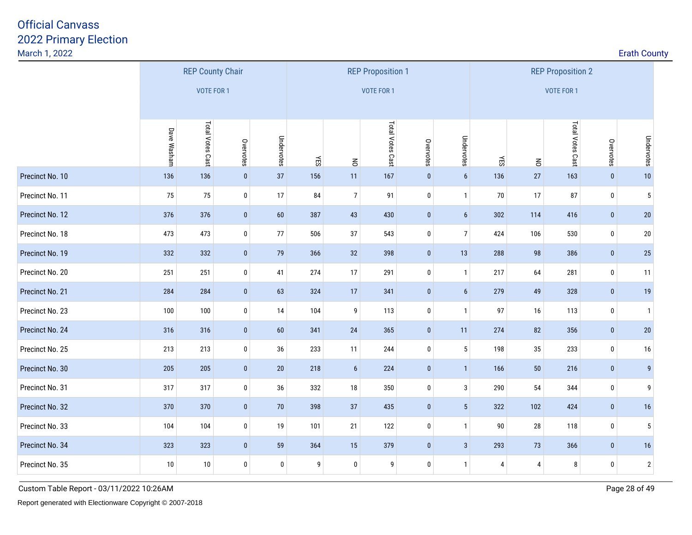| March 1, 2022   |             |                         |              |            |                  |                |                          |             |                  |     |        |                          |              | <b>Erath County</b> |  |
|-----------------|-------------|-------------------------|--------------|------------|------------------|----------------|--------------------------|-------------|------------------|-----|--------|--------------------------|--------------|---------------------|--|
|                 |             | <b>REP County Chair</b> |              |            |                  |                | <b>REP Proposition 1</b> |             |                  |     |        | <b>REP Proposition 2</b> |              |                     |  |
|                 |             | <b>VOTE FOR 1</b>       |              |            |                  |                | <b>VOTE FOR 1</b>        |             |                  |     |        | VOTE FOR 1               |              |                     |  |
|                 | Dave Washam | Total Votes Cast        | Overvotes    | Undervotes | ΥES              | $\leq$         | Total Votes Cast         | Overvotes   | Undervotes       | YES | $\leq$ | Total Votes Cast         | Overvotes    | Undervotes          |  |
| Precinct No. 10 | 136         | 136                     | $\pmb{0}$    | 37         | 156              | 11             | 167                      | $\pmb{0}$   | $6\phantom{a}$   | 136 | 27     | 163                      | $\pmb{0}$    | 10                  |  |
| Precinct No. 11 | 75          | 75                      | $\pmb{0}$    | 17         | 84               | $\overline{7}$ | 91                       | $\mathbf 0$ | $\mathbf{1}$     | 70  | 17     | 87                       | $\bf{0}$     | $5\phantom{.0}$     |  |
| Precinct No. 12 | 376         | 376                     | $\pmb{0}$    | $60\,$     | 387              | 43             | 430                      | $\pmb{0}$   | $\boldsymbol{6}$ | 302 | 114    | 416                      | $\pmb{0}$    | 20                  |  |
| Precinct No. 18 | 473         | 473                     | $\bm{0}$     | $77\,$     | 506              | 37             | 543                      | $\mathbf 0$ | $\overline{7}$   | 424 | 106    | 530                      | $\bf{0}$     | $20\,$              |  |
| Precinct No. 19 | 332         | 332                     | $\pmb{0}$    | 79         | 366              | 32             | 398                      | $\pmb{0}$   | 13               | 288 | 98     | 386                      | $\pmb{0}$    | 25                  |  |
| Precinct No. 20 | 251         | 251                     | 0            | 41         | 274              | 17             | 291                      | $\pmb{0}$   | $\mathbf{1}$     | 217 | 64     | 281                      | $\bf{0}$     | 11                  |  |
| Precinct No. 21 | 284         | 284                     | $\bf{0}$     | 63         | 324              | 17             | 341                      | $\pmb{0}$   | $\boldsymbol{6}$ | 279 | 49     | 328                      | $\mathbf 0$  | 19                  |  |
| Precinct No. 23 | 100         | 100                     | $\pmb{0}$    | 14         | 104              | 9              | 113                      | $\pmb{0}$   | $\mathbf{1}$     | 97  | 16     | 113                      | $\pmb{0}$    | $\mathbf{1}$        |  |
| Precinct No. 24 | 316         | 316                     | $\pmb{0}$    | $60\,$     | 341              | 24             | 365                      | $\pmb{0}$   | 11               | 274 | $82\,$ | 356                      | $\pmb{0}$    | 20                  |  |
| Precinct No. 25 | 213         | 213                     | $\pmb{0}$    | 36         | 233              | 11             | 244                      | $\pmb{0}$   | $5\phantom{.0}$  | 198 | $35\,$ | 233                      | $\pmb{0}$    | 16                  |  |
| Precinct No. 30 | 205         | 205                     | $\mathbf{0}$ | $20\,$     | 218              | $6\phantom{1}$ | 224                      | $\mathbf 0$ | $\mathbf{1}$     | 166 | 50     | 216                      | $\mathbf{0}$ | 9                   |  |
| Precinct No. 31 | 317         | 317                     | $\pmb{0}$    | 36         | 332              | $18\,$         | 350                      | $\pmb{0}$   | $\mathbf{3}$     | 290 | 54     | 344                      | $\pmb{0}$    | 9                   |  |
| Precinct No. 32 | 370         | 370                     | $\bf{0}$     | 70         | 398              | 37             | 435                      | $\pmb{0}$   | $5\phantom{.0}$  | 322 | 102    | 424                      | $\pmb{0}$    | 16                  |  |
| Precinct No. 33 | 104         | 104                     | $\pmb{0}$    | 19         | 101              | 21             | 122                      | $\pmb{0}$   | $\mathbf{1}$     | 90  | 28     | 118                      | $\pmb{0}$    | 5                   |  |
| Precinct No. 34 | 323         | 323                     | $\bf{0}$     | 59         | 364              | 15             | 379                      | $\pmb{0}$   | $\mathbf{3}$     | 293 | 73     | 366                      | $\bf{0}$     | 16                  |  |
| Precinct No. 35 | $10\,$      | $10\,$                  | $\pmb{0}$    | $\pmb{0}$  | $\boldsymbol{9}$ | $\mathbf 0$    | 9                        | $\pmb{0}$   | $\mathbf{1}$     | 4   | 4      | 8                        | $\mathbf 0$  | $\overline{2}$      |  |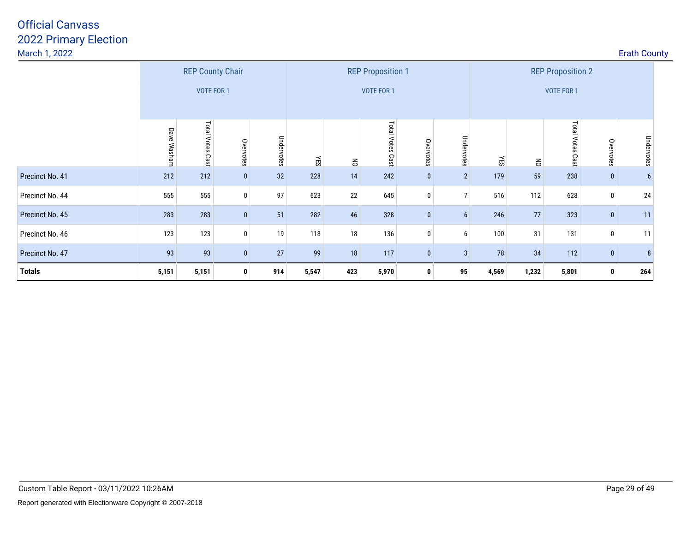| March 1, 2022   |                     |                                       |              |            |       |                |                                               |              |                |       |                |                                        |              | <b>Erath County</b> |  |
|-----------------|---------------------|---------------------------------------|--------------|------------|-------|----------------|-----------------------------------------------|--------------|----------------|-------|----------------|----------------------------------------|--------------|---------------------|--|
|                 |                     | <b>REP County Chair</b><br>VOTE FOR 1 |              |            |       |                | <b>REP Proposition 1</b><br><b>VOTE FOR 1</b> |              |                |       |                | <b>REP Proposition 2</b><br>VOTE FOR 1 |              |                     |  |
|                 | <b>Dave Washarr</b> | <b>Total Votes</b><br>Cast            | Overvotes    | Undervotes | ΚES   | $\overline{5}$ | Total Votes<br>Cast                           | Overvotes    | Undervotes     | ÆS    | $\overline{5}$ | Total Votes Cast                       | Overvotes    | Undervotes          |  |
| Precinct No. 41 | 212                 | 212                                   | $\bf{0}$     | 32         | 228   | 14             | 242                                           | $\mathbf{0}$ | $\overline{2}$ | 179   | 59             | 238                                    | $\bf{0}$     |                     |  |
| Precinct No. 44 | 555                 | 555                                   | $\bm{0}$     | 97         | 623   | 22             | 645                                           | 0            | $\overline{7}$ | 516   | 112            | 628                                    | $\bf{0}$     | 24                  |  |
| Precinct No. 45 | 283                 | 283                                   | $\mathbf{0}$ | 51         | 282   | 46             | 328                                           | $\mathbf{0}$ | 6 <sup>1</sup> | 246   | 77             | 323                                    | $\bf{0}$     | 11                  |  |
| Precinct No. 46 | 123                 | 123                                   | $\bf{0}$     | 19         | 118   | 18             | 136                                           | 0            | 6              | 100   | 31             | 131                                    | $\mathbf 0$  | 11                  |  |
| Precinct No. 47 | 93                  | 93                                    | $\mathbf{0}$ | 27         | 99    | 18             | 117                                           | $\mathbf{0}$ | 3              | 78    | 34             | 112                                    | $\mathbf{0}$ | 8                   |  |
| <b>Totals</b>   | 5,151               | 5,151                                 | $\mathbf{0}$ | 914        | 5,547 | 423            | 5,970                                         | 0            | 95             | 4,569 | 1,232          | 5,801                                  | 0            | 264                 |  |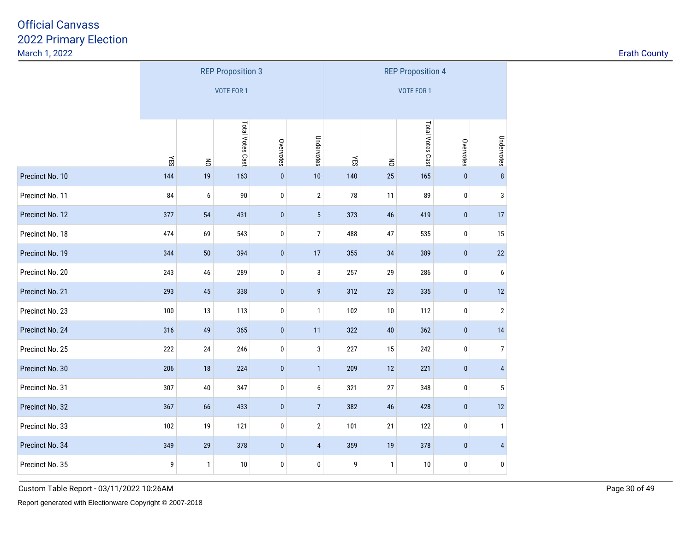| <b>Erath County</b> |  |
|---------------------|--|
|                     |  |

|                 | <b>REP Proposition 3</b> |              |                   |           |                 |     |                | <b>REP Proposition 4</b> |           |                |
|-----------------|--------------------------|--------------|-------------------|-----------|-----------------|-----|----------------|--------------------------|-----------|----------------|
|                 |                          |              | <b>VOTE FOR 1</b> |           |                 |     |                | <b>VOTE FOR 1</b>        |           |                |
|                 |                          |              |                   |           |                 |     |                |                          |           |                |
|                 |                          |              | Total Votes Cast  | Overvotes | Undervotes      |     |                | Total Votes Cast         | Overvotes | Undervotes     |
|                 | ΚĒ                       | $\leq$       |                   |           |                 | ΚĒ  | $\overline{6}$ |                          |           |                |
| Precinct No. 10 | 144                      | 19           | 163               | $\pmb{0}$ | 10              | 140 | 25             | 165                      | $\pmb{0}$ | $\bf 8$        |
| Precinct No. 11 | 84                       | 6            | 90                | 0         | $\sqrt{2}$      | 78  | 11             | 89                       | 0         | $\mathsf 3$    |
| Precinct No. 12 | 377                      | 54           | 431               | $\pmb{0}$ | $5\phantom{.0}$ | 373 | 46             | 419                      | $\pmb{0}$ | 17             |
| Precinct No. 18 | 474                      | 69           | 543               | 0         | 7               | 488 | 47             | 535                      | 0         | $15\,$         |
| Precinct No. 19 | 344                      | 50           | 394               | $\pmb{0}$ | 17              | 355 | 34             | 389                      | $\pmb{0}$ | 22             |
| Precinct No. 20 | 243                      | 46           | 289               | 0         | 3               | 257 | 29             | 286                      | 0         | 6              |
| Precinct No. 21 | 293                      | 45           | 338               | $\pmb{0}$ | $\overline{9}$  | 312 | 23             | 335                      | $\pmb{0}$ | $12\,$         |
| Precinct No. 23 | 100                      | 13           | 113               | 0         | $\mathbf{1}$    | 102 | 10             | 112                      | 0         | $\overline{2}$ |
| Precinct No. 24 | 316                      | 49           | 365               | $\pmb{0}$ | 11              | 322 | 40             | 362                      | $\pmb{0}$ | 14             |
| Precinct No. 25 | 222                      | 24           | 246               | $\pmb{0}$ | 3               | 227 | 15             | 242                      | 0         | $\overline{7}$ |
| Precinct No. 30 | 206                      | 18           | 224               | $\pmb{0}$ | $\mathbf{1}$    | 209 | 12             | 221                      | $\pmb{0}$ | $\overline{4}$ |
| Precinct No. 31 | 307                      | $40\,$       | 347               | 0         | 6               | 321 | 27             | 348                      | 0         | 5              |
| Precinct No. 32 | 367                      | 66           | 433               | $\pmb{0}$ | $\overline{7}$  | 382 | 46             | 428                      | $\pmb{0}$ | 12             |
| Precinct No. 33 | 102                      | 19           | 121               | $\pmb{0}$ | $\overline{2}$  | 101 | 21             | 122                      | 0         | $\mathbf{1}$   |
| Precinct No. 34 | 349                      | 29           | 378               | $\pmb{0}$ | 4               | 359 | 19             | 378                      | $\pmb{0}$ | $\overline{4}$ |
| Precinct No. 35 | 9                        | $\mathbf{1}$ | $10\,$            | $\pmb{0}$ | 0               | 9   | $\mathbf{1}$   | 10                       | 0         | $\pmb{0}$      |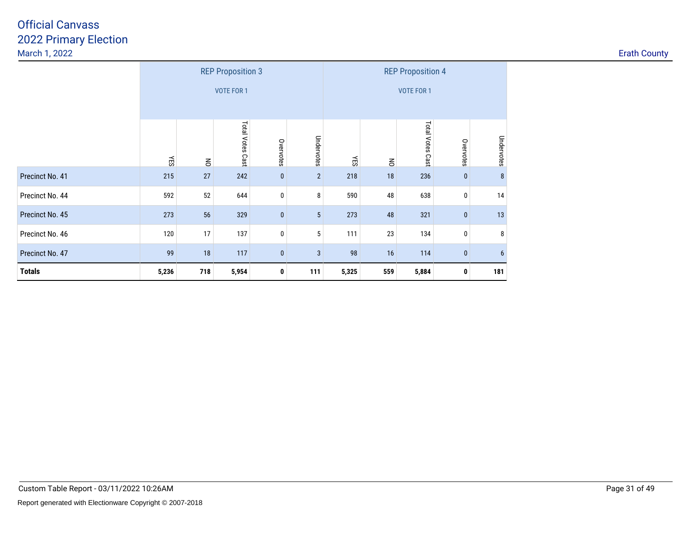| <b>Erath County</b> |  |
|---------------------|--|
|---------------------|--|

|                 |       | <b>REP Proposition 3</b> |                  |           |                 |       |                | <b>REP Proposition 4</b> |           |            |
|-----------------|-------|--------------------------|------------------|-----------|-----------------|-------|----------------|--------------------------|-----------|------------|
|                 |       |                          | VOTE FOR 1       |           |                 |       |                | <b>VOTE FOR 1</b>        |           |            |
|                 |       |                          |                  |           |                 |       |                |                          |           |            |
|                 | ΥES   | $\overline{6}$           | Total Votes Cast | Overvotes | Undervotes      | ΚĒ    | $\overline{6}$ | Total Votes Cast         | Overvotes | Undervotes |
| Precinct No. 41 | 215   | 27                       | 242              | $\pmb{0}$ | $\overline{2}$  | 218   | 18             | 236                      | $\bf{0}$  | $\bf 8$    |
| Precinct No. 44 | 592   | 52                       | 644              | $\pmb{0}$ | 8               | 590   | 48             | 638                      | 0         | 14         |
| Precinct No. 45 | 273   | 56                       | 329              | $\pmb{0}$ | $5\phantom{.0}$ | 273   | 48             | 321                      | $\pmb{0}$ | 13         |
| Precinct No. 46 | 120   | 17                       | 137              | $\pmb{0}$ | 5               | 111   | 23             | 134                      | 0         | 8          |
| Precinct No. 47 | 99    | 18                       | 117              | $\bf{0}$  | $\mathbf{3}$    | 98    | 16             | 114                      | $\bf{0}$  | 6          |
| <b>Totals</b>   | 5,236 | 718                      | 5,954            | 0         | 111             | 5,325 | 559            | 5,884                    | 0         | 181        |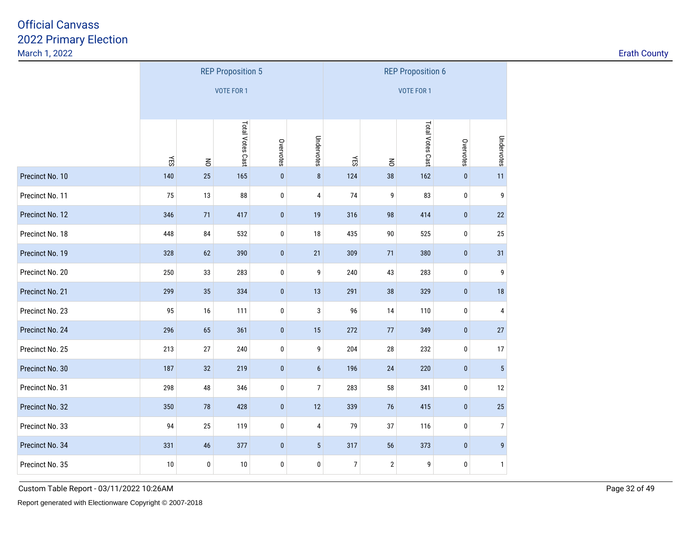| <b>Erath County</b> |  |
|---------------------|--|
|                     |  |

|                 |                                                                     |                                          | <b>REP Proposition 5</b> |           | <b>REP Proposition 6</b> |                  |                |                  |             |                |  |
|-----------------|---------------------------------------------------------------------|------------------------------------------|--------------------------|-----------|--------------------------|------------------|----------------|------------------|-------------|----------------|--|
|                 |                                                                     |                                          | <b>VOTE FOR 1</b>        |           | <b>VOTE FOR 1</b>        |                  |                |                  |             |                |  |
|                 |                                                                     |                                          |                          |           |                          |                  |                |                  |             |                |  |
|                 | Total Votes Cast<br>Undervotes<br>Overvotes<br><b>NES</b><br>$\leq$ |                                          |                          |           |                          | <b>YES</b>       | $\overline{6}$ | Total Votes Cast | Overvotes   | Undervotes     |  |
| Precinct No. 10 | 140                                                                 | 25                                       | 165                      | $\pmb{0}$ | $\bf 8$                  | 124              | 38             | 162              | $\pmb{0}$   | 11             |  |
| Precinct No. 11 | 75                                                                  | 13                                       | 88                       | 0         | 4                        | 74               | 9              | 83               | 0           | 9              |  |
| Precinct No. 12 | 346                                                                 | 71                                       | 417                      | $\pmb{0}$ | 19                       | 316              | 98             | 414              | $\pmb{0}$   | 22             |  |
| Precinct No. 18 | 448                                                                 | 84                                       | 532                      | 0         | 18                       | 435              | $90\,$         | 525              | 0           | $25\,$         |  |
| Precinct No. 19 | 328                                                                 | 62                                       | 390                      | $\pmb{0}$ | 21                       | 309              | 71             | 380              | $\pmb{0}$   | 31             |  |
| Precinct No. 20 | 250                                                                 | 33                                       | 283                      | $\bf{0}$  | 9                        | 240              | 43             | 283              | 0           | 9              |  |
| Precinct No. 21 | 299                                                                 | 35                                       | 334                      | $\pmb{0}$ | 13                       | 291              | 38             | 329              | $\pmb{0}$   | 18             |  |
| Precinct No. 23 | 95                                                                  | 16                                       | 111                      | 0         | 3                        | 96               | 14             | 110              | 0           | 4              |  |
| Precinct No. 24 | 296                                                                 | 65                                       | 361                      | $\pmb{0}$ | 15                       | 272              | 77             | 349              | $\pmb{0}$   | $27\,$         |  |
| Precinct No. 25 | 213                                                                 | 27                                       | 240                      | 0         | 9                        | 204              | 28             | 232              | 0           | 17             |  |
| Precinct No. 30 | 187                                                                 | 32                                       | 219                      | $\pmb{0}$ | 6                        | 196              | 24             | 220              | $\pmb{0}$   | $\overline{5}$ |  |
| Precinct No. 31 | 298                                                                 | 48                                       | 346                      | $\bf{0}$  | 7                        | 283              | 58             | 341              | 0           | 12             |  |
| Precinct No. 32 | 350                                                                 | 78                                       | 428                      | $\pmb{0}$ | 12                       | 339              | 76             | 415              | $\pmb{0}$   | 25             |  |
| Precinct No. 33 | 94                                                                  | 25                                       | 119                      | $\bf{0}$  | $\overline{4}$           | 79               | 37             | 116              | 0           | $\overline{7}$ |  |
| Precinct No. 34 | 331                                                                 | $\pmb{0}$<br>5 <sup>5</sup><br>46<br>377 |                          |           |                          |                  |                | 373              | $\mathbf 0$ | $\overline{9}$ |  |
| Precinct No. 35 | 10                                                                  | $\pmb{0}$                                | $10\,$                   | 0         | 0                        | $\boldsymbol{7}$ | $\mathbf 2$    | 9                | 0           | $\mathbf{1}$   |  |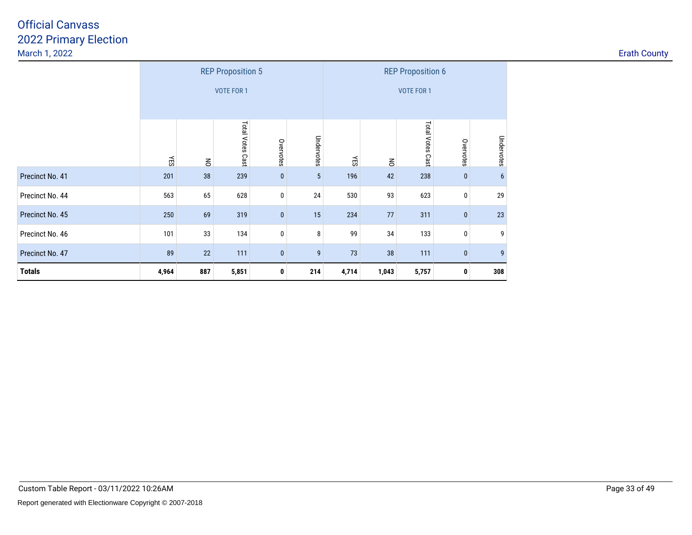| <b>Erath County</b> |  |  |  |
|---------------------|--|--|--|
|---------------------|--|--|--|

|                 |                                   |                | <b>REP Proposition 5</b> |           | <b>REP Proposition 6</b> |       |                   |                  |           |                  |  |  |  |
|-----------------|-----------------------------------|----------------|--------------------------|-----------|--------------------------|-------|-------------------|------------------|-----------|------------------|--|--|--|
|                 | VOTE FOR 1                        |                |                          |           |                          |       | <b>VOTE FOR 1</b> |                  |           |                  |  |  |  |
|                 |                                   |                |                          |           |                          |       |                   |                  |           |                  |  |  |  |
|                 | ΥES                               | $\overline{6}$ | Total Votes Cast         | Overvotes | Undervotes               | ΚĒ    | $\overline{6}$    | Total Votes Cast | Overvotes | Undervotes       |  |  |  |
| Precinct No. 41 | 201                               | 38             | 239                      | $\pmb{0}$ | $5\phantom{.0}$          | 196   | 42                | 238              | $\bf{0}$  | $6\phantom{1}$   |  |  |  |
| Precinct No. 44 | 563                               | 65             | 628                      | $\pmb{0}$ | 24                       | 530   | 93                | 623              | 0         | 29               |  |  |  |
| Precinct No. 45 | 250                               | 69             | 319                      | $\pmb{0}$ | 15                       | 234   | 77                | 311              | $\pmb{0}$ | 23               |  |  |  |
| Precinct No. 46 | 101                               | 33             | 134                      | $\pmb{0}$ | 8                        | 99    | 34                | 133              | 0         | 9                |  |  |  |
| Precinct No. 47 | 89<br>22<br>111<br>9<br>$\pmb{0}$ |                |                          |           |                          |       | 38                | 111              | $\bf{0}$  | $\boldsymbol{9}$ |  |  |  |
| <b>Totals</b>   | 4,964                             | 887            | 5,851                    | 0         | 214                      | 4,714 | 1,043             | 5,757            | 0         | 308              |  |  |  |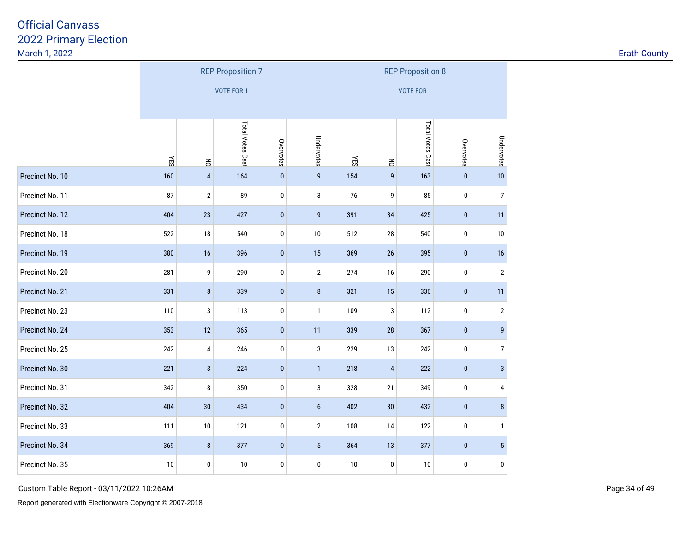| <b>Erath County</b> |  |  |
|---------------------|--|--|
|                     |  |  |

|                 |                                                                             |                | <b>REP Proposition 7</b> |           | <b>REP Proposition 8</b> |                   |                |                  |                 |                  |  |
|-----------------|-----------------------------------------------------------------------------|----------------|--------------------------|-----------|--------------------------|-------------------|----------------|------------------|-----------------|------------------|--|
|                 |                                                                             |                | <b>VOTE FOR 1</b>        |           | <b>VOTE FOR 1</b>        |                   |                |                  |                 |                  |  |
|                 |                                                                             |                |                          |           |                          |                   |                |                  |                 |                  |  |
|                 | Total Votes Cast<br>Undervotes<br>Overvotes<br><b>YES</b><br>$\overline{6}$ |                |                          |           |                          |                   | $\leq$         | Total Votes Cast | Overvotes       | Undervotes       |  |
| Precinct No. 10 | 160                                                                         | $\pmb{4}$      | 164                      | $\pmb{0}$ | $\mathsf{g}$             | <b>YES</b><br>154 | 9              | 163              | $\pmb{0}$       | 10               |  |
| Precinct No. 11 | 87                                                                          | $\overline{2}$ | 89                       | $\pmb{0}$ | 3                        | 76                | 9              | 85               | $\pmb{0}$       | $\boldsymbol{7}$ |  |
| Precinct No. 12 | 404                                                                         | 23             | 427                      | $\pmb{0}$ | 9                        | 391               | 34             | 425              | $\pmb{0}$       | 11               |  |
| Precinct No. 18 | 522                                                                         | $18\,$         | 540                      | 0         | 10                       | 512               | $28\,$         | 540              | 0               | $10\,$           |  |
| Precinct No. 19 | 380                                                                         | 16             | 396                      | $\pmb{0}$ | 15                       | 369               | 26             | 395              | $\pmb{0}$       | 16               |  |
| Precinct No. 20 | 281                                                                         | 9              | 290                      | 0         | $\overline{2}$           | 274               | 16             | 290              | 0               | $\overline{2}$   |  |
| Precinct No. 21 | 331                                                                         | $\bf 8$        | 339                      | $\pmb{0}$ | 8                        | 321               | 15             | 336              | $\pmb{0}$       | 11               |  |
| Precinct No. 23 | 110                                                                         | 3              | 113                      | 0         | $\mathbf{1}$             | 109               | 3              | 112              | 0               | $\overline{2}$   |  |
| Precinct No. 24 | 353                                                                         | 12             | 365                      | $\pmb{0}$ | 11                       | 339               | 28             | 367              | $\pmb{0}$       | $\boldsymbol{9}$ |  |
| Precinct No. 25 | 242                                                                         | 4              | 246                      | $\bf{0}$  | 3                        | 229               | 13             | 242              | 0               | $\boldsymbol{7}$ |  |
| Precinct No. 30 | 221                                                                         | $\mathbf{3}$   | 224                      | $\pmb{0}$ | $\mathbf{1}$             | 218               | $\overline{4}$ | 222              | $\pmb{0}$       | $\overline{3}$   |  |
| Precinct No. 31 | 342                                                                         | 8              | 350                      | 0         | 3                        | 328               | 21             | 349              | 0               | 4                |  |
| Precinct No. 32 | 404                                                                         | 30             | 434                      | $\pmb{0}$ | 6                        | 402               | 30             | 432              | $\pmb{0}$       | $\bf 8$          |  |
| Precinct No. 33 | 111                                                                         | $10\,$         | 121                      | $\pmb{0}$ | $\overline{2}$           | 108               | 14             | 122              | 0               | $\mathbf{1}$     |  |
| Precinct No. 34 | 369                                                                         | 8              | 377                      | $\pmb{0}$ | 364                      | 13                | 377            | $\bf{0}$         | $5\phantom{.0}$ |                  |  |
| Precinct No. 35 | 10                                                                          | 0              | 10                       | $\pmb{0}$ | 0                        | $10\,$            | 0              | $10\,$           | 0               | $\pmb{0}$        |  |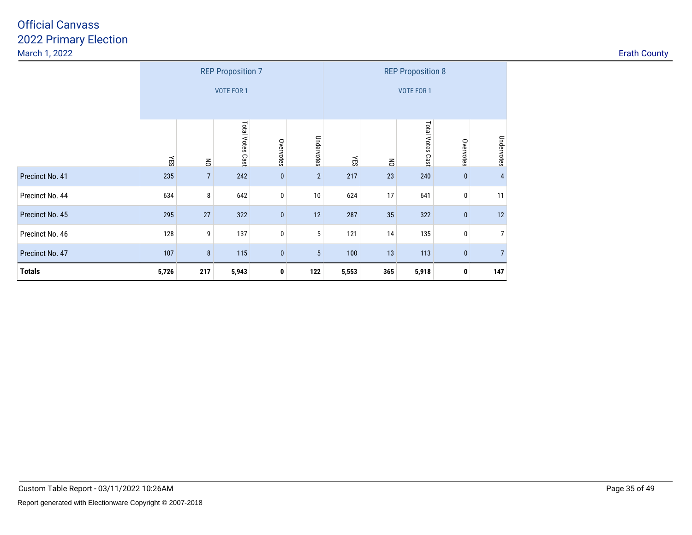| <b>Erath County</b> |  |  |  |
|---------------------|--|--|--|
|---------------------|--|--|--|

|                 |                                                       |                | <b>REP Proposition 7</b> |           |                | <b>REP Proposition 8</b> |                   |                  |             |                |  |  |  |
|-----------------|-------------------------------------------------------|----------------|--------------------------|-----------|----------------|--------------------------|-------------------|------------------|-------------|----------------|--|--|--|
|                 | <b>VOTE FOR 1</b>                                     |                |                          |           |                |                          | <b>VOTE FOR 1</b> |                  |             |                |  |  |  |
|                 |                                                       |                |                          |           |                |                          |                   |                  |             |                |  |  |  |
|                 | ÆS                                                    | $\mathsf S$    | Total Votes Cast         | Overvotes | Undervotes     | ΥES                      | $\overline{6}$    | Total Votes Cast | Overvotes   | Undervotes     |  |  |  |
| Precinct No. 41 | 235                                                   | $\overline{7}$ | 242                      | $\pmb{0}$ | $\overline{2}$ | 217                      | 23                | 240              | $\bf{0}$    | $\overline{4}$ |  |  |  |
| Precinct No. 44 | 634                                                   | 8              | 642                      | $\bf{0}$  | 10             | 624                      | 17                | 641              | 0           | 11             |  |  |  |
| Precinct No. 45 | 295                                                   | 27             | 322                      | $\pmb{0}$ | 12             | 287                      | 35                | 322              | $\mathbf 0$ | 12             |  |  |  |
| Precinct No. 46 | 128                                                   | 9              | 137                      | $\pmb{0}$ | 5              | 121                      | 14                | 135              | 0           | 7              |  |  |  |
| Precinct No. 47 | 107<br>115<br>$\bf 8$<br>$5\phantom{.0}$<br>$\pmb{0}$ |                |                          |           |                |                          | 13                | 113              | $\bf{0}$    | $\overline{7}$ |  |  |  |
| <b>Totals</b>   | 5,726                                                 | 217            | 5,943                    | 0         | 122            | 5,553                    | 365               | 5,918            | 0           | 147            |  |  |  |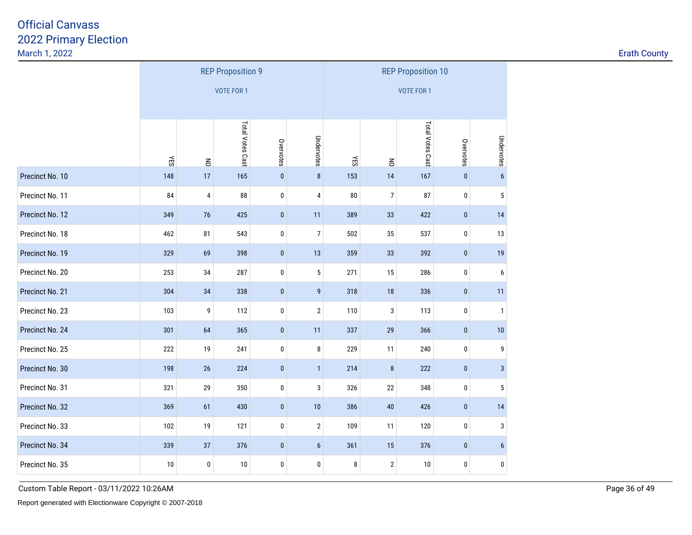| <b>Erath County</b> |  |
|---------------------|--|
|                     |  |

|                 |                                                 |                | <b>REP Proposition 9</b> |             |                   | <b>REP Proposition 10</b> |                |                  |           |                  |  |  |
|-----------------|-------------------------------------------------|----------------|--------------------------|-------------|-------------------|---------------------------|----------------|------------------|-----------|------------------|--|--|
|                 |                                                 |                | <b>VOTE FOR 1</b>        |             | <b>VOTE FOR 1</b> |                           |                |                  |           |                  |  |  |
|                 |                                                 |                |                          |             |                   |                           |                |                  |           |                  |  |  |
|                 |                                                 |                | Total Votes Cast         |             |                   |                           |                | Total Votes Cast |           |                  |  |  |
|                 | ΚĒ                                              | $\overline{5}$ |                          | Overvotes   | Undervotes        | YES                       | $\overline{5}$ |                  | Overvotes | Undervotes       |  |  |
| Precinct No. 10 | 148                                             | 17             | 165                      | $\pmb{0}$   | $\bf 8$           | 153                       | 14             | 167              | $\pmb{0}$ | $\boldsymbol{6}$ |  |  |
| Precinct No. 11 | 84                                              | 4              | 88                       | 0           | 4                 | 80                        | 7              | 87               | $\pmb{0}$ | 5                |  |  |
| Precinct No. 12 | 349                                             | 76             | 425                      | $\pmb{0}$   | 11                | 389                       | 33             | 422              | $\pmb{0}$ | 14               |  |  |
| Precinct No. 18 | 462                                             | 81             | 543                      | 0           | 7                 | 502                       | 35             | 537              | 0         | 13               |  |  |
| Precinct No. 19 | 329                                             | 69             | 398                      | $\pmb{0}$   | 13                | 359                       | 33             | 392              | $\pmb{0}$ | 19               |  |  |
| Precinct No. 20 | 253                                             | 34             | 287                      | 0           | $\mathbf 5$       | 271                       | 15             | 286              | $\pmb{0}$ | 6                |  |  |
| Precinct No. 21 | 304                                             | 34             | 338                      | $\pmb{0}$   | $\boldsymbol{9}$  | 318                       | 18             | 336              | $\pmb{0}$ | 11               |  |  |
| Precinct No. 23 | 103                                             | 9              | 112                      | 0           | $\sqrt{2}$        | 110                       | 3              | 113              | $\pmb{0}$ | $\mathbf{1}$     |  |  |
| Precinct No. 24 | 301                                             | 64             | 365                      | $\pmb{0}$   | 11                | 337                       | 29             | 366              | $\pmb{0}$ | $10$             |  |  |
| Precinct No. 25 | 222                                             | 19             | 241                      | $\pmb{0}$   | 8                 | 229                       | 11             | 240              | $\pmb{0}$ | 9                |  |  |
| Precinct No. 30 | 198                                             | $26\,$         | 224                      | $\mathbf 0$ | $\mathbf{1}$      | 214                       | $\bf 8$        | 222              | $\pmb{0}$ | $\mathbf{3}$     |  |  |
| Precinct No. 31 | 321                                             | 29             | 350                      | 0           | 3                 | 326                       | 22             | 348              | $\pmb{0}$ | 5                |  |  |
| Precinct No. 32 | 369                                             | 61             | 430                      | $\pmb{0}$   | $10$              | 386                       | 40             | 426              | $\pmb{0}$ | 14               |  |  |
| Precinct No. 33 | 102                                             | 19             | 121                      | 0           | $\overline{2}$    | 109                       | 11             | 120              | $\pmb{0}$ | 3                |  |  |
| Precinct No. 34 | 339<br>37<br>376<br>$\bf{0}$<br>$6\phantom{.0}$ |                |                          |             |                   |                           | $15\,$         | 376              | $\pmb{0}$ | $\boldsymbol{6}$ |  |  |
| Precinct No. 35 | 10                                              | 0              | 10                       | 0           | 0                 | 8                         | $\sqrt{2}$     | 10               | 0         | $\pmb{0}$        |  |  |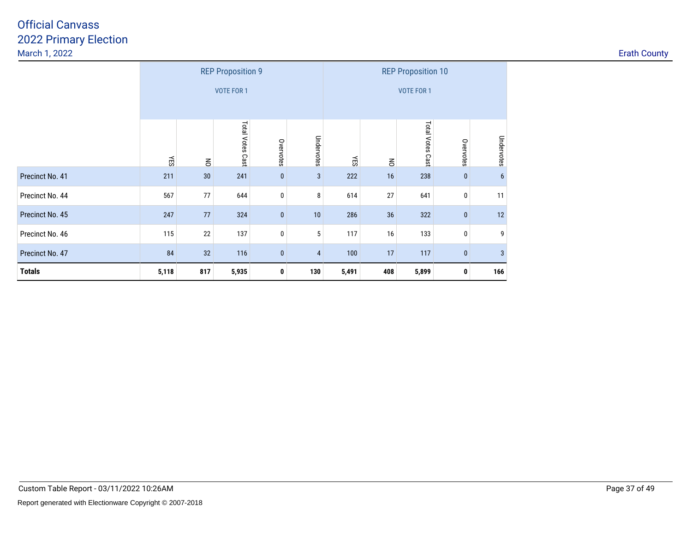| <b>Erath County</b> |  |
|---------------------|--|
|---------------------|--|

|                 |                                   |                | <b>REP Proposition 9</b> |           | <b>REP Proposition 10</b> |       |                   |                  |           |            |  |  |  |
|-----------------|-----------------------------------|----------------|--------------------------|-----------|---------------------------|-------|-------------------|------------------|-----------|------------|--|--|--|
|                 | <b>VOTE FOR 1</b>                 |                |                          |           |                           |       | <b>VOTE FOR 1</b> |                  |           |            |  |  |  |
|                 |                                   |                |                          |           |                           |       |                   |                  |           |            |  |  |  |
|                 | ΚES                               | $\overline{6}$ | Total Votes Cast         | Overvotes | Undervotes                | ΚES   | $\overline{6}$    | Total Votes Cast | Overvotes | Undervotes |  |  |  |
| Precinct No. 41 | 211                               | 30             | 241                      | $\pmb{0}$ | 3                         | 222   | 16                | 238              | $\pmb{0}$ | 6          |  |  |  |
| Precinct No. 44 | 567                               | 77             | 644                      | $\pmb{0}$ | 8                         | 614   | 27                | 641              | $\pmb{0}$ | 11         |  |  |  |
| Precinct No. 45 | 247                               | 77             | 324                      | $\pmb{0}$ | $10$                      | 286   | 36                | 322              | $\pmb{0}$ | 12         |  |  |  |
| Precinct No. 46 | 115                               | 22             | 137                      | $\pmb{0}$ | 5                         | 117   | 16                | 133              | $\pmb{0}$ | 9          |  |  |  |
| Precinct No. 47 | 84<br>32<br>116<br>$\pmb{0}$<br>4 |                |                          |           |                           |       | 17                | 117              | $\pmb{0}$ | $\sqrt{3}$ |  |  |  |
| <b>Totals</b>   | 5,118                             | 817            | 5,935                    | 0         | 130                       | 5,491 | 408               | 5,899            | 0         | 166        |  |  |  |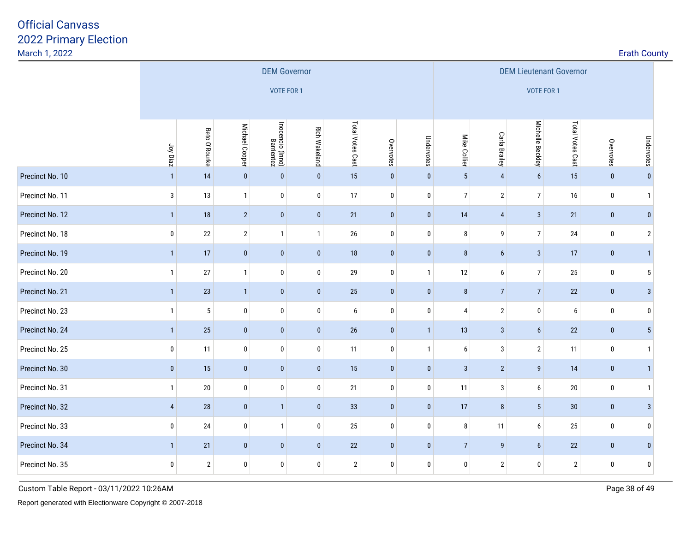| March 1, 2022   |                |                     |                |                                |                      |                  |              |              |                  |                  |                                |                  |             | <b>Erath County</b> |  |  |  |  |
|-----------------|----------------|---------------------|----------------|--------------------------------|----------------------|------------------|--------------|--------------|------------------|------------------|--------------------------------|------------------|-------------|---------------------|--|--|--|--|
|                 |                | <b>DEM Governor</b> |                |                                |                      |                  |              |              |                  |                  | <b>DEM Lieutenant Governor</b> |                  |             |                     |  |  |  |  |
|                 |                | VOTE FOR 1          |                |                                |                      |                  |              |              |                  |                  | VOTE FOR 1                     |                  |             |                     |  |  |  |  |
|                 |                |                     |                |                                |                      |                  |              |              |                  |                  |                                |                  |             |                     |  |  |  |  |
|                 | Joy Diaz       | Beto O'Rourke       | Michael Cooper | Inocencio (Inno)<br>Barrientez | <b>Rich Wakeland</b> | Total Votes Cast | Overvotes    | Undervotes   | Mike Collier     | Carla Brailey    | Michelle Beckley               | Total Votes Cast | Overvotes   | Undervotes          |  |  |  |  |
| Precinct No. 10 | $\mathbf{1}$   | 14                  | $\bf{0}$       | $\pmb{0}$                      | $\pmb{0}$            | 15               | $\mathbf 0$  | $\pmb{0}$    | $\overline{5}$   | $\overline{4}$   | 6                              | 15               | $\pmb{0}$   | $\mathbf{0}$        |  |  |  |  |
| Precinct No. 11 | $\mathbf{3}$   | 13                  | $\mathbf{1}$   | $\mathbf 0$                    | $\pmb{0}$            | 17               | $\bf{0}$     | $\bf 0$      | $\boldsymbol{7}$ | $\overline{2}$   | 7 <sup>1</sup>                 | 16               | $\pmb{0}$   | $\mathbf{1}$        |  |  |  |  |
| Precinct No. 12 | $\mathbf{1}$   | $18$                | $\overline{2}$ | $\pmb{0}$                      | $\pmb{0}$            | 21               | $\bf{0}$     | $\pmb{0}$    | $14$             | $\sqrt{4}$       | $\mathbf{3}$                   | 21               | $\mathbf 0$ | $\mathbf{0}$        |  |  |  |  |
| Precinct No. 18 | $\bf{0}$       | 22                  | $\overline{2}$ | $\mathbf{1}$                   | $\mathbf{1}$         | 26               | $\bf{0}$     | $\bf{0}$     | 8                | 9                | $\overline{7}$                 | 24               | $\bf{0}$    | $\overline{2}$      |  |  |  |  |
| Precinct No. 19 | $\mathbf{1}$   | 17                  | $\pmb{0}$      | $\pmb{0}$                      | $\pmb{0}$            | 18               | $\pmb{0}$    | $\pmb{0}$    | $\bf 8$          | $6\phantom{.}$   | $\overline{3}$                 | 17               | $\mathbf 0$ | $\mathbf{1}$        |  |  |  |  |
| Precinct No. 20 | $\mathbf{1}$   | 27                  | $\mathbf{1}$   | $\bm{0}$                       | $\bf{0}$             | 29               | 0            | $\mathbf{1}$ | 12               | 6                | 7 <sup>1</sup>                 | $25\,$           | $\bm{0}$    | 5                   |  |  |  |  |
| Precinct No. 21 | $\mathbf{1}$   | 23                  | $\overline{1}$ | $\pmb{0}$                      | $\mathbf 0$          | $25\,$           | $\bf{0}$     | $\pmb{0}$    | $\bf 8$          | $\sqrt{7}$       | 7                              | $22\,$           | $\mathbf 0$ | $\sqrt{3}$          |  |  |  |  |
| Precinct No. 23 | $\mathbf{1}$   | $\overline{5}$      | $\mathbf 0$    | $\bf{0}$                       | $\pmb{0}$            | $6\phantom{a}$   | $\pmb{0}$    | $\bf{0}$     | $\overline{4}$   | $\sqrt{2}$       | 0                              | $\boldsymbol{6}$ | $\pmb{0}$   | $\mathbf 0$         |  |  |  |  |
| Precinct No. 24 | $\mathbf{1}$   | $25\,$              | $\pmb{0}$      | $\pmb{0}$                      | $\pmb{0}$            | 26               | $\pmb{0}$    | $\mathbf{1}$ | $13$             | $\sqrt{3}$       | 6                              | $22\,$           | $\mathbf 0$ | $5\phantom{.0}$     |  |  |  |  |
| Precinct No. 25 | 0              | 11                  | 0              | $\pmb{0}$                      | $\pmb{0}$            | 11               | $\pmb{0}$    | $\mathbf{1}$ | $\boldsymbol{6}$ | $\sqrt{3}$       | $\mathbf{2}$                   | 11               | $\pmb{0}$   | $\mathbf{1}$        |  |  |  |  |
| Precinct No. 30 | $\mathbf 0$    | 15                  | $\pmb{0}$      | $\pmb{0}$                      | $\pmb{0}$            | 15               | $\mathbf 0$  | $\mathbf 0$  | $\mathbf{3}$     | $\sqrt{2}$       | 9                              | 14               | $\mathbf 0$ | $\mathbf{1}$        |  |  |  |  |
| Precinct No. 31 | $\mathbf{1}$   | $20\,$              | $\pmb{0}$      | $\pmb{0}$                      | $\pmb{0}$            | 21               | $\pmb{0}$    | $\pmb{0}$    | 11               | 3                | 6                              | $20\,$           | $\pmb{0}$   | $\mathbf{1}$        |  |  |  |  |
| Precinct No. 32 | $\overline{4}$ | 28                  | $\pmb{0}$      | $\mathbf{1}$                   | $\pmb{0}$            | 33               | $\pmb{0}$    | $\pmb{0}$    | 17               | 8                | $5\phantom{.0}$                | $30\,$           | $\pmb{0}$   | $\mathbf{3}$        |  |  |  |  |
| Precinct No. 33 | $\pmb{0}$      | 24                  | $\pmb{0}$      | $\mathbf{1}$                   | $\bm{0}$             | 25               | $\bf{0}$     | $\pmb{0}$    | 8                | 11               | 6                              | 25               | $\bm{0}$    | $\mathbf{0}$        |  |  |  |  |
| Precinct No. 34 | $\mathbf{1}$   | 21                  | $\bf{0}$       | $\bf{0}$                       | $\mathbf 0$          | 22               | $\mathbf{0}$ | $\pmb{0}$    | $\overline{7}$   | $\boldsymbol{9}$ | $6\phantom{.0}$                | 22               | $\bf{0}$    | $\mathbf{0}$        |  |  |  |  |
| Precinct No. 35 | $\bf{0}$       | $\mathbf{2}$        | $\pmb{0}$      | $\bf 0$                        | $\pmb{0}$            | $\overline{2}$   | $\pmb{0}$    | $\bf{0}$     | 0                | $\sqrt{2}$       | 0                              | $\overline{2}$   | $\bf{0}$    | $\mathbf 0$         |  |  |  |  |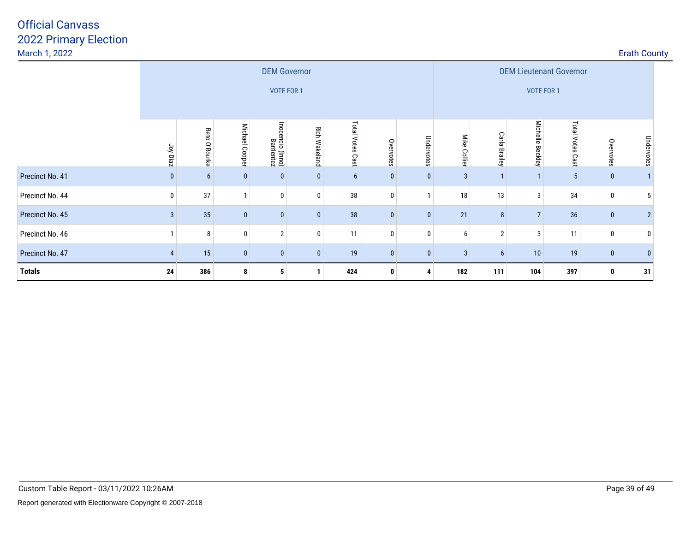| March 1, 2022   |                        |                  |                |                                          |                      |                     |              |                       |                 |                                |                                   |                  |              | <b>Erath County</b> |  |
|-----------------|------------------------|------------------|----------------|------------------------------------------|----------------------|---------------------|--------------|-----------------------|-----------------|--------------------------------|-----------------------------------|------------------|--------------|---------------------|--|
|                 |                        |                  |                | <b>DEM Governor</b><br>VOTE FOR 1        |                      |                     |              |                       | VOTE FOR 1      | <b>DEM Lieutenant Governor</b> |                                   |                  |              |                     |  |
|                 | Joy Diaz               | Beto<br>O'Rourke | Michael Cooper | lnoc<br>ncio<br>Bar<br>(Inno)<br>rientez | <b>Rich Wakeland</b> | Total Votes<br>Cast | Overvotes    | <b>Under</b><br>votes | Mike<br>Collier | Carla<br><b>Brailey</b>        | <b>Michelle</b><br><b>Beckley</b> | Total Votes Cast | Overvotes    | Undervotes          |  |
| Precinct No. 41 | $\mathbf{0}$           | 6                | $\mathbf{0}$   |                                          | $\bf{0}$             | 6                   | $\mathbf{0}$ | $\mathbf{0}$          | 3               |                                |                                   | 5                | $\bf{0}$     |                     |  |
| Precinct No. 44 | $\mathbf{0}$           | 37               |                | 0                                        | 0                    | 38                  | 0            |                       | 18              | 13                             | 3                                 | 34               | 0            | 5                   |  |
| Precinct No. 45 | $\overline{3}$         | 35               | $\mathbf{0}$   |                                          | $\bf{0}$             | 38                  | $\mathbf{0}$ | $\mathbf{0}$          | 21              | 8                              | $\overline{7}$                    | 36               | $\mathbf 0$  | $\overline{2}$      |  |
| Precinct No. 46 |                        | 8                | 0              | $\overline{2}$                           | 0                    | 11                  | 0            | $\mathbf{0}$          | 6               | $\overline{2}$                 | 3 <sub>1</sub>                    | 11               | $\mathbf{0}$ |                     |  |
| Precinct No. 47 | $\boldsymbol{\Lambda}$ | 15               | $\mathbf{0}$   | $\mathbf{0}$                             | $\bf{0}$             | 19                  | $\mathbf{0}$ | $\mathbf{0}$          | 3               | 6                              | $10$                              | 19               | $\mathbf{0}$ |                     |  |
| <b>Totals</b>   | 24                     | 386              | 8              | 5                                        | $\mathbf{1}$         | 424                 | 0            |                       | 182             | 111                            | 104                               | 397              | 0            | 31                  |  |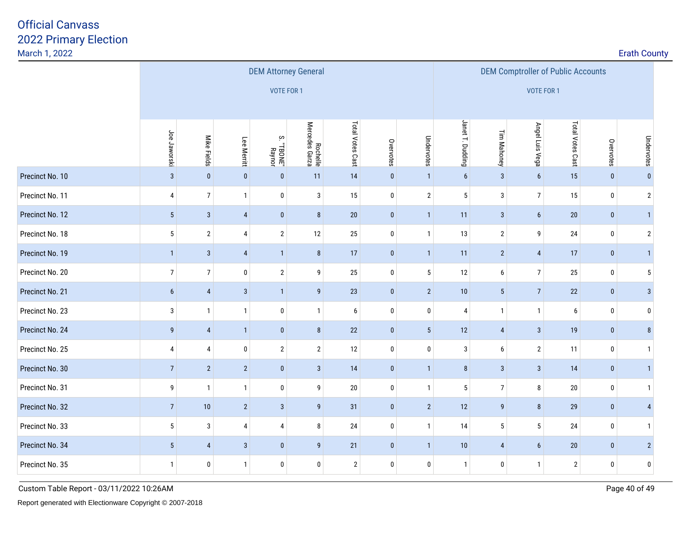|                 |                 |                         |                         |                                 | <b>DEM Attorney General</b> |                  |                        | <b>DEM Comptroller of Public Accounts</b> |                  |                 |                  |                |              |                |  |  |
|-----------------|-----------------|-------------------------|-------------------------|---------------------------------|-----------------------------|------------------|------------------------|-------------------------------------------|------------------|-----------------|------------------|----------------|--------------|----------------|--|--|
|                 |                 |                         |                         | VOTE FOR 1                      |                             |                  |                        |                                           | VOTE FOR 1       |                 |                  |                |              |                |  |  |
|                 |                 |                         |                         |                                 |                             | Total Votes Cast |                        |                                           |                  |                 |                  |                |              |                |  |  |
|                 | Joe Jaworski    | Mike Fields             | Lee Merritt             | $\rm \sim$<br>"TBONE"<br>Raynor | Rochelle<br>Mercedes Garza  | Janet T. Dudding | Tim Mahoney            | Angel Luis Vega                           | Total Votes Cast | Overvotes       | Undervotes       |                |              |                |  |  |
| Precinct No. 10 | $\mathbf{3}$    | $\pmb{0}$               | $\pmb{0}$               | $\pmb{0}$                       | 11                          | 14               | Overvotes<br>$\pmb{0}$ | Undervotes<br>$\mathbf{1}$                | $\boldsymbol{6}$ | $\mathbf{3}$    | $\boldsymbol{6}$ | 15             | $\pmb{0}$    | $\pmb{0}$      |  |  |
| Precinct No. 11 | 4               | $\overline{7}$          | $\mathbf{1}$            | 0                               | 3                           | 15               | $\pmb{0}$              | $\overline{2}$                            | $\sqrt{5}$       | $\mathbf{3}$    | $\overline{7}$   | 15             | $\bm{0}$     | $\overline{2}$ |  |  |
| Precinct No. 12 | 5 <sup>5</sup>  | $\mathbf{3}$            | $\overline{4}$          | $\mathbf 0$                     | $\bf 8$                     | 20               | $\pmb{0}$              | $\mathbf{1}$                              | 11               | $\mathbf{3}$    | $\boldsymbol{6}$ | $20\,$         | $\bf{0}$     | 1              |  |  |
| Precinct No. 18 | 5               | $\mathbf{2}$            | 4                       | $\overline{2}$                  | 12                          | 25               | $\pmb{0}$              | $\mathbf{1}$                              | 13               | $\overline{2}$  | 9                | 24             | $\mathbf 0$  | $\sqrt{2}$     |  |  |
| Precinct No. 19 | $\mathbf{1}$    | $\sqrt{3}$              | $\overline{4}$          | $\mathbf{1}$                    | $\bf 8$                     | 17               | $\pmb{0}$              | $\mathbf{1}$                              | 11               | $\overline{2}$  | $\overline{4}$   | 17             | $\bf{0}$     | 1              |  |  |
| Precinct No. 20 | $\overline{7}$  | $\overline{7}$          | $\pmb{0}$               | $\overline{2}$                  | 9                           | 25               | $\pmb{0}$              | 5                                         | 12               | 6               | $\overline{7}$   | 25             | $\bf{0}$     | $5\,$          |  |  |
| Precinct No. 21 | 6               | $\overline{\mathbf{4}}$ | $\mathbf{3}$            | $\mathbf{1}$                    | $\boldsymbol{9}$            | 23               | $\pmb{0}$              | $\overline{2}$                            | 10               | $5\phantom{.0}$ | $\overline{7}$   | 22             | $\bf{0}$     | 3 <sup>1</sup> |  |  |
| Precinct No. 23 | 3               | $\mathbf{1}$            | $\mathbf{1}$            | 0                               | $\mathbf{1}$                | 6                | $\pmb{0}$              | $\bf{0}$                                  | 4                | $\mathbf{1}$    | $\overline{1}$   | 6              | $\mathbf 0$  | 0              |  |  |
| Precinct No. 24 | 9               | $\overline{\mathbf{4}}$ | $\mathbf{1}$            | $\pmb{0}$                       | $\bf 8$                     | 22               | $\pmb{0}$              | $5\,$                                     | 12               | $\overline{4}$  | $\mathbf{3}$     | 19             | $\bf{0}$     | 8 <sup>1</sup> |  |  |
| Precinct No. 25 | 4               | 4                       | $\pmb{0}$               | $\overline{2}$                  | $\mathbf{2}$                | 12               | $\pmb{0}$              | $\pmb{0}$                                 | $\sqrt{3}$       | $6\phantom{.}6$ | $\overline{2}$   | 11             | $\bf{0}$     | $\mathbf{1}$   |  |  |
| Precinct No. 30 | $\overline{7}$  | $\overline{2}$          | $\sqrt{2}$              | $\pmb{0}$                       | $\sqrt{3}$                  | 14               | $\pmb{0}$              | $\mathbf{1}$                              | $\bf 8$          | $\mathbf{3}$    | $\mathbf{3}$     | 14             | $\pmb{0}$    | $\vert$        |  |  |
| Precinct No. 31 | 9               | $\overline{1}$          | $\mathbf{1}$            | 0                               | 9                           | 20               | $\pmb{0}$              | $\mathbf{1}$                              | $\overline{5}$   | $\overline{7}$  | $\, 8$           | 20             | $\mathbf 0$  | $\mathbf{1}$   |  |  |
| Precinct No. 32 | $\overline{7}$  | 10                      | $\sqrt{2}$              | $\mathbf{3}$                    | $\boldsymbol{9}$            | 31               | $\bf{0}$               | $\overline{2}$                            | 12               | 9               | $\, 8$           | 29             | $\bf{0}$     | $\overline{4}$ |  |  |
| Precinct No. 33 | $5\phantom{.0}$ | $\sqrt{3}$              | $\overline{\mathbf{4}}$ | $\overline{4}$                  | $\bf 8$                     | 24               | $\pmb{0}$              | $\mathbf{1}$                              | 14               | $5\overline{)}$ | $5\phantom{a}$   | 24             | $\pmb{0}$    | $\mathbf{1}$   |  |  |
| Precinct No. 34 | 5 <sup>5</sup>  | $\overline{4}$          | $\overline{3}$          | $\pmb{0}$                       | $\overline{9}$              | 21               | $\pmb{0}$              | $\overline{1}$                            | 10               | $\overline{4}$  | $6\phantom{a}$   | $20\,$         | $\mathbf{0}$ | $2\vert$       |  |  |
| Precinct No. 35 | $\mathbf{1}$    | 0                       | $\mathbf{1}$            | $\mathbf 0$                     | 0                           | $\sqrt{2}$       | $\pmb{0}$              | $\mathbf 0$                               | $\mathbf{1}$     | $\pmb{0}$       | $\overline{1}$   | $\overline{2}$ | $\pmb{0}$    | $\pmb{0}$      |  |  |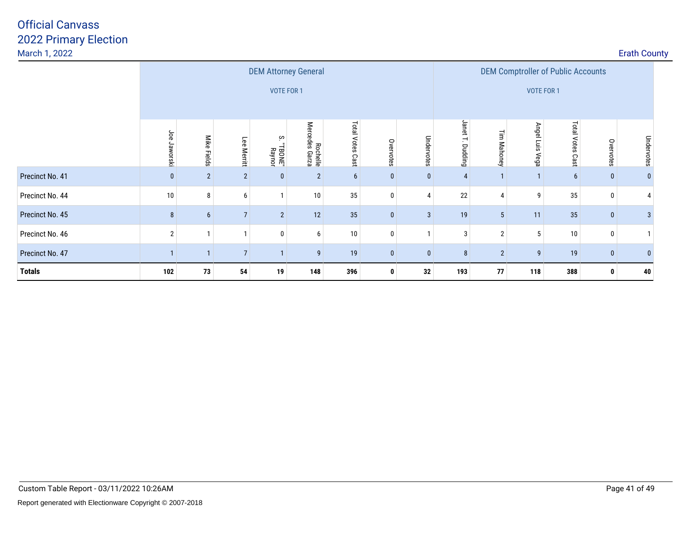| March 1, 2022   |                 |                |                |                                           |                            |                     |              |                |                                                         |                |                    |                     |              | <b>Erath County</b> |  |
|-----------------|-----------------|----------------|----------------|-------------------------------------------|----------------------------|---------------------|--------------|----------------|---------------------------------------------------------|----------------|--------------------|---------------------|--------------|---------------------|--|
|                 |                 |                |                | <b>DEM Attorney General</b><br>VOTE FOR 1 |                            |                     |              |                | <b>DEM Comptroller of Public Accounts</b><br>VOTE FOR 1 |                |                    |                     |              |                     |  |
|                 | Joe<br>Jaworski | Mike Fields    | Lee Merritt    | <b>TBONE</b> "<br>Raynor                  | Rochelle<br>Mercedes Garza | Total Votes<br>Cast | Overvotes    | Undel<br>votes | Jane<br>Dudding                                         | 글<br>Mahoney   | Angel Luis<br>Vega | Total Votes<br>Cast | Overvotes    | Undervotes          |  |
| Precinct No. 41 |                 | $\overline{2}$ | $\overline{2}$ | $\mathbf{0}$                              | $\overline{2}$             | 6                   | $\mathbf{0}$ | $\bf{0}$       | $\overline{4}$                                          |                |                    | 6                   | 0            |                     |  |
| Precinct No. 44 | 10              | 8              | 6              | 1                                         | 10                         | 35                  | 0            | 4              | 22                                                      | $\overline{4}$ | 9                  | 35                  | 0            |                     |  |
| Precinct No. 45 | 8               |                | $\overline{7}$ | $\overline{2}$                            | 12                         | 35                  | $\mathbf{0}$ | 3              | 19                                                      | 5              | 11                 | 35                  | $\bf{0}$     |                     |  |
| Precinct No. 46 | $\overline{2}$  |                |                | 0                                         | 6                          | 10                  | 0            |                | 3                                                       | $\overline{2}$ | 5                  | 10                  | $\Omega$     |                     |  |
| Precinct No. 47 |                 |                | $\overline{7}$ |                                           | 9                          | 19                  | 0            | $\mathbf{0}$   | 8                                                       | $\overline{2}$ | 9                  | 19                  | $\mathbf{0}$ |                     |  |
| <b>Totals</b>   | 102             | 73             | 54             | 19                                        | 148                        | 396                 | 0            | 32             | 193                                                     | 77             | 118                | 388                 | 0            | 40                  |  |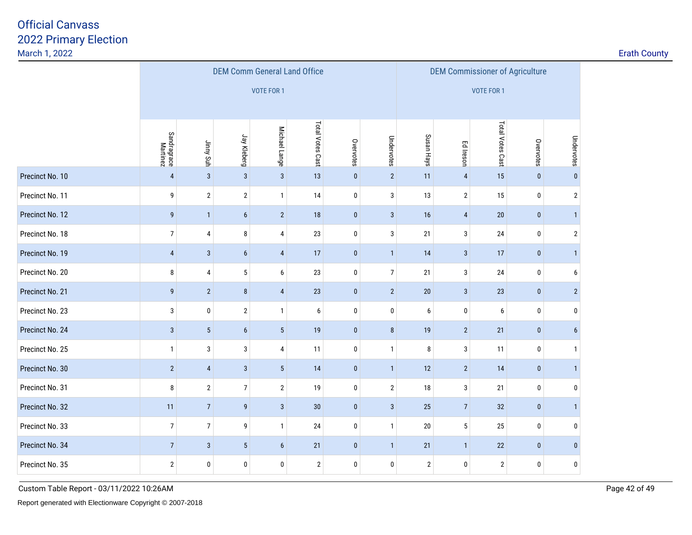| March 1, 2022   |                         |                         |                  |                  |                                     |              |                |                  |                                        |                  |           |                  | <b>Erath County</b> |
|-----------------|-------------------------|-------------------------|------------------|------------------|-------------------------------------|--------------|----------------|------------------|----------------------------------------|------------------|-----------|------------------|---------------------|
|                 |                         |                         |                  |                  | <b>DEM Comm General Land Office</b> |              |                |                  | <b>DEM Commissioner of Agriculture</b> |                  |           |                  |                     |
|                 |                         |                         |                  | VOTE FOR 1       |                                     |              |                |                  |                                        | VOTE FOR 1       |           |                  |                     |
|                 |                         |                         |                  |                  |                                     |              |                |                  |                                        |                  |           |                  |                     |
|                 | Sandragrace<br>Martinez | Jinny Suh               | Jay Kleberg      | Michael Lange    | Total Votes Cast                    | Overvotes    | Undervotes     | Susan Hays       | Ed Ireson                              | Total Votes Cast | Overvotes | Undervotes       |                     |
| Precinct No. 10 | $\overline{4}$          | $\overline{3}$          | $\mathbf{3}$     | $\overline{3}$   | 13                                  | $\pmb{0}$    | 2              | 11               | $\overline{\mathbf{4}}$                | 15               | $\pmb{0}$ | $\bf{0}$         |                     |
| Precinct No. 11 | 9                       | $\sqrt{2}$              | $\overline{2}$   | 1                | 14                                  | $\pmb{0}$    | $\mathbf{3}$   | 13               | $\sqrt{2}$                             | 15               | $\pmb{0}$ | $\overline{2}$   |                     |
| Precinct No. 12 | 9                       | $\mathbf{1}$            | $6\phantom{a}$   | $\overline{2}$   | 18                                  | $\pmb{0}$    | $\mathbf{3}$   | 16               | $\overline{4}$                         | 20               | $\bf{0}$  | $\mathbf{1}$     |                     |
| Precinct No. 18 | $\overline{7}$          | 4                       | 8                | $\overline{4}$   | $23\,$                              | $\mathbf 0$  | $\mathbf{3}$   | 21               | $\mathbf{3}$                           | $24\,$           | $\pmb{0}$ | $\overline{2}$   |                     |
| Precinct No. 19 | $\overline{4}$          | $\mathbf{3}$            | $\boldsymbol{6}$ | $\overline{4}$   | 17                                  | $\pmb{0}$    | $\mathbf{1}$   | 14               | $\mathbf{3}$                           | 17               | $\pmb{0}$ | $\overline{1}$   |                     |
| Precinct No. 20 | 8                       | $\overline{\mathbf{4}}$ | $5\phantom{.0}$  | $\boldsymbol{6}$ | $23\,$                              | $\pmb{0}$    | $\overline{7}$ | 21               | $\mathbf{3}$                           | $24\,$           | 0         | $\boldsymbol{6}$ |                     |
| Precinct No. 21 | $\boldsymbol{9}$        | $\overline{2}$          | $\bf 8$          | $\overline{4}$   | $23\,$                              | $\pmb{0}$    | $\overline{2}$ | $20\,$           | $\mathbf{3}$                           | 23               | $\pmb{0}$ | 2 <sup>1</sup>   |                     |
| Precinct No. 23 | 3                       | $\pmb{0}$               | $\mathbf{2}$     | $\mathbf{1}$     | $\boldsymbol{6}$                    | $\mathbf 0$  | $\bf{0}$       | $\boldsymbol{6}$ | $\pmb{0}$                              | 6                | 0         | $\mathbf 0$      |                     |
| Precinct No. 24 | $\mathbf{3}$            | $\overline{5}$          | $6\phantom{a}$   | $5\phantom{.0}$  | 19                                  | $\pmb{0}$    | $\bf 8$        | 19               | $\sqrt{2}$                             | 21               | $\pmb{0}$ | $6\overline{6}$  |                     |
| Precinct No. 25 | $\mathbf{1}$            | 3                       | $\sqrt{3}$       | $\overline{4}$   | 11                                  | $\mathbf 0$  | $\mathbf{1}$   | 8                | $\mathbf{3}$                           | 11               | 0         | $\mathbf{1}$     |                     |
| Precinct No. 30 | $\overline{2}$          | $\overline{\mathbf{4}}$ | $\sqrt{3}$       | $\overline{5}$   | $14$                                | $\pmb{0}$    | 1              | 12               | $\sqrt{2}$                             | 14               | $\pmb{0}$ | $\mathbf{1}$     |                     |
| Precinct No. 31 | $\bf 8$                 | $\mathbf{2}$            | $\overline{7}$   | $\sqrt{2}$       | 19                                  | $\mathbf 0$  | $\mathbf{2}$   | $18\,$           | $\mathbf{3}$                           | 21               | $\pmb{0}$ | $\pmb{0}$        |                     |
| Precinct No. 32 | 11                      | $\overline{7}$          | $\boldsymbol{9}$ | $\mathbf{3}$     | $30\,$                              | $\mathbf{0}$ | $\mathbf{3}$   | 25               | $\sqrt{7}$                             | 32               | $\pmb{0}$ | $\mathbf{1}$     |                     |
| Precinct No. 33 | $\boldsymbol{7}$        | $\overline{7}$          | 9                | $\mathbf{1}$     | $24\,$                              | $\mathbf 0$  | $\mathbf{1}$   | $20\,$           | $\sqrt{5}$                             | 25               | $\pmb{0}$ | $\mathbf 0$      |                     |
| Precinct No. 34 | $\overline{7}$          | $\mathbf{3}$            | $5\phantom{.0}$  | $\boldsymbol{6}$ | 21                                  | $\pmb{0}$    | 1              | 21               | $\mathbf{1}$                           | $22\,$           | $\bf{0}$  | $\mathbf{0}$     |                     |
| Precinct No. 35 | $\overline{2}$          | $\pmb{0}$               | $\pmb{0}$        | $\pmb{0}$        | $\overline{2}$                      | $\mathbf 0$  | $\pmb{0}$      | 2                | $\pmb{0}$                              | $\overline{2}$   | $\pmb{0}$ | $\pmb{0}$        |                     |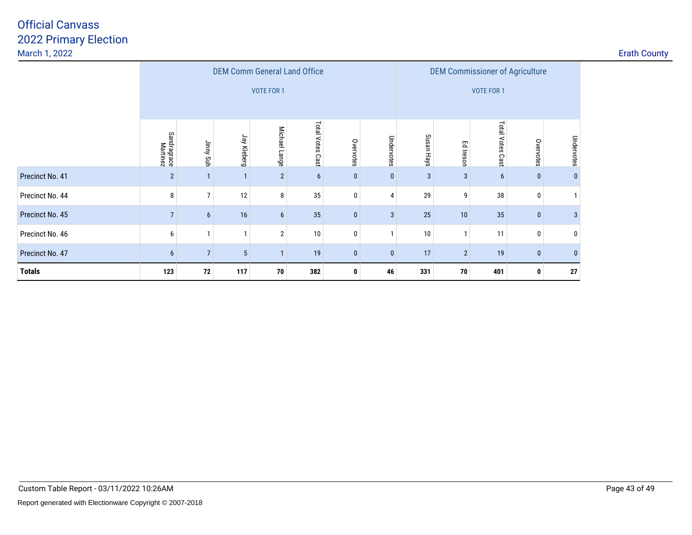|                 |                         |                 | <b>DEM Comm General Land Office</b> |                   |                  |                   |              | <b>DEM Commissioner of Agriculture</b> |                |                  |              |              |
|-----------------|-------------------------|-----------------|-------------------------------------|-------------------|------------------|-------------------|--------------|----------------------------------------|----------------|------------------|--------------|--------------|
|                 |                         |                 |                                     | <b>VOTE FOR 1</b> |                  | <b>VOTE FOR 1</b> |              |                                        |                |                  |              |              |
|                 |                         |                 |                                     |                   |                  |                   |              |                                        |                |                  |              |              |
|                 | Sandragrace<br>Martinez | Jinny Suh       | Jay Kleberg                         | Michael Lange     | Total Votes Cast | Overvotes         | Undervotes   | Susan Hays                             | Ed Ireson      | Total Votes Cast | Overvotes    | Undervotes   |
| Precinct No. 41 | $\overline{2}$          | $\mathbf{1}$    | $\mathbf{1}$                        | $\overline{2}$    | $6\phantom{1}$   | $\bf{0}$          | $\mathbf{0}$ | 3                                      | 3              | 6                | $\pmb{0}$    | $\bf{0}$     |
| Precinct No. 44 | 8                       | $\overline{7}$  | 12                                  | 8                 | 35               | 0                 | 4            | 29                                     | 9              | 38               | 0            | $\mathbf{1}$ |
| Precinct No. 45 | $\overline{7}$          | $6\phantom{.}6$ | 16                                  | 6                 | 35               | $\mathbf{0}$      | 3            | 25                                     | 10             | 35               | $\mathbf{0}$ | 3            |
| Precinct No. 46 | 6                       | $\mathbf{1}$    | $\mathbf{1}$                        | $\overline{2}$    | 10               | 0                 | $\mathbf{1}$ | 10                                     | $\mathbf{1}$   | 11               | 0            | $\bf{0}$     |
| Precinct No. 47 | 6                       | $\overline{7}$  | $5\phantom{.0}$                     |                   | 19               | 0                 | $\mathbf{0}$ | 17                                     | $\overline{2}$ | 19               | $\bf{0}$     | $\bf{0}$     |
| <b>Totals</b>   | 123                     | 72              | 117                                 | 70                | 382              | 0                 | 46           | 331                                    | 70             | 401              | 0            | 27           |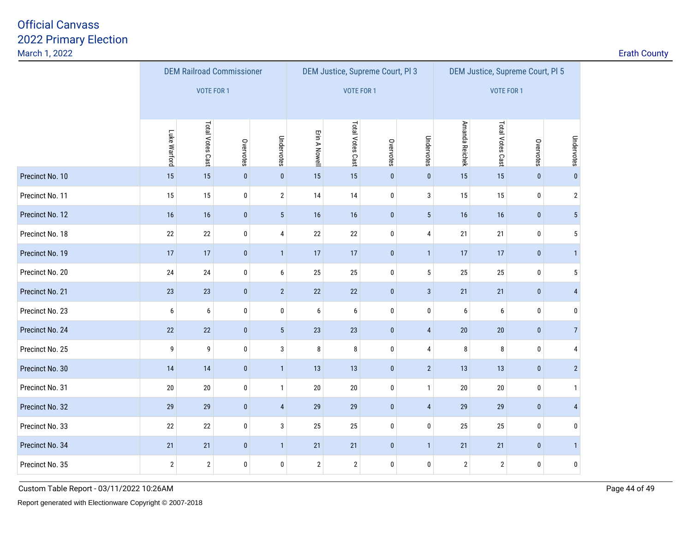|                 |              | <b>DEM Railroad Commissioner</b> |           |                 |                |                   | DEM Justice, Supreme Court, Pl 3 |                 | DEM Justice, Supreme Court, Pl 5 |                  |             |                |
|-----------------|--------------|----------------------------------|-----------|-----------------|----------------|-------------------|----------------------------------|-----------------|----------------------------------|------------------|-------------|----------------|
|                 |              | <b>VOTE FOR 1</b>                |           |                 |                | <b>VOTE FOR 1</b> |                                  |                 | VOTE FOR 1                       |                  |             |                |
|                 |              |                                  |           |                 |                |                   |                                  |                 |                                  |                  |             |                |
|                 | Luke Warford | Total Votes Cast                 | Overvotes | Undervotes      | Erin A Nowell  | Total Votes Cast  | Overvotes                        | Undervotes      | Amanda Reichek                   | Total Votes Cast | Overvotes   | Undervotes     |
|                 |              |                                  |           |                 |                |                   |                                  |                 |                                  |                  |             |                |
| Precinct No. 10 | 15           | 15                               | $\pmb{0}$ | $\pmb{0}$       | 15             | 15                | $\pmb{0}$                        | $\pmb{0}$       | 15                               | 15               | $\pmb{0}$   | $\pmb{0}$      |
| Precinct No. 11 | 15           | 15                               | 0         | $\mathbf{2}$    | 14             | 14                | $\bf{0}$                         | $\mathbf{3}$    | 15                               | 15               | $\pmb{0}$   | $\sqrt{2}$     |
| Precinct No. 12 | 16           | 16                               | $\pmb{0}$ | $5\phantom{.0}$ | 16             | 16                | $\pmb{0}$                        | $5\phantom{.0}$ | 16                               | 16               | $\pmb{0}$   | $\overline{5}$ |
| Precinct No. 18 | 22           | $22\,$                           | 0         | 4               | $22\,$         | $22\,$            | 0                                | 4               | 21                               | 21               | $\mathbf 0$ | $\sqrt{5}$     |
| Precinct No. 19 | 17           | 17                               | $\pmb{0}$ | $\mathbf{1}$    | 17             | 17                | $\pmb{0}$                        | $\mathbf{1}$    | 17                               | 17               | $\pmb{0}$   | $\mathbf{1}$   |
| Precinct No. 20 | 24           | 24                               | 0         | 6               | 25             | 25                | $\pmb{0}$                        | $\sqrt{5}$      | 25                               | 25               | $\bf{0}$    | $\sqrt{5}$     |
| Precinct No. 21 | 23           | 23                               | $\pmb{0}$ | $\overline{2}$  | 22             | 22                | $\pmb{0}$                        | $\mathbf{3}$    | 21                               | 21               | $\pmb{0}$   | $\overline{4}$ |
| Precinct No. 23 | 6            | 6                                | 0         | $\pmb{0}$       | 6              | 6                 | 0                                | 0               | 6                                | 6                | $\bf{0}$    | 0              |
| Precinct No. 24 | 22           | 22                               | $\pmb{0}$ | 5 <sup>5</sup>  | 23             | 23                | $\bf{0}$                         | $\sqrt{4}$      | $20\,$                           | 20               | $\bf{0}$    | $\overline{7}$ |
| Precinct No. 25 | 9            | 9                                | 0         | $\mathbf{3}$    | 8              | 8                 | $\bf{0}$                         | $\overline{4}$  | 8                                | 8                | $\bf{0}$    | 4              |
| Precinct No. 30 | 14           | 14                               | $\pmb{0}$ | $\mathbf{1}$    | 13             | 13                | $\pmb{0}$                        | $\overline{2}$  | 13                               | 13               | $\pmb{0}$   | $\overline{2}$ |
| Precinct No. 31 | $20\,$       | $20\,$                           | 0         | $\mathbf{1}$    | 20             | 20                | $\bf{0}$                         | $\mathbf{1}$    | $20\,$                           | $20\,$           | $\mathbf 0$ | $\mathbf{1}$   |
| Precinct No. 32 | 29           | 29                               | $\pmb{0}$ | $\overline{4}$  | $29\,$         | 29                | $\pmb{0}$                        | $\pmb{4}$       | 29                               | 29               | $\pmb{0}$   | $\overline{4}$ |
| Precinct No. 33 | 22           | 22                               | 0         | 3               | 25             | 25                | 0                                | $\pmb{0}$       | 25                               | 25               | $\mathbf 0$ | 0              |
| Precinct No. 34 | 21           | 21                               | $\pmb{0}$ | $\mathbf{1}$    | 21             | 21                | $\pmb{0}$                        | $\mathbf{1}$    | 21                               | 21               | $\pmb{0}$   | 1              |
| Precinct No. 35 | $\mathbf{2}$ | $\mathbf{2}$                     | 0         | $\pmb{0}$       | $\overline{2}$ | $\sqrt{2}$        | $\pmb{0}$                        | $\pmb{0}$       | $\mathbf 2$                      | $\overline{2}$   | $\bf{0}$    | $\pmb{0}$      |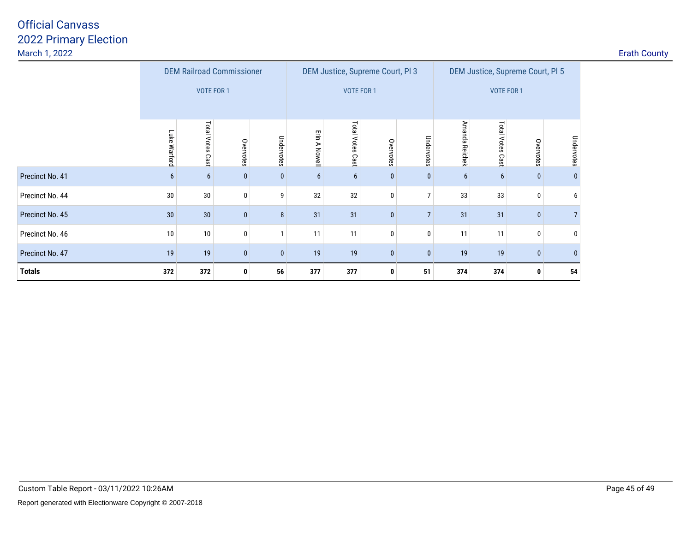|                 |                                  | <b>DEM Railroad Commissioner</b> |              |            |               |                     | DEM Justice, Supreme Court, PI 3 |                | DEM Justice, Supreme Court, PI 5 |                     |              |                |  |
|-----------------|----------------------------------|----------------------------------|--------------|------------|---------------|---------------------|----------------------------------|----------------|----------------------------------|---------------------|--------------|----------------|--|
|                 |                                  | <b>VOTE FOR 1</b>                |              |            |               |                     | <b>VOTE FOR 1</b>                |                | <b>VOTE FOR 1</b>                |                     |              |                |  |
|                 | Luke Warford                     | Total Votes<br>Cast              | Overvotes    | Undervotes | Erin A Nowell | Total Votes<br>Cast | Overvotes                        | Undervotes     | Amanda Reichek                   | Total Votes<br>Cast | Overvotes    | Undervotes     |  |
| Precinct No. 41 | $6\phantom{1}$                   | 6                                | $\bf{0}$     | $\bf{0}$   | 6             | 6                   | $\bf{0}$                         | $\bf{0}$       | 6                                | $6\phantom{1}$      | $\mathbf{0}$ | $\bf{0}$       |  |
| Precinct No. 44 | $30\,$                           | 30                               | 0            | 9          | 32            | 32                  | 0                                | 7              | 33                               | 33                  | 0            | 6              |  |
| Precinct No. 45 | 30                               | 30                               | $\mathbf{0}$ | 8          | 31            | 31                  | $\mathbf{0}$                     | $\overline{7}$ | 31                               | 31                  | $\mathbf{0}$ | $\overline{7}$ |  |
| Precinct No. 46 | 10                               | 10                               | 0            |            | 11            | 11                  | $\mathbf 0$                      | 0              | 11                               | 11                  | 0            | 0              |  |
| Precinct No. 47 | 19<br>19<br>$\bf{0}$<br>$\bf{0}$ |                                  |              |            | 19            | 19                  | $\mathbf{0}$                     | $\bf{0}$       | 19                               | 19                  | $\bf{0}$     | $\bf{0}$       |  |
| <b>Totals</b>   | 372                              | 372                              | 0            | 56         | 377           | 377                 | 0                                | 51             | 374                              | 374                 | 0            | 54             |  |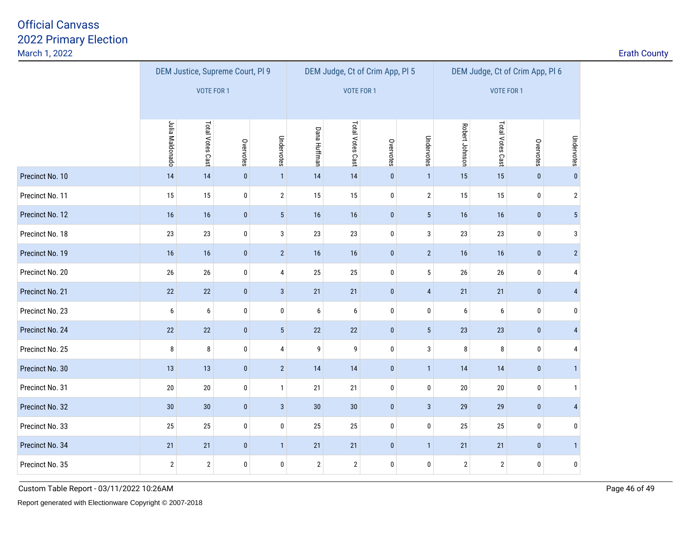<u>2</u> **Example 2 Example 2 Example 2 Example 2 Example 2 Example 2 Example 2 Example 2 Example 2 Example 2** 

|                 |                 |                   | DEM Justice, Supreme Court, PI 9 |                |                     |                   | DEM Judge, Ct of Crim App, Pl 5 |                 | DEM Judge, Ct of Crim App, Pl 6 |                  |           |                |  |
|-----------------|-----------------|-------------------|----------------------------------|----------------|---------------------|-------------------|---------------------------------|-----------------|---------------------------------|------------------|-----------|----------------|--|
|                 |                 | <b>VOTE FOR 1</b> |                                  |                |                     | <b>VOTE FOR 1</b> |                                 |                 | VOTE FOR 1                      |                  |           |                |  |
|                 |                 |                   |                                  |                |                     |                   |                                 |                 |                                 |                  |           |                |  |
|                 | Julia Maldonado | Total Votes Cast  | Overvotes                        | Undervotes     | <b>Dana Huffman</b> | Total Votes Cast  | Overvotes                       | Undervotes      | Robert Johnson                  | Total Votes Cast | Overvotes | Undervotes     |  |
| Precinct No. 10 | 14              | 14                | $\mathbf 0$                      | $\mathbf{1}$   | 14                  | 14                | $\pmb{0}$                       | $\mathbf{1}$    | 15                              | 15               | $\pmb{0}$ | $\pmb{0}$      |  |
| Precinct No. 11 | 15              | 15                | 0                                | $\overline{2}$ | 15                  | 15                | 0                               | $\mathbf{2}$    | 15                              | 15               | $\pmb{0}$ | $\overline{2}$ |  |
| Precinct No. 12 | 16              | 16                | $\pmb{0}$                        | $\sqrt{5}$     | 16                  | 16                | $\pmb{0}$                       | $5\phantom{.0}$ | 16                              | 16               | $\pmb{0}$ | 5 <sup>1</sup> |  |
| Precinct No. 18 | 23              | 23                | 0                                | 3              | 23                  | 23                | 0                               | 3               | 23                              | 23               | $\pmb{0}$ | 3              |  |
| Precinct No. 19 | 16              | 16                | $\pmb{0}$                        | $\overline{2}$ | 16                  | 16                | $\pmb{0}$                       | $\overline{2}$  | 16                              | 16               | $\pmb{0}$ | $2\vert$       |  |
| Precinct No. 20 | 26              | $26\,$            | 0                                | 4              | 25                  | 25                | 0                               | $5\phantom{.0}$ | 26                              | 26               | $\pmb{0}$ | 4              |  |
| Precinct No. 21 | 22              | 22                | $\pmb{0}$                        | $\mathbf{3}$   | 21                  | 21                | $\pmb{0}$                       | $\sqrt{4}$      | 21                              | 21               | $\pmb{0}$ | $\overline{4}$ |  |
| Precinct No. 23 | 6               | 6                 | 0                                | 0              | 6                   | 6                 | 0                               | $\pmb{0}$       | 6                               | 6                | 0         | 0              |  |
| Precinct No. 24 | 22              | 22                | $\mathbf 0$                      | $\overline{5}$ | $22\,$              | 22                | $\pmb{0}$                       | $5\phantom{.0}$ | 23                              | 23               | $\pmb{0}$ | $\overline{4}$ |  |
| Precinct No. 25 | 8               | 8                 | 0                                | 4              | 9                   | 9                 | 0                               | 3               | 8                               | 8                | $\pmb{0}$ | 4              |  |
| Precinct No. 30 | 13              | 13                | $\pmb{0}$                        | $\overline{2}$ | 14                  | 14                | $\pmb{0}$                       | $\mathbf{1}$    | 14                              | 14               | $\pmb{0}$ | 1              |  |
| Precinct No. 31 | 20              | 20                | 0                                | $\mathbf{1}$   | 21                  | 21                | 0                               | $\pmb{0}$       | 20                              | 20               | 0         | $\mathbf{1}$   |  |
| Precinct No. 32 | 30              | $30\,$            | $\mathbf 0$                      | $\mathbf{3}$   | 30                  | 30                | $\pmb{0}$                       | $\mathbf{3}$    | 29                              | 29               | $\pmb{0}$ | $\overline{4}$ |  |
| Precinct No. 33 | 25              | 25                | 0                                | 0              | 25                  | 25                | 0                               | $\pmb{0}$       | 25                              | 25               | $\pmb{0}$ | $\bf{0}$       |  |
| Precinct No. 34 | 21              | 21                | $\pmb{0}$                        | $\mathbf{1}$   | 21                  | 21                | $\pmb{0}$                       | $\mathbf{1}$    | 21                              | 21               | $\pmb{0}$ | 1              |  |
| Precinct No. 35 | $\sqrt{2}$      | $\overline{2}$    | 0                                | 0              | $\overline{2}$      | $\sqrt{2}$        | 0                               | $\pmb{0}$       | $\mathbf{2}$                    | $\overline{2}$   | $\pmb{0}$ | $\pmb{0}$      |  |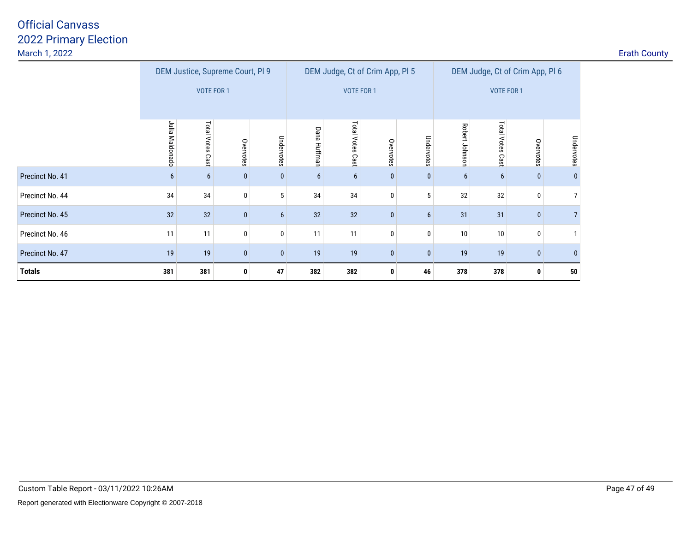| DEM Justice, Supreme Court, PI 9<br>DEM Judge, Ct of Crim App, Pl 5<br>DEM Judge, Ct of Crim App, Pl 6<br><b>VOTE FOR 1</b><br>VOTE FOR 1<br>VOTE FOR 1<br><b>Total Votes</b><br>Julia<br><b>Total Votes</b><br><b>Total Votes</b><br>Robert Johnson<br>Dana Huffman<br>Maldonado<br>Undervotes<br>Undervotes<br>Undervotes<br>Overvotes<br>Overvotes<br>Overvotes<br>Cast<br>Cas<br>Cas |
|------------------------------------------------------------------------------------------------------------------------------------------------------------------------------------------------------------------------------------------------------------------------------------------------------------------------------------------------------------------------------------------|
|                                                                                                                                                                                                                                                                                                                                                                                          |
|                                                                                                                                                                                                                                                                                                                                                                                          |
|                                                                                                                                                                                                                                                                                                                                                                                          |
| Precinct No. 41<br>$\bf{0}$<br>$6\overline{6}$<br>$\mathbf{0}$<br>6<br>6<br>$\bf{0}$<br>6<br>6<br>6<br>$\mathbf{0}$<br>$\bf{0}$<br>0                                                                                                                                                                                                                                                     |
| 5<br>34<br>34<br>34<br>32<br>Precinct No. 44<br>34<br>32<br>$\overline{7}$<br>0<br>5<br>0<br>$\Omega$                                                                                                                                                                                                                                                                                    |
| Precinct No. 45<br>32<br>32<br>32<br>31<br>31<br>6 <sup>1</sup><br>32<br>$\bf{0}$<br>6<br>0<br>$\mathbf{0}$                                                                                                                                                                                                                                                                              |
| $\bf{0}$<br>11<br>Precinct No. 46<br>11<br>11<br>11<br>10<br>0<br>10<br>0<br>$\mathbf{0}$<br>$\mathbf{0}$                                                                                                                                                                                                                                                                                |
| Precinct No. 47<br>19<br>19<br>19<br>19<br>$\mathbf{0}$<br>$\mathbf{0}$<br>19<br>19<br>$\bf{0}$<br>$\mathbf{0}$<br>$\mathbf{0}$                                                                                                                                                                                                                                                          |
| <b>Totals</b><br>381<br>381<br>47<br>382<br>382<br>378<br>46<br>378<br>$\mathbf{0}$<br>50<br>0<br>$\mathbf{0}$                                                                                                                                                                                                                                                                           |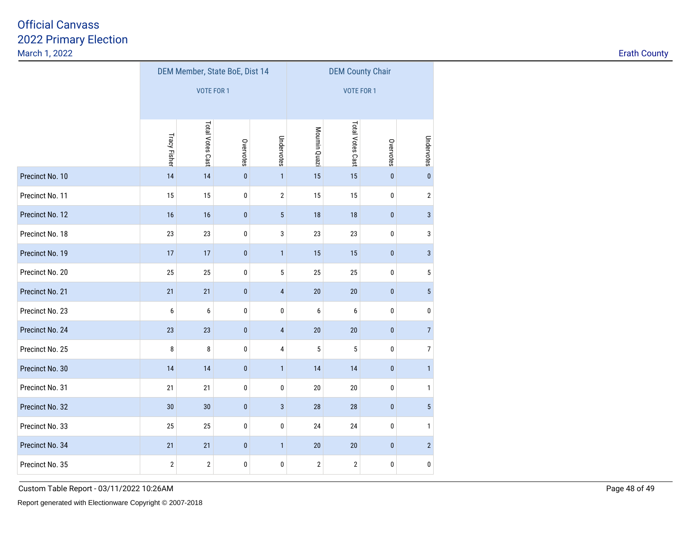|                 |                     |                   | DEM Member, State BoE, Dist 14 |                | <b>DEM County Chair</b> |                  |           |                |  |  |  |
|-----------------|---------------------|-------------------|--------------------------------|----------------|-------------------------|------------------|-----------|----------------|--|--|--|
|                 |                     | <b>VOTE FOR 1</b> |                                |                | <b>VOTE FOR 1</b>       |                  |           |                |  |  |  |
|                 |                     |                   |                                |                |                         |                  |           |                |  |  |  |
|                 | <b>Tracy Fisher</b> | Total Votes Cast  | Overvotes                      | Undervotes     | Moumin Quazi            | Total Votes Cast | Overvotes | Undervotes     |  |  |  |
| Precinct No. 10 | 14                  | 14                | $\mathbf{0}$                   | $\mathbf{1}$   | 15                      | 15               | $\pmb{0}$ | $\mathbf{0}$   |  |  |  |
| Precinct No. 11 | 15                  | 15                | 0                              | $\mathbf 2$    | 15                      | 15               | 0         | $\overline{2}$ |  |  |  |
| Precinct No. 12 | 16                  | 16                | $\mathbf{0}$                   | $5\,$          | 18                      | 18               | $\pmb{0}$ | 3              |  |  |  |
| Precinct No. 18 | 23                  | 23                | 0                              | 3              | 23                      | 23               | 0         | 3              |  |  |  |
| Precinct No. 19 | 17                  | 17                | $\mathbf{0}$                   | $\mathbf{1}$   | 15                      | 15               | $\pmb{0}$ | 3              |  |  |  |
| Precinct No. 20 | 25                  | 25                | 0                              | $\sqrt{5}$     | 25                      | 25               | 0         | 5              |  |  |  |
| Precinct No. 21 | 21                  | 21                | $\mathbf{0}$                   | $\overline{4}$ | 20                      | 20               | $\pmb{0}$ | 5              |  |  |  |
| Precinct No. 23 | 6                   | 6                 | 0                              | 0              | 6                       | 6                | 0         | 0              |  |  |  |
| Precinct No. 24 | 23                  | 23                | $\mathbf{0}$                   | $\overline{4}$ | 20                      | $20\,$           | $\pmb{0}$ | $\overline{7}$ |  |  |  |
| Precinct No. 25 | 8                   | 8                 | 0                              | 4              | 5                       | $\sqrt{5}$       | 0         | 7              |  |  |  |
| Precinct No. 30 | 14                  | 14                | $\pmb{0}$                      | $\mathbf{1}$   | 14                      | 14               | $\pmb{0}$ | $\mathbf{1}$   |  |  |  |
| Precinct No. 31 | 21                  | 21                | 0                              | 0              | 20                      | $20\,$           | 0         | $\mathbf{1}$   |  |  |  |
| Precinct No. 32 | 30                  | 30                | $\pmb{0}$                      | $\sqrt{3}$     | 28                      | 28               | $\pmb{0}$ | 5              |  |  |  |
| Precinct No. 33 | 25                  | 25                | 0                              | 0              | 24                      | 24               | 0         | 1              |  |  |  |
| Precinct No. 34 | 21                  | 21                | $\pmb{0}$                      | $\mathbf{1}$   | $20\,$                  | $20\,$           | $\pmb{0}$ | $\overline{2}$ |  |  |  |
| Precinct No. 35 | $\mathbf 2$         | $\mathbf 2$       | $\pmb{0}$                      | 0              | $\sqrt{2}$              | $\mathbf 2$      | 0         | 0              |  |  |  |